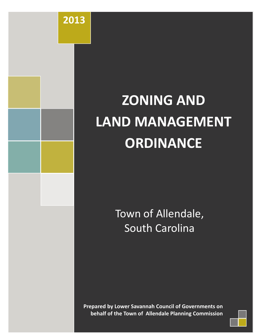# **ZONING AND LAND MANAGEMENT ORDINANCE**

**2013**

Town of Allendale, South Carolina

**Prepared by Lower Savannah Council of Governments on behalf of the Town of Allendale Planning Commission**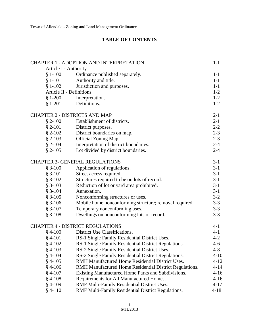#### **TABLE OF CONTENTS**

|                                 | <b>CHAPTER 1 - ADOPTION AND INTERPRETATION</b>          | $1 - 1$  |
|---------------------------------|---------------------------------------------------------|----------|
| Article I - Authority           |                                                         |          |
| $$1-100$                        | Ordinance published separately.                         | $1-1$    |
| $§ 1-101$                       | Authority and title.                                    | $1-1$    |
| $$1-102$                        | Jurisdiction and purposes.                              | $1 - 1$  |
| <b>Article II - Definitions</b> |                                                         | $1 - 2$  |
| $$1-200$                        | Interpretation.                                         | $1 - 2$  |
| $§ 1-201$                       | Definitions.                                            | $1 - 2$  |
|                                 | <b>CHAPTER 2 - DISTRICTS AND MAP</b>                    | $2-1$    |
| $$2-100$                        | Establishment of districts.                             | $2 - 1$  |
| $§ 2-101$                       | District purposes.                                      | $2 - 2$  |
| $$2-102$                        | District boundaries on map.                             | $2 - 3$  |
| $§ 2-103$                       | Official Zoning Map.                                    | $2 - 3$  |
| $§ 2-104$                       | Interpretation of district boundaries.                  | $2 - 4$  |
| $$2-105$                        | Lot divided by district boundaries.                     | $2 - 4$  |
|                                 | <b>CHAPTER 3- GENERAL REGULATIONS</b>                   | $3-1$    |
| $$3-100$                        | Application of regulations.                             | $3-1$    |
| $§ 3-101$                       | Street access required.                                 | $3-1$    |
| $$3-102$                        | Structures required to be on lots of record.            | $3-1$    |
| $§ 3-103$                       | Reduction of lot or yard area prohibited.               | $3-1$    |
| $§ 3-104$                       | Annexation.                                             | $3-1$    |
| $§ 3-105$                       | Nonconforming structures or uses.                       | $3-2$    |
| $$3-106$                        | Mobile home nonconforming structure; removal required   | $3 - 3$  |
| $$3-107$                        | Temporary nonconforming uses.                           | $3 - 3$  |
| $$3-108$                        | Dwellings on nonconforming lots of record.              | $3 - 3$  |
|                                 | <b>CHAPTER 4 - DISTRICT REGULATIONS</b>                 | $4 - 1$  |
| $$4-100$                        | District Use Classifications.                           | $4 - 1$  |
| $§$ 4-101                       | RS-1 Single Family Residential District Uses.           | $4 - 2$  |
| $$4-102$                        | RS-1 Single Family Residential District Regulations.    | $4-6$    |
| $§$ 4-103                       | RS-2 Single Family Residential District Uses.           | $4 - 8$  |
| $§$ 4-104                       | RS-2 Single Family Residential District Regulations.    | $4 - 10$ |
| $§$ 4-105                       | RMH Manufactured Home Residential District Uses.        | $4 - 12$ |
| $§$ 4-106                       | RMH Manufactured Home Residential District Regulations. | $4 - 14$ |
| $§$ 4-107                       | Existing Manufactured Home Parks and Subdivisions.      | $4 - 16$ |
| $§$ 4-108                       | Requirements for All Manufactured Homes.                | $4 - 16$ |
| $§$ 4-109                       | RMF Multi-Family Residential District Uses.             | $4 - 17$ |
| $§$ 4-110                       | RMF Multi-Family Residential District Regulations.      | $4 - 18$ |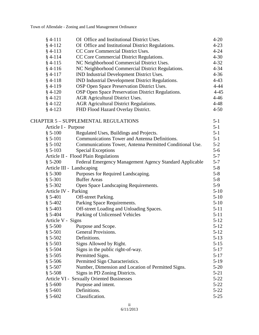| $§$ 4-111                 | OI Office and Institutional District Uses.               | $4 - 20$ |
|---------------------------|----------------------------------------------------------|----------|
| $§$ 4-112                 | OI Office and Institutional District Regulations.        | $4 - 23$ |
| $§$ 4-113                 | CC Core Commercial District Uses.                        | $4 - 24$ |
| $§$ 4-114                 | CC Core Commercial District Regulations.                 | $4 - 30$ |
| $§$ 4-115                 | NC Neighborhood Commercial District Uses.                | $4 - 32$ |
| $§$ 4-116                 | NC Neighborhood Commercial District Regulations.         | $4 - 34$ |
| $§$ 4-117                 | IND Industrial Development District Uses.                | $4 - 36$ |
| $§$ 4-118                 | IND Industrial Development District Regulations.         | $4 - 43$ |
| $§$ 4-119                 | OSP Open Space Preservation District Uses.               | $4 - 44$ |
| $§$ 4-120                 | OSP Open Space Preservation District Regulations.        | $4 - 45$ |
| $§$ 4-121                 | <b>AGR</b> Agricultural District Uses.                   | $4 - 46$ |
| $§$ 4-122                 | <b>AGR Agricultural District Regulations.</b>            | $4 - 48$ |
| $§$ 4-123                 | FHD Flood Hazard Overlay District.                       | $4 - 50$ |
|                           | <b>CHAPTER 5 - SUPPLEMENTAL REGULATIONS</b>              | $5-1$    |
| Article I - Purpose       |                                                          | $5 - 1$  |
| $$5-100$                  | Regulated Uses, Buildings and Projects.                  | $5 - 1$  |
| $§ 5-101$                 | Communications Tower and Antenna Definitions.            | $5-1$    |
| $$5-102$                  | Communications Tower, Antenna Permitted Conditional Use. | $5 - 2$  |
| $$5-103$                  | <b>Special Exceptions</b>                                | $5-6$    |
|                           | Article II - Flood Plain Regulations                     | $5 - 7$  |
| $$5-200$                  | Federal Emergency Management Agency Standard Applicable  | $5 - 7$  |
| Article III - Landscaping |                                                          | $5 - 8$  |
| $$5-300$                  | Purposes for Required Landscaping.                       | $5 - 8$  |
| $§ 5-301$                 | <b>Buffer Areas</b>                                      | $5 - 8$  |
| $$5-302$                  | Open Space Landscaping Requirements.                     | $5-9$    |
| Article IV - Parking      |                                                          | $5-10$   |
| $§ 5-401$                 | Off-street Parking.                                      | $5 - 10$ |
| $$5-402$                  | Parking Space Requirements.                              | $5-10$   |
| $§ 5-403$                 | Off-street Loading and Unloading Spaces.                 | $5 - 11$ |
| $§ 5-404$                 | Parking of Unlicensed Vehicles                           | $5 - 11$ |
| Article V - Signs         |                                                          | $5 - 12$ |
| $$5-500$                  | Purpose and Scope.                                       | $5 - 12$ |
| $§ 5-501$                 | General Provisions.                                      | $5 - 12$ |
| $$5-502$                  | Definitions.                                             | $5-13$   |
| $$5-503$                  | Signs Allowed by Right.                                  | $5 - 15$ |
| $$5-504$                  | Signs in the public right-of-way.                        | $5 - 17$ |
| $$5-505$                  | Permitted Signs.                                         | $5 - 17$ |
| $$5-506$                  | Permitted Sign Characteristics.                          | $5-19$   |
| $§ 5-507$                 | Number, Dimension and Location of Permitted Signs.       | $5-20$   |
| $$5-508$                  | Signs in PD Zoning Districts.                            | $5-21$   |
|                           | <b>Article VI - Sexually Oriented Businesses</b>         | $5 - 22$ |
| $$5-600$                  | Purpose and intent.                                      | $5 - 22$ |
| $§ 5-601$                 | Definitions.                                             | $5 - 22$ |
| $$5-602$                  | Classification.                                          | $5 - 25$ |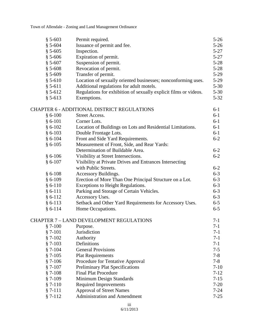| $$5-603$    | Permit required.                                                 | $5 - 26$ |
|-------------|------------------------------------------------------------------|----------|
| $$5-604$    | Issuance of permit and fee.                                      | $5 - 26$ |
| $§ 5 - 605$ | Inspection.                                                      | $5 - 27$ |
| $$5-606$    | Expiration of permit.                                            | $5 - 27$ |
| $$5-607$    | Suspension of permit.                                            | $5 - 28$ |
| $$5-608$    | Revocation of permit.                                            | $5 - 28$ |
| $§ 5-609$   | Transfer of permit.                                              | $5 - 29$ |
| $$5-610$    | Location of sexually oriented businesses; nonconforming uses.    | $5 - 29$ |
| $$5-611$    | Additional regulations for adult motels.                         | $5 - 30$ |
| $§ 5-612$   | Regulations for exhibition of sexually explicit films or videos. | $5 - 30$ |
| $§ 5-613$   | Exemptions.                                                      | $5 - 32$ |
|             | CHAPTER 6 - ADDITIONAL DISTRICT REGULATIONS                      | $6-1$    |
| $§ 6-100$   | Street Access.                                                   | $6-1$    |
| $§ 6-101$   | Corner Lots.                                                     | $6-1$    |
| $§ 6-102$   | Location of Buildings on Lots and Residential Limitations.       | $6 - 1$  |
| $§ 6-103$   | Double Frontage Lots.                                            | $6-1$    |
| $§ 6-104$   | Front and Side Yard Requirements.                                | $6 - 2$  |
| $§ 6-105$   | Measurement of Front, Side, and Rear Yards:                      |          |
|             | Determination of Buildable Area.                                 | $6 - 2$  |
| $§ 6-106$   | Visibility at Street Intersections.                              | $6 - 2$  |
| $§ 6-107$   | Visibility at Private Drives and Entrances Intersecting          |          |
|             | with Public Streets.                                             | $6 - 2$  |
| $§ 6-108$   | Accessory Buildings.                                             | $6 - 3$  |
| $§ 6-109$   | Erection of More Than One Principal Structure on a Lot.          | $6 - 3$  |
| $§ 6-110$   | <b>Exceptions to Height Regulations.</b>                         | $6 - 3$  |
| $§ 6-111$   | Parking and Storage of Certain Vehicles.                         | $6 - 3$  |
| $§ 6-112$   | Accessory Uses.                                                  | $6 - 3$  |
| $§ 6-113$   | Setback and Other Yard Requirements for Accessory Uses.          | $6 - 5$  |
| $§ 6-114$   | Home Occupations.                                                | $6 - 5$  |
|             | CHAPTER 7 - LAND DEVELOPMENT REGULATIONS                         | $7 - 1$  |
| $$7-100$    | Purpose.                                                         | $7-1$    |
| $§ 7-101$   | Jurisdiction                                                     | $7 - 1$  |
| $§ 7-102$   | Authority                                                        | $7 - 1$  |
| $§ 7-103$   | Definitions                                                      | $7-1$    |
| $§ 7-104$   | <b>General Provisions</b>                                        | $7 - 5$  |
| $$7-105$    | <b>Plat Requirements</b>                                         | $7 - 8$  |
| $§ 7-106$   | Procedure for Tentative Approval                                 | $7 - 8$  |
| $§ 7-107$   | <b>Preliminary Plat Specifications</b>                           | $7-10$   |
| $§ 7-108$   | <b>Final Plat Procedure</b>                                      | $7 - 12$ |
| $§ 7-109$   | Minimum Design Standards                                         | $7 - 15$ |
| $§ 7-110$   | <b>Required Improvements</b>                                     | $7 - 20$ |
| $§ 7-111$   | <b>Approval of Street Names</b>                                  | $7 - 24$ |
| $§ 7-112$   | <b>Administration and Amendment</b>                              | $7 - 25$ |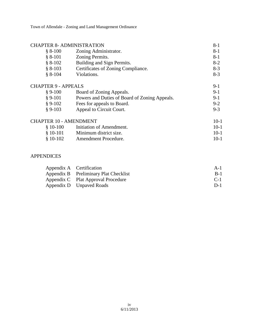| <b>CHAPTER 8- ADMINISTRATION</b>      |                                               | $8 - 1$ |
|---------------------------------------|-----------------------------------------------|---------|
| $$8-100$                              | Zoning Administrator.                         | 8-1     |
| $§ 8-101$                             | Zoning Permits.                               | 8-1     |
| $§ 8-102$                             | Building and Sign Permits.                    | $8-2$   |
| $§ 8-103$                             | Certificates of Zoning Compliance.            | $8-3$   |
| $§ 8-104$                             | Violations.                                   | $8-3$   |
| <b>CHAPTER 9 - APPEALS</b>            |                                               | $9-1$   |
| $§ 9-100$                             | Board of Zoning Appeals.                      | $9-1$   |
| $§ 9-101$                             | Powers and Duties of Board of Zoning Appeals. | 9-1     |
| $§ 9-102$                             | Fees for appeals to Board.                    | $9-2$   |
| $§ 9-103$<br>Appeal to Circuit Court. |                                               |         |
| <b>CHAPTER 10 - AMENDMENT</b>         |                                               | $10-1$  |
| $$10-100$                             | Initiation of Amendment.                      | $10-1$  |
| $$10-101$                             | Minimum district size.                        | $10-1$  |
| $$10-102$                             | Amendment Procedure.                          | 10-1    |

#### APPENDICES

| Appendix A Certification              | $A-1$ |
|---------------------------------------|-------|
| Appendix B Preliminary Plat Checklist | $B-1$ |
| Appendix C Plat Approval Procedure    | $C-1$ |
| Appendix D Unpaved Roads              | $D-1$ |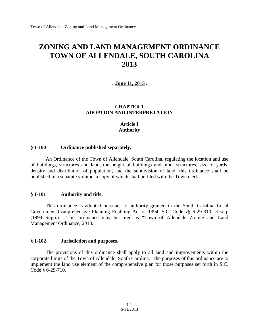# **ZONING AND LAND MANAGEMENT ORDINANCE TOWN OF ALLENDALE, SOUTH CAROLINA 2013**

**. June 11, 2013 .**

#### **CHAPTER 1 ADOPTION AND INTERPRETATION**

#### **Article I Authority**

#### **§ 1-100 Ordinance published separately.**

An Ordinance of the Town of Allendale, South Carolina, regulating the location and use of buildings, structures and land, the height of buildings and other structures, size of yards, density and distribution of population, and the subdivision of land; this ordinance shall be published in a separate volume, a copy of which shall be filed with the Town clerk.

#### **§ 1-101 Authority and title.**

This ordinance is adopted pursuant to authority granted in the South Carolina Local Government Comprehensive Planning Enabling Act of 1994, S.C. Code §§ 6-29-310, et seq. (1994 Supp.). This ordinance may be cited as "Town of Allendale Zoning and Land Management Ordinance, 2013."

#### **§ 1-102 Jurisdiction and purposes.**

The provisions of this ordinance shall apply to all land and improvements within the corporate limits of the Town of Allendale, South Carolina. The purposes of this ordinance are to implement the land use element of the comprehensive plan for those purposes set forth in S.C. Code § 6-29-710.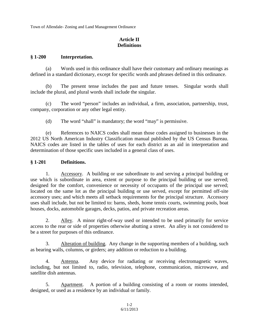#### **Article II Definitions**

#### **§ 1-200 Interpretation.**

(a) Words used in this ordinance shall have their customary and ordinary meanings as defined in a standard dictionary, except for specific words and phrases defined in this ordinance.

(b) The present tense includes the past and future tenses. Singular words shall include the plural, and plural words shall include the singular.

(c) The word "person" includes an individual, a firm, association, partnership, trust, company, corporation or any other legal entity.

(d) The word "shall" is mandatory; the word "may" is permissive.

(e) References to NAICS codes shall mean those codes assigned to businesses in the 2012 US North American Industry Classification manual published by the US Census Bureau. NAICS codes are listed in the tables of uses for each district as an aid in interpretation and determination of those specific uses included in a general class of uses.

#### **§ 1-201 Definitions.**

1. Accessory. A building or use subordinate to and serving a principal building or use which is subordinate in area, extent or purpose to the principal building or use served; designed for the comfort, convenience or necessity of occupants of the principal use served; located on the same lot as the principal building or use served, except for permitted off-site accessory uses; and which meets all setback requirements for the principal structure. Accessory uses shall include, but not be limited to: barns, sheds, home tennis courts, swimming pools, boat houses, docks, automobile garages, decks, patios, and private recreation areas.

2. Alley. A minor right-of-way used or intended to be used primarily for service access to the rear or side of properties otherwise abutting a street. An alley is not considered to be a street for purposes of this ordinance.

3. Alteration of building. Any change in the supporting members of a building, such as bearing walls, columns, or girders; any addition or reduction to a building.

4. Antenna. Any device for radiating or receiving electromagnetic waves, including, but not limited to, radio, television, telephone, communication, microwave, and satellite dish antennas.

5. Apartment. A portion of a building consisting of a room or rooms intended, designed, or used as a residence by an individual or family.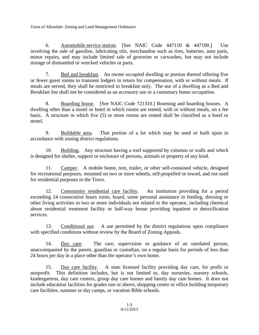6. Automobile service station. [See NAIC Code 447110 & 447190.] Use involving the sale of gasoline, lubricating oils, merchandise such as tires, batteries, auto parts, minor repairs, and may include limited sale of groceries or carwashes, but may not include storage of dismantled or wrecked vehicles or parts.

7. Bed and breakfast. An owner occupied dwelling or portion thereof offering five or fewer guest rooms to transient lodgers in return for compensation, with or without meals. If meals are served, they shall be restricted to breakfast only. The use of a dwelling as a Bed and Breakfast Inn shall not be considered as an accessory use or a customary home occupation.

8. Boarding house. [See NAIC Code 721310.] Rooming and boarding houses. A dwelling other than a motel or hotel in which rooms are rented, with or without meals, on a fee basis. A structure in which five (5) or more rooms are rented shall be classified as a hotel or motel.

9. Buildable area. That portion of a lot which may be used or built upon in accordance with zoning district regulations.

10. Building. Any structure having a roof supported by columns or walls and which is designed for shelter, support or enclosure of persons, animals or property of any kind.

11. Camper. A mobile home, tent, trailer, or other self-contained vehicle, designed for recreational purposes, mounted on two or more wheels, self-propelled or towed, and not used for residential purposes in the Town.

12. Community residential care facility. An institution providing for a period exceeding 24 consecutive hours room, board, some personal assistance in feeding, dressing or other living activities to two or more individuals not related to the operator, including chemical abuse residential treatment facility or half-way house providing inpatient or detoxification services.

13. Conditional use. A use permitted by the district regulations upon compliance with specified conditions without review by the Board of Zoning Appeals.

14. Day care. The care, supervision or guidance of an unrelated person, unaccompanied by the parent, guardian or custodian, on a regular basis for periods of less than 24 hours per day in a place other than the operator's own home.

15. Day care facility. A state licensed facility providing day care, for profit or nonprofit. This definition includes, but is not limited to, day nurseries, nursery schools, kindergartens, day care centers, group day care homes and family day care homes. It does not include education facilities for grades one or above, shopping center or office building temporary care facilities, summer or day camps, or vacation Bible schools.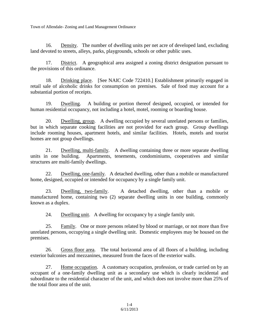16. Density. The number of dwelling units per net acre of developed land, excluding land devoted to streets, alleys, parks, playgrounds, schools or other public uses.

17. District. A geographical area assigned a zoning district designation pursuant to the provisions of this ordinance.

18. Drinking place. [See NAIC Code 722410.] Establishment primarily engaged in retail sale of alcoholic drinks for consumption on premises. Sale of food may account for a substantial portion of receipts.

19. Dwelling. A building or portion thereof designed, occupied, or intended for human residential occupancy, not including a hotel, motel, rooming or boarding house.

20. Dwelling, group. A dwelling occupied by several unrelated persons or families, but in which separate cooking facilities are not provided for each group. Group dwellings include rooming houses, apartment hotels, and similar facilities. Hotels, motels and tourist homes are not group dwellings.

21. Dwelling, multi-family. A dwelling containing three or more separate dwelling units in one building. Apartments, tenements, condominiums, cooperatives and similar structures are multi-family dwellings.

22. Dwelling, one-family. A detached dwelling, other than a mobile or manufactured home, designed, occupied or intended for occupancy by a single family unit.

23. Dwelling, two-family. A detached dwelling, other than a mobile or manufactured home, containing two (2) separate dwelling units in one building, commonly known as a duplex.

24. Dwelling unit. A dwelling for occupancy by a single family unit.

25. Family. One or more persons related by blood or marriage, or not more than five unrelated persons, occupying a single dwelling unit. Domestic employees may be housed on the premises.

26. Gross floor area. The total horizontal area of all floors of a building, including exterior balconies and mezzanines, measured from the faces of the exterior walls.

27. Home occupation. A customary occupation, profession, or trade carried on by an occupant of a one-family dwelling unit as a secondary use which is clearly incidental and subordinate to the residential character of the unit, and which does not involve more than 25% of the total floor area of the unit.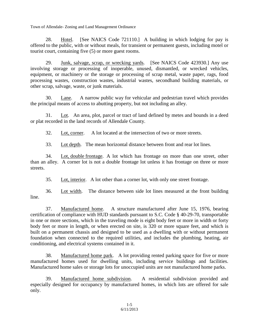28. Hotel. [See NAICS Code 721110.] A building in which lodging for pay is offered to the public, with or without meals, for transient or permanent guests, including motel or tourist court, containing five (5) or more guest rooms.

29. Junk, salvage, scrap, or wrecking yards. [See NAICS Code 423930.] Any use involving storage or processing of inoperable, unused, dismantled, or wrecked vehicles, equipment, or machinery or the storage or processing of scrap metal, waste paper, rags, food processing wastes, construction wastes, industrial wastes, secondhand building materials, or other scrap, salvage, waste, or junk materials.

30. Lane. A narrow public way for vehicular and pedestrian travel which provides the principal means of access to abutting property, but not including an alley.

31. Lot. An area, plot, parcel or tract of land defined by metes and bounds in a deed or plat recorded in the land records of Allendale County.

32. Lot, corner. A lot located at the intersection of two or more streets.

33. Lot depth. The mean horizontal distance between front and rear lot lines.

34. Lot, double frontage. A lot which has frontage on more than one street, other than an alley. A corner lot is not a double frontage lot unless it has frontage on three or more streets.

35. Lot, interior. A lot other than a corner lot, with only one street frontage.

36. Lot width. The distance between side lot lines measured at the front building line.

37. Manufactured home. A structure manufactured after June 15, 1976, bearing certification of compliance with HUD standards pursuant to S.C. Code § 40-29-70, transportable in one or more sections, which in the traveling mode is eight body feet or more in width or forty body feet or more in length, or when erected on site, is 320 or more square feet, and which is built on a permanent chassis and designed to be used as a dwelling with or without permanent foundation when connected to the required utilities, and includes the plumbing, heating, air conditioning, and electrical systems contained in it.

38. Manufactured home park. A lot providing rented parking space for five or more manufactured homes used for dwelling units, including service buildings and facilities. Manufactured home sales or storage lots for unoccupied units are not manufactured home parks.

39. Manufactured home subdivision. A residential subdivision provided and especially designed for occupancy by manufactured homes, in which lots are offered for sale only.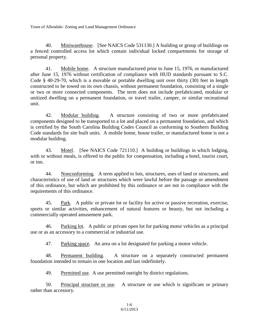40. Miniwarehouse. [See NAICS Code 531130.] A building or group of buildings on a fenced controlled access lot which contain individual locked compartments for storage of personal property.

41. Mobile home. A structure manufactured prior to June 15, 1976, or manufactured after June 15, 1976 without certification of compliance with HUD standards pursuant to S.C. Code § 40-29-70, which is a movable or portable dwelling unit over thirty (30) feet in length constructed to be towed on its own chassis, without permanent foundation, consisting of a single or two or more connected components. The term does not include prefabricated, modular or unitized dwelling on a permanent foundation, or travel trailer, camper, or similar recreational unit.

42. Modular building. A structure consisting of two or more prefabricated components designed to be transported to a lot and placed on a permanent foundation, and which is certified by the South Carolina Building Codes Council as conforming to Southern Building Code standards for site built units. A mobile home, house trailer, or manufactured home is not a modular building.

43. Motel. [See NAICS Code 721110.] A building or buildings in which lodging, with or without meals, is offered to the public for compensation, including a hotel, tourist court, or inn.

44. Nonconforming. A term applied to lots, structures, uses of land or structures, and characteristics of use of land or structures which were lawful before the passage or amendment of this ordinance, but which are prohibited by this ordinance or are not in compliance with the requirements of this ordinance.

45. Park. A public or private lot or facility for active or passive recreation, exercise, sports or similar activities, enhancement of natural features or beauty, but not including a commercially operated amusement park.

46. Parking lot. A public or private open lot for parking motor vehicles as a principal use or as an accessory to a commercial or industrial use.

47. Parking space. An area on a lot designated for parking a motor vehicle.

48. Permanent building. A structure on a separately constructed permanent foundation intended to remain in one location and last indefinitely.

49. Permitted use. A use permitted outright by district regulations.

50. Principal structure or use. A structure or use which is significant or primary rather than accessory.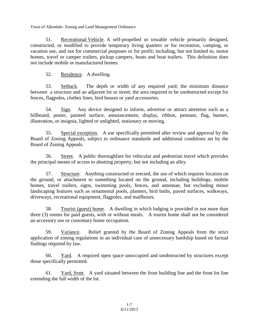51. Recreational Vehicle. A self-propelled or towable vehicle primarily designed, constructed, or modified to provide temporary living quarters or for recreation, camping, or vacation use, and not for commercial purposes or for profit; including, but not limited to, motor homes, travel or camper trailers, pickup campers, boats and boat trailers. This definition does not include mobile or manufactured homes.

52. Residence. A dwelling.

53. Setback. The depth or width of any required yard; the minimum distance between a structure and an adjacent lot or street; the area required to be unobstructed except for fences, flagpoles, clothes lines, bird houses or yard accessories.

54. Sign. Any device designed to inform, advertise or attract attention such as a billboard, poster, painted surface, announcement, display, ribbon, pennant, flag, banner, illustration, or insignia, lighted or unlighted, stationary or moving.

55. Special exception. A use specifically permitted after review and approval by the Board of Zoning Appeals, subject to ordinance standards and additional conditions set by the Board of Zoning Appeals.

56. Street. A public thoroughfare for vehicular and pedestrian travel which provides the principal means of access to abutting property, but not including an alley.

57. Structure. Anything constructed or erected, the use of which requires location on the ground, or attachment to something located on the ground, including buildings, mobile homes, travel trailers, signs, swimming pools, fences, and antennae, but excluding minor landscaping features such as ornamental pools, planters, bird baths, paved surfaces, walkways, driveways, recreational equipment, flagpoles, and mailboxes.

58. Tourist (guest) home. A dwelling in which lodging is provided in not more than three (3) rooms for paid guests, with or without meals. A tourist home shall not be considered an accessory use or customary home occupation.

59. Variance. Relief granted by the Board of Zoning Appeals from the strict application of zoning regulations in an individual case of unnecessary hardship based on factual findings required by law.

60. Yard. A required open space unoccupied and unobstructed by structures except those specifically permitted.

61. Yard, front. A yard situated between the front building line and the front lot line extending the full width of the lot.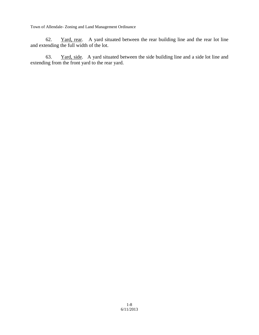62. Yard, rear. A yard situated between the rear building line and the rear lot line and extending the full width of the lot.

63. Yard, side. A yard situated between the side building line and a side lot line and extending from the front yard to the rear yard.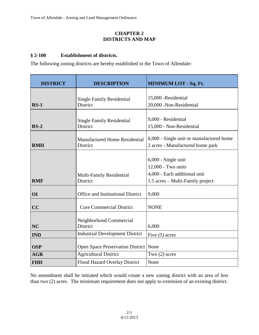#### **CHAPTER 2 DISTRICTS AND MAP**

#### **§ 2-100 Establishment of districts.**

The following zoning districts are hereby established in the Town of Allendale:

| <b>DISTRICT</b><br><b>DESCRIPTION</b> |                                                  | <b>MINIMUM LOT - Sq. Ft.</b>                                                                                    |  |
|---------------------------------------|--------------------------------------------------|-----------------------------------------------------------------------------------------------------------------|--|
| $RS-1$                                | <b>Single Family Residential</b><br>District     | 15,000 - Residential<br>20,000 -Non-Residential                                                                 |  |
| $RS-2$                                | <b>Single Family Residential</b><br>District     | 9,000 - Residential<br>15,000 - Non-Residential                                                                 |  |
| <b>RMH</b>                            | <b>Manufactured Home Residential</b><br>District | 6,000 - Single unit or manufactured home<br>2 acres - Manufactured home park                                    |  |
| <b>RMF</b>                            | Multi-Family Residential<br>District             | $6,000$ - Single unit<br>12,000 - Two units<br>4,000 - Each additional unit<br>1.5 acres – Multi-Family project |  |
| <b>OI</b>                             | Office and Institutional District                | 9,000                                                                                                           |  |
| CC                                    | <b>Core Commercial District</b>                  | <b>NONE</b>                                                                                                     |  |
| <b>NC</b>                             | Neighborhood Commercial<br>District              | 6,000                                                                                                           |  |
| <b>IND</b>                            | <b>Industrial Development District</b>           | Five $(5)$ acres                                                                                                |  |
| <b>OSP</b>                            | Open Space Preservation District None            |                                                                                                                 |  |
| <b>AGR</b>                            | <b>Agricultural District</b>                     | Two $(2)$ acres                                                                                                 |  |
| <b>FHD</b>                            | <b>Flood Hazard Overlay District</b>             | None                                                                                                            |  |

No amendment shall be initiated which would create a new zoning district with an area of less than two (2) acres. The minimum requirement does not apply to extension of an existing district.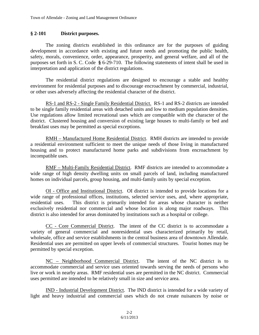#### **§ 2-101 District purposes.**

The zoning districts established in this ordinance are for the purposes of guiding development in accordance with existing and future needs and promoting the public health, safety, morals, convenience, order, appearance, prosperity, and general welfare, and all of the purposes set forth in S. C. Code **§** 6-29-710. The following statements of intent shall be used in interpretation and application of the district regulations.

The residential district regulations are designed to encourage a stable and healthy environment for residential purposes and to discourage encroachment by commercial, industrial, or other uses adversely affecting the residential character of the district.

RS-1 and RS-2 - Single Family Residential District. RS-1 and RS-2 districts are intended to be single family residential areas with detached units and low to medium population densities. Use regulations allow limited recreational uses which are compatible with the character of the district. Clustered housing and conversion of existing large houses to multi-family or bed and breakfast uses may be permitted as special exceptions.

RMH – Manufactured Home Residential District. RMH districts are intended to provide a residential environment sufficient to meet the unique needs of those living in manufactured housing and to protect manufactured home parks and subdivisions from encroachment by incompatible uses.

RMF – Multi-Family Residential District. RMF districts are intended to accommodate a wide range of high density dwelling units on small parcels of land, including manufactured homes on individual parcels, group housing, and multi-family units by special exception.

OI - Office and Institutional District. OI district is intended to provide locations for a wide range of professional offices, institutions, selected service uses, and, where appropriate, residential uses. This district is primarily intended for areas whose character is neither exclusively residential nor commercial and whose location is along major roadways. This district is also intended for areas dominated by institutions such as a hospital or college.

CC - Core Commercial District. The intent of the CC district is to accommodate a variety of general commercial and nonresidential uses characterized primarily by retail, wholesale, office and service establishments in the central business area of downtown Allendale. Residential uses are permitted on upper levels of commercial structures. Tourist homes may be permitted by special exception.

NC – Neighborhood Commercial District. The intent of the NC district is to accommodate commercial and service uses oriented towards serving the needs of persons who live or work in nearby areas. RMF residential uses are permitted in the NC district. Commercial uses permitted are intended to be relatively small in size and service area.

IND - Industrial Development District. The IND district is intended for a wide variety of light and heavy industrial and commercial uses which do not create nuisances by noise or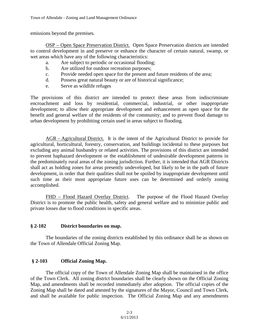emissions beyond the premises.

OSP – Open Space Preservation District. Open Space Preservation districts are intended to control development in and preserve or enhance the character of certain natural, swamp, or wet areas which have any of the following characteristics:

- a. Are subject to periodic or occasional flooding;
- b. Are utilized for outdoor recreation purposes;
- c. Provide needed open space for the present and future residents of the area;
- d. Possess great natural beauty or are of historical significance;
- e. Serve as wildlife refuges

The provisions of this district are intended to protect these areas from indiscriminate encroachment and loss by residential, commercial, industrial, or other inappropriate development; to allow their appropriate development and enhancement as open space for the benefit and general welfare of the residents of the community; and to prevent flood damage to urban development by prohibiting certain used in areas subject to flooding.

AGR – Agricultural District. It is the intent of the Agricultural District to provide for agricultural, horticultural, forestry, conservation, and buildings incidental to these purposes but excluding any animal husbandry or related activities. The provisions of this district are intended to prevent haphazard development or the establishment of undesirable development patterns in the predominately rural areas of the zoning jurisdiction. Further, it is intended that AGR Districts shall act as holding zones for areas presently undeveloped, but likely to be in the path of future development, in order that their qualities shall not be spoiled by inappropriate development until such time as their most appropriate future uses can be determined and orderly zoning accomplished.

FHD – Flood Hazard Overlay District. The purpose of the Flood Hazard Overlay District is to promote the public health, safety and general welfare and to minimize public and private losses due to flood conditions in specific areas.

#### **§ 2-102 District boundaries on map.**

The boundaries of the zoning districts established by this ordinance shall be as shown on the Town of Allendale Official Zoning Map.

#### **§ 2-103 Official Zoning Map.**

The official copy of the Town of Allendale Zoning Map shall be maintained in the office of the Town Clerk. All zoning district boundaries shall be clearly shown on the Official Zoning Map, and amendments shall be recorded immediately after adoption. The official copies of the Zoning Map shall be dated and attested by the signatures of the Mayor, Council and Town Clerk, and shall be available for public inspection. The Official Zoning Map and any amendments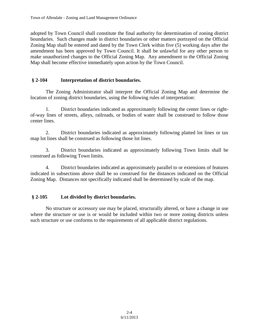adopted by Town Council shall constitute the final authority for determination of zoning district boundaries. Such changes made in district boundaries or other matters portrayed on the Official Zoning Map shall be entered and dated by the Town Clerk within five (5) working days after the amendment has been approved by Town Council. It shall be unlawful for any other person to make unauthorized changes to the Official Zoning Map. Any amendment to the Official Zoning Map shall become effective immediately upon action by the Town Council.

#### **§ 2-104 Interpretation of district boundaries.**

The Zoning Administrator shall interpret the Official Zoning Map and determine the location of zoning district boundaries, using the following rules of interpretation:

1. District boundaries indicated as approximately following the center lines or rightof-way lines of streets, alleys, railroads, or bodies of water shall be construed to follow those center lines.

2. District boundaries indicated as approximately following platted lot lines or tax map lot lines shall be construed as following those lot lines.

3. District boundaries indicated as approximately following Town limits shall be construed as following Town limits.

4. District boundaries indicated as approximately parallel to or extensions of features indicated in subsections above shall be so construed for the distances indicated on the Official Zoning Map. Distances not specifically indicated shall be determined by scale of the map.

#### **§ 2-105 Lot divided by district boundaries.**

No structure or accessory use may be placed, structurally altered, or have a change in use where the structure or use is or would be included within two or more zoning districts unless such structure or use conforms to the requirements of all applicable district regulations.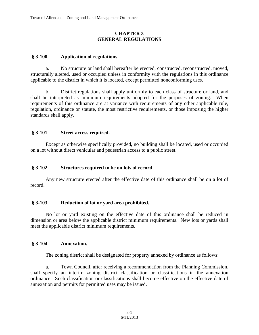#### **CHAPTER 3 GENERAL REGULATIONS**

#### **§ 3-100 Application of regulations.**

a. No structure or land shall hereafter be erected, constructed, reconstructed, moved, structurally altered, used or occupied unless in conformity with the regulations in this ordinance applicable to the district in which it is located, except permitted nonconforming uses.

b. District regulations shall apply uniformly to each class of structure or land, and shall be interpreted as minimum requirements adopted for the purposes of zoning. When requirements of this ordinance are at variance with requirements of any other applicable rule, regulation, ordinance or statute, the most restrictive requirements, or those imposing the higher standards shall apply.

#### **§ 3-101 Street access required.**

Except as otherwise specifically provided, no building shall be located, used or occupied on a lot without direct vehicular and pedestrian access to a public street.

#### **§ 3-102 Structures required to be on lots of record.**

Any new structure erected after the effective date of this ordinance shall be on a lot of record.

#### **§ 3-103 Reduction of lot or yard area prohibited.**

No lot or yard existing on the effective date of this ordinance shall be reduced in dimension or area below the applicable district minimum requirements. New lots or yards shall meet the applicable district minimum requirements.

#### **§ 3-104 Annexation.**

The zoning district shall be designated for property annexed by ordinance as follows:

a. Town Council, after receiving a recommendation from the Planning Commission, shall specify an interim zoning district classification or classifications in the annexation ordinance. Such classification or classifications shall become effective on the effective date of annexation and permits for permitted uses may be issued.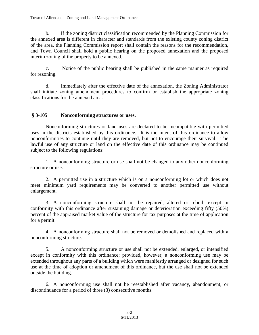b. If the zoning district classification recommended by the Planning Commission for the annexed area is different in character and standards from the existing county zoning district of the area, the Planning Commission report shall contain the reasons for the recommendation, and Town Council shall hold a public hearing on the proposed annexation and the proposed interim zoning of the property to be annexed.

c. Notice of the public hearing shall be published in the same manner as required for rezoning.

d. Immediately after the effective date of the annexation, the Zoning Administrator shall initiate zoning amendment procedures to confirm or establish the appropriate zoning classifications for the annexed area.

#### **§ 3-105 Nonconforming structures or uses.**

Nonconforming structures or land uses are declared to be incompatible with permitted uses in the districts established by this ordinance. It is the intent of this ordinance to allow nonconformities to continue until they are removed, but not to encourage their survival. The lawful use of any structure or land on the effective date of this ordinance may be continued subject to the following regulations:

1. A nonconforming structure or use shall not be changed to any other nonconforming structure or use.

2. A permitted use in a structure which is on a nonconforming lot or which does not meet minimum yard requirements may be converted to another permitted use without enlargement.

3. A nonconforming structure shall not be repaired, altered or rebuilt except in conformity with this ordinance after sustaining damage or deterioration exceeding fifty (50%) percent of the appraised market value of the structure for tax purposes at the time of application for a permit.

4. A nonconforming structure shall not be removed or demolished and replaced with a nonconforming structure.

5. A nonconforming structure or use shall not be extended, enlarged, or intensified except in conformity with this ordinance; provided, however, a nonconforming use may be extended throughout any parts of a building which were manifestly arranged or designed for such use at the time of adoption or amendment of this ordinance, but the use shall not be extended outside the building.

6. A nonconforming use shall not be reestablished after vacancy, abandonment, or discontinuance for a period of three (3) consecutive months.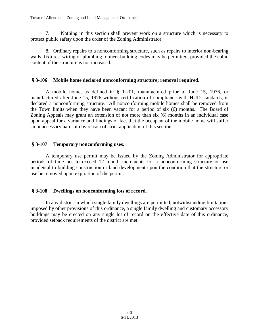7. Nothing in this section shall prevent work on a structure which is necessary to protect public safety upon the order of the Zoning Administrator.

8. Ordinary repairs to a nonconforming structure, such as repairs to interior non-bearing walls, fixtures, wiring or plumbing to meet building codes may be permitted, provided the cubic content of the structure is not increased.

#### **§ 3-106 Mobile home declared nonconforming structure; removal required.**

A mobile home, as defined in § 1-201, manufactured prior to June 15, 1976, or manufactured after June 15, 1976 without certification of compliance with HUD standards, is declared a nonconforming structure. All nonconforming mobile homes shall be removed from the Town limits when they have been vacant for a period of six (6) months. The Board of Zoning Appeals may grant an extension of not more than six (6) months in an individual case upon appeal for a variance and findings of fact that the occupant of the mobile home will suffer an unnecessary hardship by reason of strict application of this section.

#### **§ 3-107 Temporary nonconforming uses.**

A temporary use permit may be issued by the Zoning Administrator for appropriate periods of time not to exceed 12 month increments for a nonconforming structure or use incidental to building construction or land development upon the condition that the structure or use be removed upon expiration of the permit.

#### **§ 3-108 Dwellings on nonconforming lots of record.**

In any district in which single family dwellings are permitted, notwithstanding limitations imposed by other provisions of this ordinance, a single family dwelling and customary accessory buildings may be erected on any single lot of record on the effective date of this ordinance, provided setback requirements of the district are met.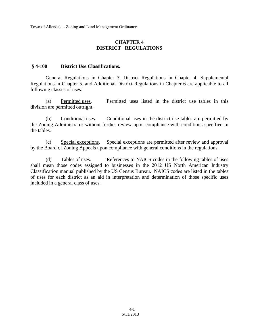#### **CHAPTER 4 DISTRICT REGULATIONS**

#### **§ 4-100 District Use Classifications.**

General Regulations in Chapter 3, District Regulations in Chapter 4, Supplemental Regulations in Chapter 5, and Additional District Regulations in Chapter 6 are applicable to all following classes of uses:

(a) Permitted uses. Permitted uses listed in the district use tables in this division are permitted outright.

(b) Conditional uses. Conditional uses in the district use tables are permitted by the Zoning Administrator without further review upon compliance with conditions specified in the tables.

(c) Special exceptions. Special exceptions are permitted after review and approval by the Board of Zoning Appeals upon compliance with general conditions in the regulations.

(d) Tables of uses. References to NAICS codes in the following tables of uses shall mean those codes assigned to businesses in the 2012 US North American Industry Classification manual published by the US Census Bureau. NAICS codes are listed in the tables of uses for each district as an aid in interpretation and determination of those specific uses included in a general class of uses.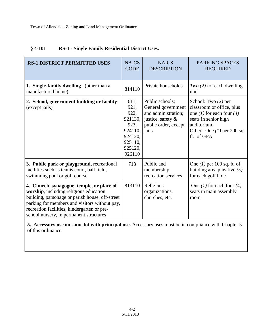| <b>RS-1 DISTRICT PERMITTED USES</b>                                                                                                                                                                                                                                               | <b>NAICS</b><br><b>CODE</b>                                                                   | <b>NAICS</b><br><b>DESCRIPTION</b>                                                                                  | <b>PARKING SPACES</b><br><b>REQUIRED</b>                                                                                                                             |
|-----------------------------------------------------------------------------------------------------------------------------------------------------------------------------------------------------------------------------------------------------------------------------------|-----------------------------------------------------------------------------------------------|---------------------------------------------------------------------------------------------------------------------|----------------------------------------------------------------------------------------------------------------------------------------------------------------------|
| 1. Single-family dwelling (other than a<br>manufactured home),                                                                                                                                                                                                                    | 814110                                                                                        | Private households                                                                                                  | $Two (2)$ for each dwelling<br>unit                                                                                                                                  |
| 2. School, government building or facility<br>(except jails)                                                                                                                                                                                                                      | 611,<br>921,<br>922,<br>921130.<br>923,<br>924110,<br>924120,<br>925110,<br>925120,<br>926110 | Public schools;<br>General government<br>and administration;<br>justice, safety &<br>public order, except<br>jails. | School: Two $(2)$ per<br>classroom or office, plus<br>one (1) for each four (4)<br>seats in senior high<br>auditorium.<br>Other: One $(1)$ per 200 sq.<br>ft. of GFA |
| 3. Public park or playground, recreational<br>facilities such as tennis court, ball field,<br>swimming pool or golf course                                                                                                                                                        | 713                                                                                           | Public and<br>membership<br>recreation services                                                                     | One $(1)$ per 100 sq. ft. of<br>building area plus five $(5)$<br>for each golf hole                                                                                  |
| 4. Church, synagogue, temple, or place of<br>worship, including religious education<br>building, parsonage or parish house, off-street<br>parking for members and visitors without pay,<br>recreation facilities, kindergarten or pre-<br>school nursery, in permanent structures | 813110                                                                                        | Religious<br>organizations,<br>churches, etc.                                                                       | One (1) for each four (4)<br>seats in main assembly<br>room                                                                                                          |

#### **§ 4-101 RS-1 - Single Family Residential District Uses.**

**5. Accessory use on same lot with principal use.** Accessory uses must be in compliance with Chapter 5 of this ordinance.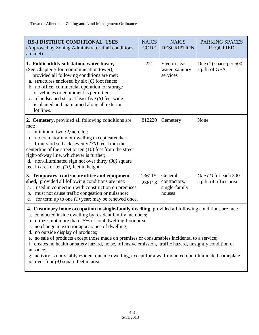| <b>RS-1 DISTRICT CONDITIONAL USES</b><br>(Approved by Zoning Administrator if all conditions<br>are met)                                                                                                                                                                                                                                                                                                                                                                                                                                         | <b>NAICS</b><br><b>CODE</b> | <b>NAICS</b><br><b>DESCRIPTION</b>                 | <b>PARKING SPACES</b><br><b>REQUIRED</b>         |  |  |
|--------------------------------------------------------------------------------------------------------------------------------------------------------------------------------------------------------------------------------------------------------------------------------------------------------------------------------------------------------------------------------------------------------------------------------------------------------------------------------------------------------------------------------------------------|-----------------------------|----------------------------------------------------|--------------------------------------------------|--|--|
| 1. Public utility substation, water tower,<br>(See Chapter 5 for communication tower),<br>provided all following conditions are met:<br>a. structures enclosed by six $(6)$ foot fence;<br>b. no office, commercial operation, or storage<br>of vehicles or equipment is permitted;<br>c. a landscaped strip at least five $(5)$ feet wide<br>is planted and maintained along all exterior<br>lot lines.                                                                                                                                         | 221                         | Electric, gas,<br>water, sanitary<br>services      | One $(1)$ space per 500<br>sq. ft. of GFA        |  |  |
| 2. Cemetery, provided all following conditions are<br>met:<br>a. minimum two $(2)$ acre lot;<br>b. no crematorium or dwelling except caretaker;<br>front yard setback seventy $(70)$ feet from the<br>centerline of the street or ten (10) feet from the street<br>right-of-way line, whichever is further;<br>d. non-illuminated sign not over thirty $(30)$ square<br>feet in area or ten $(10)$ feet in height.                                                                                                                               | 812220                      | Cemetery                                           | None                                             |  |  |
| 3. Temporary contractor office and equipment<br>shed, provided all following conditions are met:<br>used in connection with construction on premises;<br>a.<br>must not cause traffic congestion or nuisance;<br>b.<br>for term up to one $(1)$ year; may be renewed once.<br>c.                                                                                                                                                                                                                                                                 | 236115,<br>236118           | General<br>contractors,<br>single-family<br>houses | One $(1)$ for each 300<br>sq. ft. of office area |  |  |
| 4. Customary home occupation in single-family dwelling, provided all following conditions are met:<br>a. conducted inside dwelling by resident family members;<br>b. utilizes not more than 25% of total dwelling floor area,<br>c. no change in exterior appearance of dwelling;<br>d. no outside display of products;<br>e. no sale of products except those made on premises or consumables incidental to a service;<br>f. creates no health or safety hazard, noise, offensive emission, traffic hazard, unsightly condition or<br>nuisance; |                             |                                                    |                                                  |  |  |

g. activity is not visibly evident outside dwelling, except for a wall-mounted non illuminated nameplate not over four *(4)* square feet in area.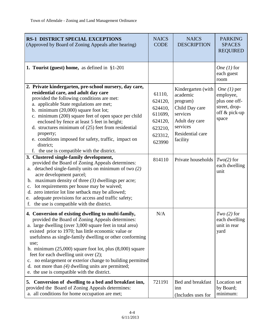| <b>RS-1 DISTRICT SPECIAL EXCEPTIONS</b><br>(Approved by Board of Zoning Appeals after hearing)                                                                                                                                                                                                                                                                                                                                                                                                                                                                                  | <b>NAICS</b><br><b>CODE</b>                                                        | <b>NAICS</b><br><b>DESCRIPTION</b>                                                                                                     | <b>PARKING</b><br><b>SPACES</b><br><b>REQUIRED</b>                                            |
|---------------------------------------------------------------------------------------------------------------------------------------------------------------------------------------------------------------------------------------------------------------------------------------------------------------------------------------------------------------------------------------------------------------------------------------------------------------------------------------------------------------------------------------------------------------------------------|------------------------------------------------------------------------------------|----------------------------------------------------------------------------------------------------------------------------------------|-----------------------------------------------------------------------------------------------|
| 1. Tourist (guest) home, as defined in $§1-201$                                                                                                                                                                                                                                                                                                                                                                                                                                                                                                                                 |                                                                                    |                                                                                                                                        | One $(1)$ for<br>each guest<br>room                                                           |
| 2. Private kindergarten, pre-school nursery, day care,<br>residential care, and adult day care<br>provided the following conditions are met:<br>a. applicable State regulations are met;<br>b. minimum $(20,000)$ square foot lot;<br>c. minimum (200) square feet of open space per child<br>enclosed by fence at least 5 feet in height;<br>d. structures minimum of $(25)$ feet from residential<br>property;<br>e. conditions imposed for safety, traffic, impact on<br>district;<br>f. the use is compatible with the district.                                            | 61110,<br>624120,<br>624410,<br>611699,<br>624120,<br>623210,<br>623312,<br>623990 | Kindergarten (with<br>academic<br>program)<br>Child Day care<br>services<br>Adult day care<br>services<br>Residential care<br>facility | <i>One</i> $(1)$ per<br>employee,<br>plus one off-<br>street, drop-<br>off & pick-up<br>space |
| 3. Clustered single-family development,<br>provided the Board of Zoning Appeals determines:<br>a. detached single-family units on minimum of two $(2)$<br>acre development parcel;<br>maximum density of three $(3)$ dwellings per acre;<br>b.<br>lot requirements per house may be waived;<br>c.<br>zero interior lot line setback may be allowed;<br>d.<br>adequate provisions for access and traffic safety;<br>e.<br>the use is compatible with the district.<br>f.                                                                                                         | 814110                                                                             | Private households                                                                                                                     | $Two(2)$ for<br>each dwelling<br>unit                                                         |
| 4. Conversion of existing dwelling to multi-family,<br>provided the Board of Zoning Appeals determines:<br>a. large dwelling (over 3,000 square feet in total area)<br>existed prior to 1970; has little economic value or<br>usefulness as single-family dwelling or other conforming<br>use;<br>b. minimum $(25,000)$ square foot lot, plus $(8,000)$ square<br>feet for each dwelling unit over (2);<br>no enlargement or exterior change to building permitted<br>c.<br>d. not more than $(4)$ dwelling units are permitted;<br>e. the use is compatible with the district. | N/A                                                                                |                                                                                                                                        | $Two(2)$ for<br>each dwelling<br>unit in rear<br>yard                                         |
| 5.<br>Conversion of dwelling to a bed and breakfast inn,<br>provided the Board of Zoning Appeals determines:<br>a. all conditions for home occupation are met;                                                                                                                                                                                                                                                                                                                                                                                                                  | 721191                                                                             | Bed and breakfast<br>inn<br>(Includes uses for                                                                                         | Location set<br>by Board;<br>minimum:                                                         |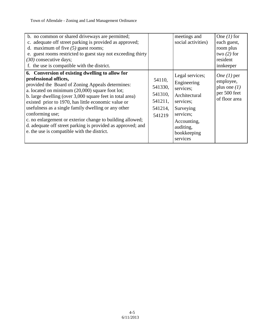| b. no common or shared driveways are permitted;<br>c. adequate off street parking is provided as approved;<br>d. maximum of five $(5)$ guest rooms;<br>e. guest rooms restricted to guest stay not exceeding thirty<br>$(30)$ consecutive days;<br>f. the use is compatible with the district.<br>6. Conversion of existing dwelling to allow for                                                                                                                                                      |                                                              | meetings and<br>social activities)                                                                                                                         | One $(1)$ for<br>each guest,<br>room plus<br>two $(2)$ for<br>resident<br>innkeeper  |
|--------------------------------------------------------------------------------------------------------------------------------------------------------------------------------------------------------------------------------------------------------------------------------------------------------------------------------------------------------------------------------------------------------------------------------------------------------------------------------------------------------|--------------------------------------------------------------|------------------------------------------------------------------------------------------------------------------------------------------------------------|--------------------------------------------------------------------------------------|
| professional offices,<br>provided the Board of Zoning Appeals determines:<br>a. located on minimum $(20,000)$ square foot lot;<br>b. large dwelling (over 3,000 square feet in total area)<br>existed prior to 1970, has little economic value or<br>usefulness as a single family dwelling or any other<br>conforming use;<br>c. no enlargement or exterior change to building allowed;<br>d. adequate off street parking is provided as approved; and<br>e. the use is compatible with the district. | 54110,<br>541330,<br>541310,<br>541211,<br>541214,<br>541219 | Legal services;<br>Engineering<br>services;<br>Architectural<br>services;<br>Surveying<br>services;<br>Accounting,<br>auditing,<br>bookkeeping<br>services | <i>One</i> $(l)$ per<br>employee,<br>plus one $(1)$<br>per 500 feet<br>of floor area |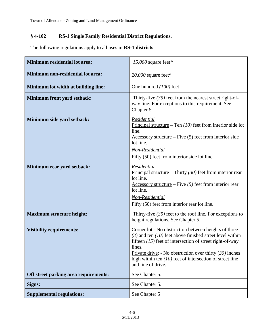# **§ 4-102 RS-1 Single Family Residential District Regulations.**

The following regulations apply to all uses in **RS-1 districts**:

| <b>Minimum residential lot area:</b>  | 15,000 square feet*                                                                                                                                                                                                                                                                                                                           |  |  |  |
|---------------------------------------|-----------------------------------------------------------------------------------------------------------------------------------------------------------------------------------------------------------------------------------------------------------------------------------------------------------------------------------------------|--|--|--|
| Minimum non-residential lot area:     | 20,000 square feet*                                                                                                                                                                                                                                                                                                                           |  |  |  |
| Minimum lot width at building line:   | One hundred (100) feet                                                                                                                                                                                                                                                                                                                        |  |  |  |
| Minimum front yard setback:           | Thirty-five $(35)$ feet from the nearest street right-of-<br>way line: For exceptions to this requirement, See<br>Chapter 5.                                                                                                                                                                                                                  |  |  |  |
| Minimum side yard setback:            | Residential<br>Principal structure – Ten $(10)$ feet from interior side lot<br>line.<br>$\Delta$ ccessory structure – Five (5) feet from interior side<br>lot line.<br>Non-Residential<br>Fifty (50) feet from interior side lot line.                                                                                                        |  |  |  |
| Minimum rear yard setback:            | Residential<br>Principal structure – Thirty $(30)$ feet from interior rear<br>lot line.<br>Accessory structure – Five $(5)$ feet from interior rear<br>lot line.<br>Non-Residential<br>Fifty (50) feet from interior rear lot line.                                                                                                           |  |  |  |
| <b>Maximum structure height:</b>      | Thirty-five $(35)$ feet to the roof line. For exceptions to<br>height regulations, See Chapter 5.                                                                                                                                                                                                                                             |  |  |  |
| <b>Visibility requirements:</b>       | Corner lot - No obstruction between heights of three<br>$(3)$ and ten $(10)$ feet above finished street level within<br>fifteen $(15)$ feet of intersection of street right-of-way<br>lines.<br>Private drive: - No obstruction over thirty $(30)$ inches<br>high within ten $(10)$ feet of intersection of street line<br>and line of drive. |  |  |  |
| Off street parking area requirements: | See Chapter 5.                                                                                                                                                                                                                                                                                                                                |  |  |  |
| Signs:                                | See Chapter 5.                                                                                                                                                                                                                                                                                                                                |  |  |  |
| <b>Supplemental regulations:</b>      | See Chapter 5                                                                                                                                                                                                                                                                                                                                 |  |  |  |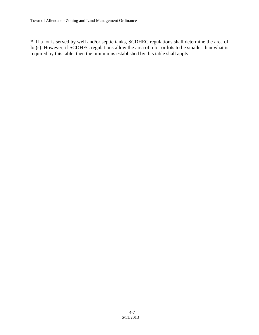\* If a lot is served by well and/or septic tanks, SCDHEC regulations shall determine the area of lot(s). However, if SCDHEC regulations allow the area of a lot or lots to be smaller than what is required by this table, then the minimums established by this table shall apply.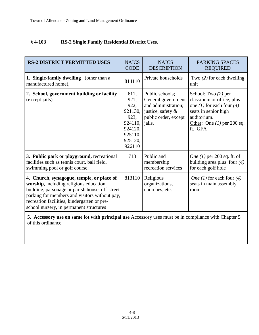#### **§ 4-103 RS-2 Single Family Residential District Uses.**

| <b>RS-2 DISTRICT PERMITTED USES</b>                                                                                                                                                                                                                                               | <b>NAICS</b><br><b>CODE</b>                                                                   | <b>NAICS</b><br><b>DESCRIPTION</b>                                                                                     | <b>PARKING SPACES</b><br><b>REQUIRED</b>                                                                                                                          |
|-----------------------------------------------------------------------------------------------------------------------------------------------------------------------------------------------------------------------------------------------------------------------------------|-----------------------------------------------------------------------------------------------|------------------------------------------------------------------------------------------------------------------------|-------------------------------------------------------------------------------------------------------------------------------------------------------------------|
| 1. Single-family dwelling (other than a<br>manufactured home),                                                                                                                                                                                                                    | 814110                                                                                        | Private households                                                                                                     | Two $(2)$ for each dwelling<br>unit                                                                                                                               |
| 2. School, government building or facility<br>(except jails)                                                                                                                                                                                                                      | 611,<br>921,<br>922,<br>921130,<br>923,<br>924110,<br>924120,<br>925110,<br>925120,<br>926110 | Public schools;<br>General government<br>and administration;<br>justice, safety $\&$<br>public order, except<br>jails. | School: Two $(2)$ per<br>classroom or office, plus<br>one (1) for each four (4)<br>seats in senior high<br>auditorium.<br>Other: One $(1)$ per 200 sq.<br>ft. GFA |
| 3. Public park or playground, recreational<br>facilities such as tennis court, ball field,<br>swimming pool or golf course.                                                                                                                                                       | 713                                                                                           | Public and<br>membership<br>recreation services                                                                        | <i>One</i> $(1)$ per 200 sq. ft. of<br>building area plus four $(4)$<br>for each golf hole                                                                        |
| 4. Church, synagogue, temple, or place of<br>worship, including religious education<br>building, parsonage or parish house, off-street<br>parking for members and visitors without pay,<br>recreation facilities, kindergarten or pre-<br>school nursery, in permanent structures | 813110                                                                                        | Religious<br>organizations,<br>churches, etc.                                                                          | <i>One</i> (1) for each four (4)<br>seats in main assembly<br>room                                                                                                |

**5. Accessory use on same lot with principal use** Accessory uses must be in compliance with Chapter 5 of this ordinance.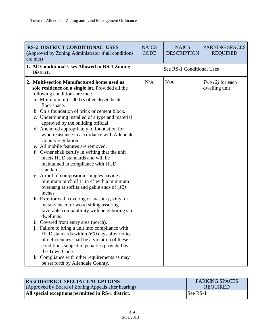| <b>RS-2 DISTRICT CONDITIONAL USES</b><br>(Approved by Zoning Administrator if all conditions<br>are met)                                                                                                                                                                                                                                                                                                                                                                                                                                                                                                                                                                                                                                                                                                                                                                                                                                                                                                                                                                                                                                                                                                                                                                       | <b>NAICS</b><br><b>CODE</b> | <b>NAICS</b><br><b>DESCRIPTION</b> | PARKING SPACES<br><b>REQUIRED</b>   |
|--------------------------------------------------------------------------------------------------------------------------------------------------------------------------------------------------------------------------------------------------------------------------------------------------------------------------------------------------------------------------------------------------------------------------------------------------------------------------------------------------------------------------------------------------------------------------------------------------------------------------------------------------------------------------------------------------------------------------------------------------------------------------------------------------------------------------------------------------------------------------------------------------------------------------------------------------------------------------------------------------------------------------------------------------------------------------------------------------------------------------------------------------------------------------------------------------------------------------------------------------------------------------------|-----------------------------|------------------------------------|-------------------------------------|
| 1. All Conditional Uses Allowed in RS-1 Zoning<br>District.                                                                                                                                                                                                                                                                                                                                                                                                                                                                                                                                                                                                                                                                                                                                                                                                                                                                                                                                                                                                                                                                                                                                                                                                                    |                             | See RS-1 Conditional Uses          |                                     |
| 2. Multi-section-Manufactured home used as<br>sole residence on a single lot. Provided all the<br>following conditions are met:<br>a. Minimum of $(1,000)$ s of enclosed heater<br>floor space.<br>b. On a foundation of brick or cement block.<br>c. Underpinning installed of a type and material<br>approved by the building official<br>d. Anchored appropriately to foundation for<br>wind resistance in accordance with Allendale<br>County regulation.<br>e. All mobile features are removed.<br>f. Owner shall certify in writing that the unit<br>meets HUD standards and will be<br>maintained in compliance with HUD<br>standards.<br>g. A roof of composition shingles having a<br>minimum pitch of $1'$ in $4'$ with a minimum<br>overhang at soffits and gable ends of $(12)$<br>inches.<br>h. Exterior wall covering of masonry, vinyl or<br>metal veneer, or wood siding assuring<br>favorable compatibility with neighboring site<br>dwellings.<br>i. Covered front entry area (porch).<br>j. Failure to bring a unit into compliance with<br>HUD standards within $(60)$ days after notice<br>of deficiencies shall be a violation of these<br>conditions subject to penalties provided by<br>the Town Code.<br>k. Compliance with other requirements as may | N/A                         | N/A                                | Two $(2)$ for each<br>dwelling unit |

| <b>RS-2 DISTRICT SPECIAL EXCEPTIONS</b>             | <b>PARKING SPACES</b> |
|-----------------------------------------------------|-----------------------|
| (Approved by Board of Zoning Appeals after hearing) | <b>REOUIRED</b>       |
| All special exceptions permitted in RS-1 district.  | See RS-1              |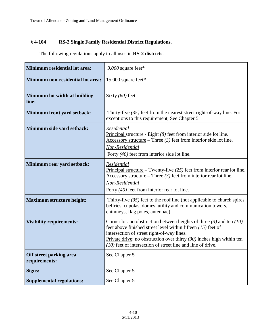### **§ 4-104 RS-2 Single Family Residential District Regulations.**

The following regulations apply to all uses in **RS-2 districts**:

| Minimum residential lot area:            | $9,000$ square feet*                                                                                                                                                                                                                                                                                                                 |
|------------------------------------------|--------------------------------------------------------------------------------------------------------------------------------------------------------------------------------------------------------------------------------------------------------------------------------------------------------------------------------------|
| Minimum non-residential lot area:        | 15,000 square feet*                                                                                                                                                                                                                                                                                                                  |
| Minimum lot width at building<br>line:   | Sixty $(60)$ feet                                                                                                                                                                                                                                                                                                                    |
| Minimum front yard setback:              | Thirty-five $(35)$ feet from the nearest street right-of-way line: For<br>exceptions to this requirement, See Chapter 5                                                                                                                                                                                                              |
| Minimum side yard setback:               | Residential<br>Principal structure - Eight $(8)$ feet from interior side lot line.<br>Accessory structure – Three $(3)$ feet from interior side lot line.<br>Non-Residential<br>Forty $(40)$ feet from interior side lot line.                                                                                                       |
| Minimum rear yard setback:               | Residential<br>Principal structure – Twenty-five $(25)$ feet from interior rear lot line.<br>Accessory structure – Three $(3)$ feet from interior rear lot line.<br>Non-Residential<br>Forty $(40)$ feet from interior rear lot line.                                                                                                |
| <b>Maximum structure height:</b>         | Thirty-five $(35)$ feet to the roof line (not applicable to church spires,<br>belfries, cupolas, domes, utility and communication towers,<br>chimneys, flag poles, antennae)                                                                                                                                                         |
| <b>Visibility requirements:</b>          | Corner lot: no obstruction between heights of three $(3)$ and ten $(10)$<br>feet above finished street level within fifteen $(15)$ feet of<br>intersection of street right-of-way lines.<br>Private drive: no obstruction over thirty $(30)$ inches high within ten<br>$(10)$ feet of intersection of street line and line of drive. |
| Off street parking area<br>requirements: | See Chapter 5                                                                                                                                                                                                                                                                                                                        |
| Signs:                                   | See Chapter 5                                                                                                                                                                                                                                                                                                                        |
| <b>Supplemental regulations:</b>         | See Chapter 5                                                                                                                                                                                                                                                                                                                        |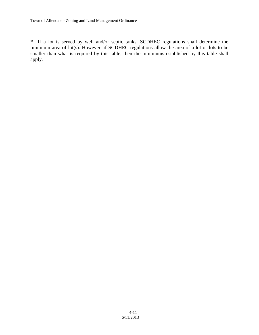\* If a lot is served by well and/or septic tanks, SCDHEC regulations shall determine the minimum area of lot(s). However, if SCDHEC regulations allow the area of a lot or lots to be smaller than what is required by this table, then the minimums established by this table shall apply.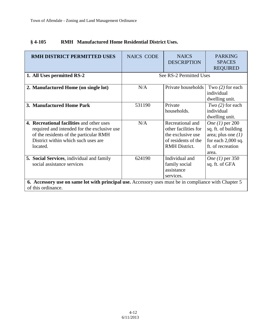| <b>RMH DISTRICT PERMITTED USES</b><br>1. All Uses permitted RS-2                                                                                                                      | <b>NAICS CODE</b> | <b>NAICS</b><br><b>DESCRIPTION</b><br>See RS-2 Permitted Uses                                                | <b>PARKING</b><br><b>SPACES</b><br><b>REQUIRED</b>                                                                          |
|---------------------------------------------------------------------------------------------------------------------------------------------------------------------------------------|-------------------|--------------------------------------------------------------------------------------------------------------|-----------------------------------------------------------------------------------------------------------------------------|
| 2. Manufactured Home (on single lot)                                                                                                                                                  | N/A               | Private households                                                                                           | Two $(2)$ for each<br>individual<br>dwelling unit.                                                                          |
| 3. Manufactured Home Park                                                                                                                                                             | 531190            | Private<br>households.                                                                                       | $Two(2)$ for each<br>individual<br>dwelling unit.                                                                           |
| 4. Recreational facilities and other uses<br>required and intended for the exclusive use<br>of the residents of the particular RMH<br>District within which such uses are<br>located. | N/A               | Recreational and<br>other facilities for<br>the exclusive use<br>of residents of the<br><b>RMH</b> District. | <i>One</i> (1) per 200<br>sq. ft. of building<br>area; plus one $(1)$<br>for each $2,000$ sq.<br>ft. of recreation<br>area. |
| 5. Social Services, individual and family<br>social assistance services                                                                                                               | 624190            | Individual and<br>family social<br>assistance<br>services.                                                   | <i>One</i> (1) per 350<br>sq. ft. of GFA                                                                                    |
| 6. Accessory use on same lot with principal use. Accessory uses must be in compliance with Chapter 5<br>of this ordinance.                                                            |                   |                                                                                                              |                                                                                                                             |

## **§ 4-105 RMH Manufactured Home Residential District Uses.**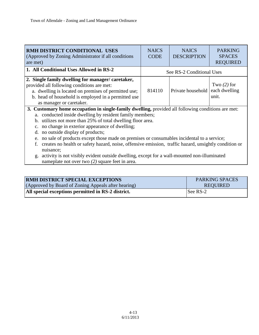| RMH DISTRICT CONDITIONAL USES<br>(Approved by Zoning Administrator if all conditions)<br>are met)                                                                                                                                                                                                                                                                                                                                                                                                                                                                                                                                                                       | <b>NAICS</b><br><b>CODE</b> | <b>NAICS</b><br><b>DESCRIPTION</b> | <b>PARKING</b><br><b>SPACES</b><br><b>REQUIRED</b> |
|-------------------------------------------------------------------------------------------------------------------------------------------------------------------------------------------------------------------------------------------------------------------------------------------------------------------------------------------------------------------------------------------------------------------------------------------------------------------------------------------------------------------------------------------------------------------------------------------------------------------------------------------------------------------------|-----------------------------|------------------------------------|----------------------------------------------------|
| 1. All Conditional Uses Allowed in RS-2<br>See RS-2 Conditional Uses                                                                                                                                                                                                                                                                                                                                                                                                                                                                                                                                                                                                    |                             |                                    |                                                    |
| Single family dwelling for manager/caretaker,<br>2.<br>provided all following conditions are met:<br>a. dwelling is located on premises of permitted use;<br>b. head of household is employed in a permitted use<br>as manager or caretaker.                                                                                                                                                                                                                                                                                                                                                                                                                            | 814110                      | Private household each dwelling    | Two $(2)$ for<br>unit.                             |
| 3. Customary home occupation in single-family dwelling, provided all following conditions are met:<br>a. conducted inside dwelling by resident family members;<br>b. utilizes not more than 25% of total dwelling floor area.<br>no change in exterior appearance of dwelling;<br>$\mathbf{c}$ .<br>no outside display of products;<br>d.<br>no sale of products except those made on premises or consumables incidental to a service;<br>e.<br>creates no health or safety hazard, noise, offensive emission, traffic hazard, unsightly condition or<br>nuisance;<br>activity is not visibly evident outside dwelling, except for a wall-mounted non-illuminated<br>g. |                             |                                    |                                                    |

| <b>RMH DISTRICT SPECIAL EXCEPTIONS</b>              | <b>PARKING SPACES</b> |
|-----------------------------------------------------|-----------------------|
| (Approved by Board of Zoning Appeals after hearing) | <b>REQUIRED</b>       |
| All special exceptions permitted in RS-2 district.  | See RS-2              |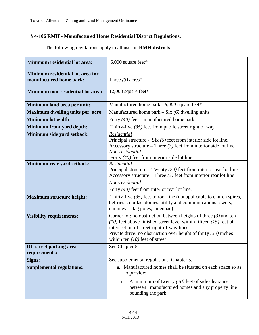# **§ 4-106 RMH - Manufactured Home Residential District Regulations.**

| The following regulations apply to all uses in <b>RMH</b> districts: |  |  |  |  |  |
|----------------------------------------------------------------------|--|--|--|--|--|
|----------------------------------------------------------------------|--|--|--|--|--|

| <b>Minimum residential lot area:</b>                                                             | $6,000$ square feet*                                                                                                                                                                                                                                                                              |
|--------------------------------------------------------------------------------------------------|---------------------------------------------------------------------------------------------------------------------------------------------------------------------------------------------------------------------------------------------------------------------------------------------------|
| Minimum residential lot area for<br>manufactured home park:<br>Minimum non-residential lot area: | Three $(3)$ acres*<br>12,000 square feet*                                                                                                                                                                                                                                                         |
| Minimum land area per unit:                                                                      | Manufactured home park - 6,000 square feet*                                                                                                                                                                                                                                                       |
| <b>Maximum dwelling units per acre:</b>                                                          | Manufactured home park $-$ Six (6) dwelling units                                                                                                                                                                                                                                                 |
| <b>Minimum lot width</b>                                                                         | Forty $(40)$ feet – manufactured home park                                                                                                                                                                                                                                                        |
| Minimum front yard depth:                                                                        | Thirty-five $(35)$ feet from public street right of way.                                                                                                                                                                                                                                          |
| Minimum side yard setback:                                                                       | Residential<br>Principal structure - Six $(6)$ feet from interior side lot line.<br>Accessory structure – Three $(3)$ feet from interior side lot line.<br>Non-residential<br>Forty (40) feet from interior side lot line.                                                                        |
| Minimum rear yard setback:                                                                       | Residential<br>Principal structure – Twenty $(20)$ feet from interior rear lot line.<br>$\frac{\text{Accessory structure}}{\text{There}} - \text{Three (3) feet from interior rear lot line}$<br>Non-residential<br>Forty $(40)$ feet from interior rear lot line.                                |
| <b>Maximum structure height:</b>                                                                 | Thirty-five $(35)$ feet to roof line (not applicable to church spires,<br>belfries, cupolas, domes, utility and communications towers,<br>chimneys, flag poles, antennae)                                                                                                                         |
| <b>Visibility requirements:</b>                                                                  | Corner lot: no obstruction between heights of three $(3)$ and ten<br>$(10)$ feet above finished street level within fifteen $(15)$ feet of<br>intersection of street right-of-way lines.<br>Private drive: no obstruction over height of thirty $(30)$ inches<br>within ten $(10)$ feet of street |
| Off street parking area<br>requirements:                                                         | See Chapter 5.                                                                                                                                                                                                                                                                                    |
| Signs:                                                                                           | See supplemental regulations, Chapter 5.                                                                                                                                                                                                                                                          |
| <b>Supplemental regulations:</b>                                                                 | a. Manufactured homes shall be situated on each space so as<br>to provide:<br>A minimum of twenty $(20)$ feet of side clearance<br>i.<br>between manufactured homes and any property line<br>bounding the park;                                                                                   |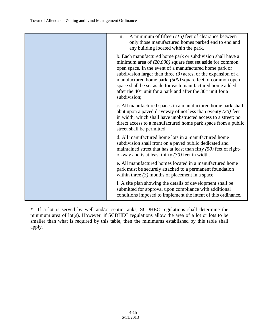| ii.<br>A minimum of fifteen $(15)$ feet of clearance between<br>only those manufactured homes parked end to end and<br>any building located within the park.                                                                                                                                                                                                                                                                                                                              |
|-------------------------------------------------------------------------------------------------------------------------------------------------------------------------------------------------------------------------------------------------------------------------------------------------------------------------------------------------------------------------------------------------------------------------------------------------------------------------------------------|
| b. Each manufactured home park or subdivision shall have a<br>minimum area of $(20,000)$ square feet set aside for common<br>open space. In the event of a manufactured home park or<br>subdivision larger than three $(3)$ acres, or the expansion of a<br>manufactured home park, (500) square feet of common open<br>space shall be set aside for each manufactured home added<br>after the 40 <sup>th</sup> unit for a park and after the 30 <sup>th</sup> unit for a<br>subdivision; |
| c. All manufactured spaces in a manufactured home park shall<br>abut upon a paved driveway of not less than twenty $(20)$ feet<br>in width, which shall have unobstructed access to a street; no<br>direct access to a manufactured home park space from a public<br>street shall be permitted.                                                                                                                                                                                           |
| d. All manufactured home lots in a manufactured home<br>subdivision shall front on a paved public dedicated and<br>maintained street that has at least than fifty $(50)$ feet of right-<br>of-way and is at least thirty $(30)$ feet in width.                                                                                                                                                                                                                                            |
| e. All manufactured homes located in a manufactured home<br>park must be securely attached to a permanent foundation<br>within three $(3)$ months of placement in a space;                                                                                                                                                                                                                                                                                                                |
| f. A site plan showing the details of development shall be<br>submitted for approval upon compliance with additional<br>conditions imposed to implement the intent of this ordinance.                                                                                                                                                                                                                                                                                                     |

\* If a lot is served by well and/or septic tanks, SCDHEC regulations shall determine the minimum area of lot(s). However, if SCDHEC regulations allow the area of a lot or lots to be smaller than what is required by this table, then the minimums established by this table shall apply.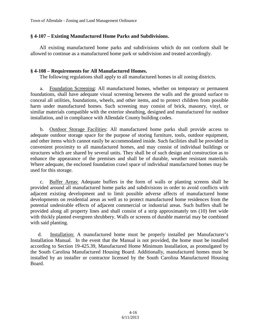#### **§ 4-107 – Existing Manufactured Home Parks and Subdivisions.**

All existing manufactured home parks and subdivisions which do not conform shall be allowed to continue as a manufactured home park or subdivision and treated accordingly.

#### **§ 4-108 – Requirements for All Manufactured Homes.**

The following regulations shall apply to all manufactured homes in all zoning districts.

a. Foundation Screening: All manufactured homes, whether on temporary or permanent foundations, shall have adequate visual screening between the walls and the ground surface to conceal all utilities, foundations, wheels, and other items, and to protect children from possible harm under manufactured homes. Such screening may consist of brick, masonry, vinyl, or similar materials compatible with the exterior sheathing, designed and manufactured for outdoor installation, and in compliance with Allendale County building codes.

b. Outdoor Storage Facilities: All manufactured home parks shall provide access to adequate outdoor storage space for the purpose of storing furniture, tools, outdoor equipment, and other items which cannot easily be accommodated inside. Such facilities shall be provided in convenient proximity to all manufactured homes, and may consist of individual buildings or structures which are shared by several units. They shall be of such design and construction as to enhance the appearance of the premises and shall be of durable, weather resistant materials. Where adequate, the enclosed foundation crawl space of individual manufactured homes may be used for this storage.

c. Buffer Areas: Adequate buffers in the form of walls or planting screens shall be provided around all manufactured home parks and subdivisions in order to avoid conflicts with adjacent existing development and to limit possible adverse affects of manufactured home developments on residential areas as well as to protect manufactured home residences from the potential undesirable effects of adjacent commercial or industrial areas. Such buffers shall be provided along all property lines and shall consist of a strip approximately ten (10) feet wide with thickly planted evergreen shrubbery. Walls or screens of durable material may be combined with said planting.

d. Installation: A manufactured home must be properly installed per Manufacturer's Installation Manual. In the event that the Manual is not provided, the home must be installed according to Section 19-425.39, Manufactured Home Minimum Installation, as promulgated by the South Carolina Manufactured Housing Board. Additionally, manufactured homes must be installed by an installer or contractor licensed by the South Carolina Manufactured Housing Board.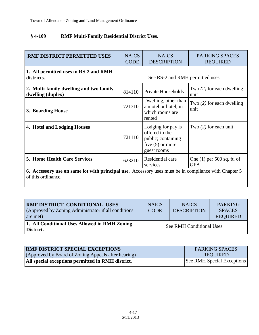# **§ 4-109 RMF Multi-Family Residential District Uses.**

| <b>RMF DISTRICT PERMITTED USES</b>                                                                                         | <b>NAICS</b><br><b>CODE</b>      | <b>NAICS</b><br><b>DESCRIPTION</b>                                                              | <b>PARKING SPACES</b><br><b>REQUIRED</b>   |  |
|----------------------------------------------------------------------------------------------------------------------------|----------------------------------|-------------------------------------------------------------------------------------------------|--------------------------------------------|--|
| 1. All permitted uses in RS-2 and RMH<br>districts.                                                                        | See RS-2 and RMH permitted uses. |                                                                                                 |                                            |  |
| 2. Multi-family dwelling and two family<br>dwelling (duplex)                                                               | 814110                           | Private Households                                                                              | Two $(2)$ for each dwelling<br>unit        |  |
| 3. Boarding House                                                                                                          | 721310                           | Dwelling, other than<br>a motel or hotel, in<br>which rooms are<br>rented                       | Two $(2)$ for each dwelling<br>unit        |  |
| 4. Hotel and Lodging Houses                                                                                                | 721110                           | Lodging for pay is<br>offered to the<br>public; containing<br>five $(5)$ or more<br>guest rooms | Two $(2)$ for each unit                    |  |
| <b>5. Home Health Care Services</b>                                                                                        | 623210                           | Residential care<br>services                                                                    | One $(1)$ per 500 sq. ft. of<br><b>GFA</b> |  |
| 6. Accessory use on same lot with principal use. Accessory uses must be in compliance with Chapter 5<br>of this ordinance. |                                  |                                                                                                 |                                            |  |

| RMF DISTRICT CONDITIONAL USES<br>(Approved by Zoning Administrator if all conditions)<br>are met) | <b>NAICS</b><br><b>CODE</b> | <b>NAICS</b><br><b>DESCRIPTION</b> | <b>PARKING</b><br><b>SPACES</b><br><b>REQUIRED</b> |
|---------------------------------------------------------------------------------------------------|-----------------------------|------------------------------------|----------------------------------------------------|
| 1. All Conditional Uses Allowed in RMH Zoning<br>District.                                        |                             | See RMH Conditional Uses           |                                                    |

| <b>RMF DISTRICT SPECIAL EXCEPTIONS</b>              | <b>PARKING SPACES</b>             |
|-----------------------------------------------------|-----------------------------------|
| (Approved by Board of Zoning Appeals after hearing) | REOUIRED                          |
| All special exceptions permitted in RMH district.   | <b>See RMH Special Exceptions</b> |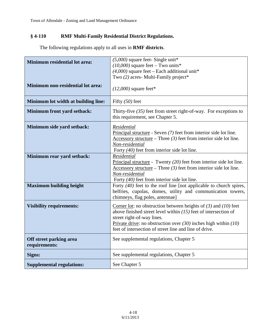# **§ 4-110 RMF Multi-Family Residential District Regulations.**

The following regulations apply to all uses in **RMF districts**.

| <b>Minimum residential lot area:</b>     | $(5,000)$ square feet-Single unit*<br>$(10,000)$ square feet – Two units*<br>$(4,000)$ square feet – Each additional unit*<br>Two (2) acres- Multi-Family project*                                                                                                                                      |
|------------------------------------------|---------------------------------------------------------------------------------------------------------------------------------------------------------------------------------------------------------------------------------------------------------------------------------------------------------|
| Minimum non-residential lot area:        | $(12,000)$ square feet*                                                                                                                                                                                                                                                                                 |
| Minimum lot width at building line:      | Fifty $(50)$ feet                                                                                                                                                                                                                                                                                       |
| Minimum front yard setback:              | Thirty-five $(35)$ feet from street right-of-way. For exceptions to<br>this requirement, see Chapter 5.                                                                                                                                                                                                 |
| Minimum side yard setback:               | Residential<br>Principal structure - Seven $(7)$ feet from interior side lot line.<br>Accessory structure – Three $(3)$ feet from interior side lot line.<br>Non-residential<br>Forty $(40)$ feet from interior side lot line.                                                                          |
| Minimum rear yard setback:               | Residential<br>Principal structure - Twenty $(20)$ feet from interior side lot line.<br>Accessory structure – Three $(3)$ feet from interior side lot line.<br>Non-residential<br>Forty $(40)$ feet from interior side lot line.                                                                        |
| <b>Maximum building height</b>           | Forty $(40)$ feet to the roof line [not applicable to church spires,<br>belfries, cupolas, domes, utility and communication towers,<br>chimneys, flag poles, antennae]                                                                                                                                  |
| <b>Visibility requirements:</b>          | Corner lot: no obstruction between heights of $(3)$ and $(10)$ feet<br>above finished street level within $(15)$ feet of intersection of<br>street right-of-way lines.<br>Private drive: no obstruction over $(30)$ inches high within $(10)$<br>feet of intersection of street line and line of drive. |
| Off street parking area<br>requirements: | See supplemental regulations, Chapter 5                                                                                                                                                                                                                                                                 |
| Signs:                                   | See supplemental regulations, Chapter 5                                                                                                                                                                                                                                                                 |
| <b>Supplemental regulations:</b>         | See Chapter 5                                                                                                                                                                                                                                                                                           |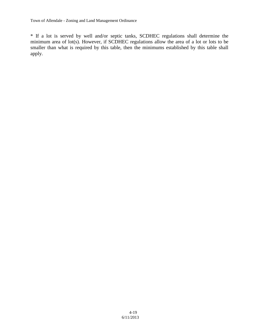\* If a lot is served by well and/or septic tanks, SCDHEC regulations shall determine the minimum area of lot(s). However, if SCDHEC regulations allow the area of a lot or lots to be smaller than what is required by this table, then the minimums established by this table shall apply.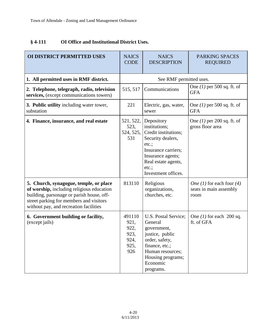## **§ 4-111 OI Office and Institutional District Uses.**

| <b>OI DISTRICT PERMITTED USES</b>                                                                                                                                                                                     | <b>NAICS</b><br><b>CODE</b>                           | <b>NAICS</b><br><b>DESCRIPTION</b>                                                                                                                                                  | <b>PARKING SPACES</b><br><b>REQUIRED</b>                           |
|-----------------------------------------------------------------------------------------------------------------------------------------------------------------------------------------------------------------------|-------------------------------------------------------|-------------------------------------------------------------------------------------------------------------------------------------------------------------------------------------|--------------------------------------------------------------------|
| 1. All permitted uses in RMF district.                                                                                                                                                                                |                                                       | See RMF permitted uses.                                                                                                                                                             |                                                                    |
| 2. Telephone, telegraph, radio, television<br>services, (except communications towers)                                                                                                                                | 515, 517                                              | Communications                                                                                                                                                                      | One $(1)$ per 500 sq. ft. of<br><b>GFA</b>                         |
| 3. Public utility including water tower,<br>substation                                                                                                                                                                | 221                                                   | Electric, gas, water,<br>sewer                                                                                                                                                      | One $(1)$ per 500 sq. ft. of<br><b>GFA</b>                         |
| 4. Finance, insurance, and real estate                                                                                                                                                                                | 521, 522,<br>523,<br>524, 525,<br>531                 | Depository<br>institutions;<br>Credit institutions;<br>Security dealers,<br>etc.;<br>Insurance carriers;<br>Insurance agents;<br>Real estate agents,<br>etc.<br>Investment offices. | One $(1)$ per 200 sq. ft. of<br>gross floor area                   |
| 5. Church, synagogue, temple, or place<br>of worship, including religious education<br>building, parsonage or parish house, off-<br>street parking for members and visitors<br>without pay, and recreation facilities | 813110                                                | Religious<br>organizations,<br>churches, etc.                                                                                                                                       | <i>One</i> (1) for each four (4)<br>seats in main assembly<br>room |
| 6. Government building or facility,<br>(except jails)                                                                                                                                                                 | 491110<br>921.<br>922,<br>923,<br>924,<br>925,<br>926 | U.S. Postal Service;<br>General<br>government,<br>justice, public<br>order, safety,<br>finance, etc.;<br>Human resources;<br>Housing programs;<br>Economic<br>programs.             | One $(1)$ for each 200 sq.<br>ft. of GFA                           |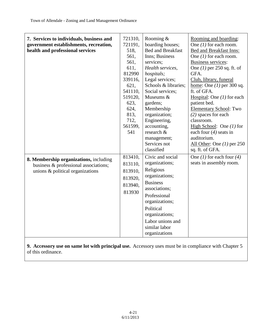| 7. Services to individuals, business and<br>government establishments, recreation,<br>health and professional services | 721310,<br>721191,<br>518,<br>561,<br>561,<br>611,<br>812990<br>339116,<br>621,<br>541110,<br>519120,<br>623,<br>624,<br>813,<br>712,<br>561599,<br>541 | Rooming $\&$<br>boarding houses;<br><b>Bed and Breakfast</b><br>Inns; Business<br>services;<br>Health services,<br>hospitals;<br>Legal services;<br>Schools & libraries;<br>Social services;<br>Museums &<br>gardens;<br>Membership<br>organization;<br>Engineering,<br>accounting,<br>research &<br>management;<br>Services not<br>classified | Rooming and boarding:<br>One $(1)$ for each room.<br>Bed and Breakfast Inns:<br>One $(1)$ for each room.<br><b>Business services:</b><br>One $(1)$ per 250 sq. ft. of<br>GFA.<br>Club, library, funeral<br>home: One $(1)$ per 300 sq.<br>ft. of GFA.<br>Hospital: One $(1)$ for each<br>patient bed.<br><b>Elementary School: Two</b><br>$(2)$ spaces for each<br>classroom.<br>High School: One $(1)$ for<br>each four $(4)$ seats in<br>auditorium.<br>All Other: One $(1)$ per 250<br>sq. ft. of GFA. |
|------------------------------------------------------------------------------------------------------------------------|---------------------------------------------------------------------------------------------------------------------------------------------------------|------------------------------------------------------------------------------------------------------------------------------------------------------------------------------------------------------------------------------------------------------------------------------------------------------------------------------------------------|-----------------------------------------------------------------------------------------------------------------------------------------------------------------------------------------------------------------------------------------------------------------------------------------------------------------------------------------------------------------------------------------------------------------------------------------------------------------------------------------------------------|
| 8. Membership organizations, including<br>business & professional associations;<br>unions & political organizations    | 813410,<br>813110,<br>813910,<br>813920,<br>813940,<br>813930                                                                                           | Civic and social<br>organizations;<br>Religious<br>organizations;<br><b>Business</b><br>associations;<br>Professional<br>organizations;<br>Political<br>organizations;<br>Labor unions and<br>similar labor<br>organizations                                                                                                                   | One (1) for each four (4)<br>seats in assembly room.                                                                                                                                                                                                                                                                                                                                                                                                                                                      |

**9. Accessory use on same lot with principal use.** Accessory uses must be in compliance with Chapter 5 of this ordinance.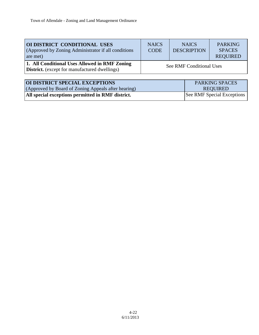| OI DISTRICT CONDITIONAL USES<br>(Approved by Zoning Administrator if all conditions)<br>are met)      | <b>NAICS</b><br><b>CODE</b> | <b>NAICS</b><br><b>DESCRIPTION</b> | <b>PARKING</b><br><b>SPACES</b><br><b>REQUIRED</b> |
|-------------------------------------------------------------------------------------------------------|-----------------------------|------------------------------------|----------------------------------------------------|
| 1. All Conditional Uses Allowed in RMF Zoning<br><b>District.</b> (except for manufactured dwellings) |                             | See RMF Conditional Uses           |                                                    |
|                                                                                                       |                             |                                    |                                                    |

| <b>OI DISTRICT SPECIAL EXCEPTIONS</b>               | <b>PARKING SPACES</b>      |
|-----------------------------------------------------|----------------------------|
| (Approved by Board of Zoning Appeals after hearing) | REOUIRED                   |
| All special exceptions permitted in RMF district.   | See RMF Special Exceptions |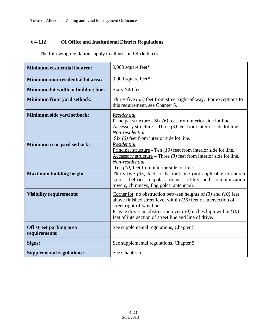## **§ 4-112 OI Office and Institutional District Regulations.**

| <b>Minimum residential lot area:</b>     | 9,000 square feet*                                                                                                                                                                                                                                                                                      |
|------------------------------------------|---------------------------------------------------------------------------------------------------------------------------------------------------------------------------------------------------------------------------------------------------------------------------------------------------------|
| Minimum non-residential lot area:        | 9,000 square feet*                                                                                                                                                                                                                                                                                      |
| Minimum lot width at building line:      | Sixty $(60)$ feet                                                                                                                                                                                                                                                                                       |
| Minimum front yard setback:              | Thirty-five $(35)$ feet from street right-of-way. For exceptions to<br>this requirement, see Chapter 5.                                                                                                                                                                                                 |
| Minimum side yard setback:               | Residential<br>Principal structure - Six $(6)$ feet from interior side lot line.<br>Accessory structure – Three $(3)$ feet from interior side lot line.<br>Non-residential<br>Six $(6)$ feet from interior side lot line.                                                                               |
| Minimum rear yard setback:               | Residential<br>Principal structure - Ten $(10)$ feet from interior side lot line.<br>Accessory structure – Three $(3)$ feet from interior side lot line.<br>Non-residential<br>Ten $(10)$ feet from interior side lot line.                                                                             |
| <b>Maximum building height</b>           | Thirty-five $(35)$ feet to the roof line (not applicable to church<br>spires, belfries, cupolas, domes, utility and communication<br>towers, chimneys, flag poles, antennae).                                                                                                                           |
| <b>Visibility requirements:</b>          | Corner lot: no obstruction between heights of $(3)$ and $(10)$ feet<br>above finished street level within $(15)$ feet of intersection of<br>street right-of-way lines.<br>Private drive: no obstruction over $(30)$ inches high within $(10)$<br>feet of intersection of street line and line of drive. |
| Off street parking area<br>requirements: | See supplemental regulations, Chapter 5                                                                                                                                                                                                                                                                 |
| Signs:                                   | See supplemental regulations, Chapter 5                                                                                                                                                                                                                                                                 |
| <b>Supplemental regulations:</b>         | See Chapter 5                                                                                                                                                                                                                                                                                           |

The following regulations apply to all uses in **OI districts**.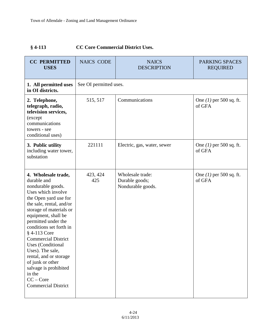# **§ 4-113 CC Core Commercial District Uses.**

| <b>CC PERMITTED</b><br><b>USES</b>                                                                                                                                                                                                                                                                                                                                                                                                                                 | <b>NAICS CODE</b>      | <b>NAICS</b><br><b>DESCRIPTION</b>                      | PARKING SPACES<br><b>REQUIRED</b>   |
|--------------------------------------------------------------------------------------------------------------------------------------------------------------------------------------------------------------------------------------------------------------------------------------------------------------------------------------------------------------------------------------------------------------------------------------------------------------------|------------------------|---------------------------------------------------------|-------------------------------------|
| 1. All permitted uses<br>in OI districts.                                                                                                                                                                                                                                                                                                                                                                                                                          | See OI permitted uses. |                                                         |                                     |
| 2. Telephone,<br>telegraph, radio,<br>television services,<br>(except<br>communications<br>towers - see<br>conditional uses)                                                                                                                                                                                                                                                                                                                                       | 515, 517               | Communications                                          | One $(1)$ per 500 sq. ft.<br>of GFA |
| 3. Public utility<br>including water tower,<br>substation                                                                                                                                                                                                                                                                                                                                                                                                          | 221111                 | Electric, gas, water, sewer                             | One $(1)$ per 500 sq. ft.<br>of GFA |
| 4. Wholesale trade,<br>durable and<br>nondurable goods.<br>Uses which involve<br>the Open yard use for<br>the sale, rental, and/or<br>storage of materials or<br>equipment, shall be<br>permitted under the<br>conditions set forth in<br>§ 4-113 Core<br><b>Commercial District</b><br><b>Uses</b> (Conditional<br>Uses). The sale,<br>rental, and or storage<br>of junk or other<br>salvage is prohibited<br>in the<br>$CC - Core$<br><b>Commercial District</b> | 423, 424<br>425        | Wholesale trade:<br>Durable goods;<br>Nondurable goods. | One $(1)$ per 500 sq. ft.<br>of GFA |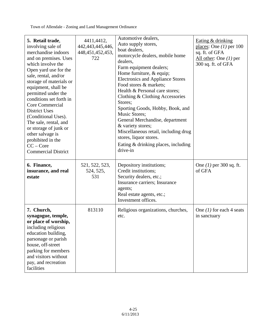| 5. Retail trade,<br>involving sale of<br>merchandise indoors<br>and on premises. Uses<br>which involve the<br>Open yard use for the<br>sale, rental, and/or<br>storage of materials or<br>equipment, shall be<br>permitted under the<br>conditions set forth in<br>Core Commercial<br><b>District Uses</b><br>(Conditional Uses).<br>The sale, rental, and<br>or storage of junk or<br>other salvage is<br>prohibited in the<br>$CC - Core$<br><b>Commercial District</b> | 4411,4412,<br>442, 443, 445, 446,<br>448, 451, 452, 453,<br>722 | Automotive dealers,<br>Auto supply stores,<br>boat dealers,<br>motorcycle dealers, mobile home<br>dealers,<br>Farm equipment dealers;<br>Home furniture, & equip;<br><b>Electronics and Appliance Stores</b><br>Food stores & markets:<br>Health & Personal care stores;<br>Clothing & Clothing Accessories<br>Stores;<br>Sporting Goods, Hobby, Book, and<br>Music Stores;<br>General Merchandise, department<br>& variety stores;<br>Miscellaneous retail, including drug<br>stores, liquor stores.<br>Eating & drinking places, including<br>drive-in | Eating & drinking<br>places: One $(1)$ per 100<br>sq. ft. of GFA<br>All other: One $(1)$ per<br>300 sq. ft. of GFA |
|---------------------------------------------------------------------------------------------------------------------------------------------------------------------------------------------------------------------------------------------------------------------------------------------------------------------------------------------------------------------------------------------------------------------------------------------------------------------------|-----------------------------------------------------------------|----------------------------------------------------------------------------------------------------------------------------------------------------------------------------------------------------------------------------------------------------------------------------------------------------------------------------------------------------------------------------------------------------------------------------------------------------------------------------------------------------------------------------------------------------------|--------------------------------------------------------------------------------------------------------------------|
| 6. Finance,<br>insurance, and real<br>estate                                                                                                                                                                                                                                                                                                                                                                                                                              | 521, 522, 523,<br>524, 525,<br>531                              | Depository institutions;<br>Credit institutions;<br>Security dealers, etc.;<br>Insurance carriers; Insurance<br>agents;<br>Real estate agents, etc.;<br>Investment offices.                                                                                                                                                                                                                                                                                                                                                                              | One $(1)$ per 300 sq. ft.<br>of GFA                                                                                |
| 7. Church,<br>synagogue, temple,<br>or place of worship,<br>including religious<br>education building,<br>parsonage or parish<br>house, off-street<br>parking for members<br>and visitors without<br>pay, and recreation<br>facilities                                                                                                                                                                                                                                    | 813110                                                          | Religious organizations, churches,<br>etc.                                                                                                                                                                                                                                                                                                                                                                                                                                                                                                               | One $(1)$ for each 4 seats<br>in sanctuary                                                                         |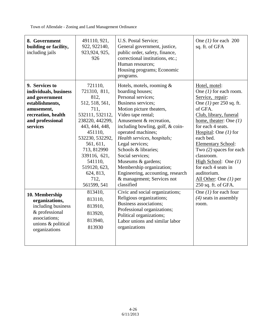| 8. Government<br>building or facility,<br>including jails                                                                                        | 491110, 921,<br>922, 922140,<br>923, 924, 925,<br>926                                                                                                                                                                                                      | U.S. Postal Service;<br>General government, justice,<br>public order, safety, finance,<br>correctional institutions, etc.;<br>Human resources;<br>Housing programs; Economic<br>programs.                                                                                                                                                                                                                                                                            | One $(1)$ for each 200<br>sq. ft. of GFA                                                                                                                                                                                                                                                                                                                                                                            |
|--------------------------------------------------------------------------------------------------------------------------------------------------|------------------------------------------------------------------------------------------------------------------------------------------------------------------------------------------------------------------------------------------------------------|----------------------------------------------------------------------------------------------------------------------------------------------------------------------------------------------------------------------------------------------------------------------------------------------------------------------------------------------------------------------------------------------------------------------------------------------------------------------|---------------------------------------------------------------------------------------------------------------------------------------------------------------------------------------------------------------------------------------------------------------------------------------------------------------------------------------------------------------------------------------------------------------------|
| 9. Services to<br>individuals, business<br>and government<br>establishments,<br>amusement,<br>recreation, health<br>and professional<br>services | 721110,<br>721310, 811,<br>812,<br>512, 518, 561,<br>711,<br>532111, 532112,<br>238220, 442299,<br>443, 444, 448,<br>451110,<br>532230, 532292,<br>561, 611,<br>713, 812990<br>339116, 621,<br>541110,<br>519120, 623,<br>624, 813,<br>712,<br>561599, 541 | Hotels, motels, rooming $\&$<br>boarding houses;<br>Personal services;<br>Business services;<br>Motion picture theaters,<br>Video tape rental;<br>Amusement & recreation,<br>including bowling, golf, & coin-<br>operated machines;<br>Health services, hospitals;<br>Legal services;<br>Schools & libraries;<br>Social services;<br>Museums & gardens;<br>Membership organization;<br>Engineering, accounting, research<br>& management; Services not<br>classified | Hotel, motel:<br>One $(1)$ for each room.<br>Service, repair:<br>One $(1)$ per 250 sq. ft.<br>of GFA.<br>Club, library, funeral<br>home, theater: One $(1)$<br>for each 4 seats.<br>Hospital: One $(1)$ for<br>each bed.<br><b>Elementary School:</b><br>Two $(2)$ spaces for each<br>classroom.<br>High School: One $(1)$<br>for each 4 seats in<br>auditorium.<br>All Other: One $(1)$ per<br>250 sq. ft. of GFA. |
| 10. Membership<br>organizations,<br>including business<br>& professional<br>associations;<br>unions & political<br>organizations                 | 813410,<br>813110,<br>813910,<br>813920,<br>813940,<br>813930                                                                                                                                                                                              | Civic and social organizations;<br>Religious organizations;<br>Business associations;<br>Professional organizations;<br>Political organizations;<br>Labor unions and similar labor<br>organizations                                                                                                                                                                                                                                                                  | One $(1)$ for each four<br>$(4)$ seats in assembly<br>room.                                                                                                                                                                                                                                                                                                                                                         |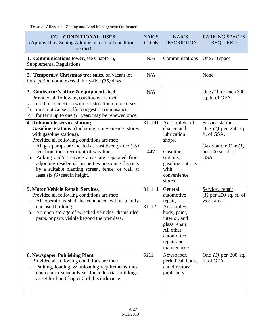| <b>CONDITIONAL USES</b><br>CC<br>(Approved by Zoning Administrator if all conditions<br>are met)                                                                                                                                                                                                                                                                                                                                                                        |                         | <b>NAICS</b><br><b>DESCRIPTION</b>                                                                                                                                     | <b>PARKING SPACES</b><br><b>REQUIRED</b>                                                                         |
|-------------------------------------------------------------------------------------------------------------------------------------------------------------------------------------------------------------------------------------------------------------------------------------------------------------------------------------------------------------------------------------------------------------------------------------------------------------------------|-------------------------|------------------------------------------------------------------------------------------------------------------------------------------------------------------------|------------------------------------------------------------------------------------------------------------------|
| 1. Communications tower, see Chapter 5,<br><b>Supplemental Regulations</b>                                                                                                                                                                                                                                                                                                                                                                                              | N/A                     | Communications                                                                                                                                                         | One $(1)$ space                                                                                                  |
| 2. Temporary Christmas tree sales, on vacant lot<br>for a period not to exceed thirty-five $(35)$ days                                                                                                                                                                                                                                                                                                                                                                  | N/A                     |                                                                                                                                                                        | None                                                                                                             |
| 3. Contractor's office & equipment shed,<br>Provided all following conditions are met:<br>used in connection with construction on premises;<br>a.<br>b. must not cause traffic congestion or nuisance;<br>c. for term up to one $(1)$ year; may be renewed once.                                                                                                                                                                                                        | N/A                     |                                                                                                                                                                        | One $(1)$ for each 300<br>sq. ft. of GFA.                                                                        |
| 4. Automobile service station;<br>Gasoline stations (Including convenience stores<br>with gasoline stations),<br>Provided all following conditions are met:<br>a. All gas pumps are located at least twenty-five $(25)$<br>feet from the street right-of-way line;<br>b. Parking and/or service areas are separated from<br>adjoining residential properties or zoning districts<br>by a suitable planting screen, fence, or wall at<br>least six $(6)$ feet in height. | 811191<br>447           | Automotive oil<br>change and<br>lubrication<br>shops,<br>Gasoline<br>stations,<br>gasoline stations<br>with<br>convenience<br>stores                                   | Service station:<br>One $(1)$ per 250 sq.<br>ft. of GSA.<br>Gas Station: One $(1)$<br>per 200 sq. ft. of<br>GSA. |
| 5. Motor Vehicle Repair Services,<br>Provided all following conditions are met:<br>a. All operations shall be conducted within a fully<br>enclosed building<br>b. No open storage of wrecked vehicles, dismantled<br>parts, or parts visible beyond the premises.<br><b>6. Newspaper Publishing Plant</b>                                                                                                                                                               | 811111<br>81112<br>5111 | General<br>automotive<br>repair,<br>Automotive<br>body, paint,<br>interior, and<br>glass repair,<br>All other<br>automotive<br>repair and<br>maintenance<br>Newspaper, | Service, repair:<br>$(1)$ per 250 sq. ft. of<br>work area.<br>One $(1)$ per 300 sq.                              |
| Provided all following conditions are met:<br>Parking, loading, & unloading requirements must<br>a.<br>conform to standards set for industrial buildings,<br>as set forth in Chapter 5 of this ordinance.                                                                                                                                                                                                                                                               |                         | periodical, book,<br>and directory<br>publishers                                                                                                                       | ft. of GFA.                                                                                                      |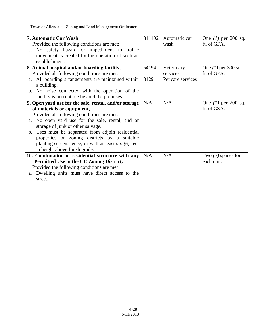| 7. Automatic Car Wash                                   | 811192 | Automatic car     | One $(1)$ per 200 sq. |
|---------------------------------------------------------|--------|-------------------|-----------------------|
| Provided the following conditions are met:              |        | wash              | ft. of GFA.           |
| a. No safety hazard or impediment to traffic            |        |                   |                       |
| movement is created by the operation of such an         |        |                   |                       |
| establishment.                                          |        |                   |                       |
| 8. Animal hospital and/or boarding facility,            | 54194  | Veterinary        | One $(1)$ per 300 sq. |
| Provided all following conditions are met:              |        | services,         | ft. of GFA.           |
| All boarding arrangements are maintained within<br>a.   | 81291  | Pet care services |                       |
| a building.                                             |        |                   |                       |
| b. No noise connected with the operation of the         |        |                   |                       |
| facility is perceptible beyond the premises.            |        |                   |                       |
| 9. Open yard use for the sale, rental, and/or storage   | N/A    | N/A               | One $(1)$ per 200 sq. |
| of materials or equipment,                              |        |                   | ft. of GSA.           |
| Provided all following conditions are met:              |        |                   |                       |
| a. No open yard use for the sale, rental, and or        |        |                   |                       |
| storage of junk or other salvage.                       |        |                   |                       |
| b. Uses must be separated from adjoin residential       |        |                   |                       |
| properties or zoning districts by a suitable            |        |                   |                       |
| planting screen, fence, or wall at least six $(6)$ feet |        |                   |                       |
| in height above finish grade.                           |        |                   |                       |
| 10. Combination of residential structure with any       | N/A    | N/A               | Two $(2)$ spaces for  |
| Permitted Use in the CC Zoning District,                |        |                   | each unit.            |
| Provided the following conditions are met               |        |                   |                       |
| Dwelling units must have direct access to the<br>a.     |        |                   |                       |
| street.                                                 |        |                   |                       |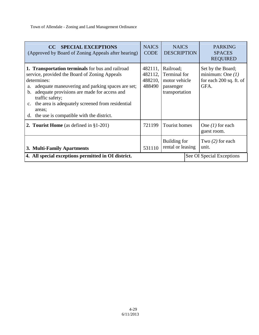| <b>SPECIAL EXCEPTIONS</b><br>CC.<br>(Approved by Board of Zoning Appeals after hearing)                                                                                                                                                                                                                                                                                             | <b>NAICS</b><br><b>CODE</b> | <b>NAICS</b><br><b>DESCRIPTION</b>                                                                  | <b>PARKING</b><br><b>SPACES</b><br><b>REQUIRED</b>                         |
|-------------------------------------------------------------------------------------------------------------------------------------------------------------------------------------------------------------------------------------------------------------------------------------------------------------------------------------------------------------------------------------|-----------------------------|-----------------------------------------------------------------------------------------------------|----------------------------------------------------------------------------|
| 1. Transportation terminals for bus and railroad<br>service, provided the Board of Zoning Appeals<br>determines:<br>adequate maneuvering and parking spaces are set;<br>a.<br>adequate provisions are made for access and<br>b.<br>traffic safety;<br>the area is adequately screened from residential<br>$C_{\bullet}$<br>areas;<br>the use is compatible with the district.<br>d. | 482112,<br>488490           | 482111, Railroad;<br><b>Terminal</b> for<br>$488210$ , motor vehicle<br>passenger<br>transportation | Set by the Board;<br>minimum: One $(1)$<br>for each 200 sq. ft. of<br>GFA. |
| <b>2. Tourist Home</b> (as defined in $\S1-201$ )                                                                                                                                                                                                                                                                                                                                   | 721199                      | Tourist homes                                                                                       | One $(1)$ for each<br>guest room.                                          |
| 3. Multi-Family Apartments                                                                                                                                                                                                                                                                                                                                                          | 531110                      | Building for<br>rental or leasing                                                                   | Two $(2)$ for each<br>unit.                                                |
| 4. All special exceptions permitted in OI district.                                                                                                                                                                                                                                                                                                                                 |                             |                                                                                                     | See OI Special Exceptions                                                  |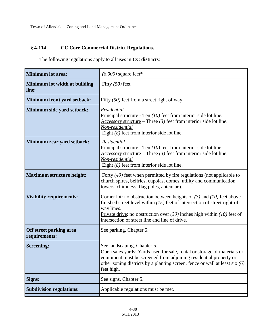## **§ 4-114 CC Core Commercial District Regulations.**

The following regulations apply to all uses in **CC districts**:

| <b>Minimum lot area:</b>                 | $(6,000)$ square feet*                                                                                                                                                                                                                                                                                   |
|------------------------------------------|----------------------------------------------------------------------------------------------------------------------------------------------------------------------------------------------------------------------------------------------------------------------------------------------------------|
| Minimum lot width at building<br>line:   | Fifty $(50)$ feet                                                                                                                                                                                                                                                                                        |
| <b>Minimum front yard setback:</b>       | Fifty $(50)$ feet from a street right of way                                                                                                                                                                                                                                                             |
| Minimum side yard setback:               | Residential<br>Principal structure - Ten $(10)$ feet from interior side lot line.<br>Accessory structure – Three $(3)$ feet from interior side lot line.<br>Non-residential<br>Eight $(8)$ feet from interior side lot line.                                                                             |
| Minimum rear yard setback:               | Residential<br>Principal structure - Ten $(10)$ feet from interior side lot line.<br>$\frac{\text{Accessory structure}}{\text{There}} - \text{Three (3) feet from interior side lot line.}$<br>Non-residential<br>Eight $(8)$ feet from interior side lot line.                                          |
| <b>Maximum structure height:</b>         | Forty $(40)$ feet when permitted by fire regulations (not applicable to<br>church spires, belfries, cupolas, domes, utility and communication<br>towers, chimneys, flag poles, antennae).                                                                                                                |
| <b>Visibility requirements:</b>          | Corner lot: no obstruction between heights of $(3)$ and $(10)$ feet above<br>finished street level within $(15)$ feet of intersection of street right-of-<br>way lines.<br>Private drive: no obstruction over $(30)$ inches high within $(10)$ feet of<br>intersection of street line and line of drive. |
| Off street parking area<br>requirements: | See parking, Chapter 5.                                                                                                                                                                                                                                                                                  |
| <b>Screening:</b>                        | See landscaping, Chapter 5.<br>Open sales yards: Yards used for sale, rental or storage of materials or<br>equipment must be screened from adjoining residential property or<br>other zoning districts by a planting screen, fence or wall at least six $(6)$<br>feet high.                              |
| Signs:                                   | See signs, Chapter 5.                                                                                                                                                                                                                                                                                    |
| <b>Subdivision regulations:</b>          | Applicable regulations must be met.                                                                                                                                                                                                                                                                      |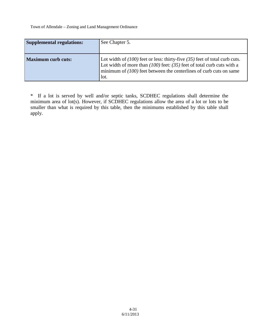| <b>Supplemental regulations:</b> | See Chapter 5.                                                                                                                                                                                                                               |
|----------------------------------|----------------------------------------------------------------------------------------------------------------------------------------------------------------------------------------------------------------------------------------------|
| <b>Maximum curb cuts:</b>        | Lot width of $(100)$ feet or less: thirty-five $(35)$ feet of total curb cuts.<br>Lot width of more than $(100)$ feet: $(35)$ feet of total curb cuts with a<br>minimum of $(100)$ feet between the centerlines of curb cuts on same<br>lot. |

\* If a lot is served by well and/or septic tanks, SCDHEC regulations shall determine the minimum area of lot(s). However, if SCDHEC regulations allow the area of a lot or lots to be smaller than what is required by this table, then the minimums established by this table shall apply.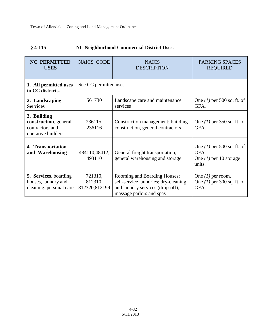# **§ 4-115 NC Neighborhood Commercial District Uses.**

| <b>NC PERMITTED</b><br><b>USES</b>                                             | <b>NAICS CODE</b>                   | <b>NAICS</b><br><b>DESCRIPTION</b>                                                                                                   | PARKING SPACES<br><b>REQUIRED</b>                                          |
|--------------------------------------------------------------------------------|-------------------------------------|--------------------------------------------------------------------------------------------------------------------------------------|----------------------------------------------------------------------------|
| 1. All permitted uses<br>in CC districts.                                      | See CC permitted uses.              |                                                                                                                                      |                                                                            |
| 2. Landscaping<br><b>Services</b>                                              | 561730                              | Landscape care and maintenance<br>services                                                                                           | One $(1)$ per 500 sq. ft. of<br>GFA.                                       |
| 3. Building<br>construction, general<br>contractors and<br>operative builders  | 236115,<br>236116                   | Construction management; building<br>construction, general contractors                                                               | One $(1)$ per 350 sq. ft. of<br>GFA.                                       |
| 4. Transportation<br>and Warehousing                                           | 484110,48412,<br>493110             | General freight transportation;<br>general warehousing and storage                                                                   | One $(1)$ per 500 sq. ft. of<br>GFA.<br>One $(1)$ per 10 storage<br>units. |
| <b>5. Services, boarding</b><br>houses, laundry and<br>cleaning, personal care | 721310,<br>812310,<br>812320,812199 | Rooming and Boarding Houses;<br>self-service laundries; dry-cleaning<br>and laundry services (drop-off);<br>massage parlors and spas | One $(1)$ per room.<br>One $(1)$ per 300 sq. ft. of<br>GFA.                |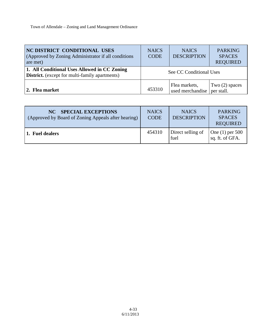| <b>NC DISTRICT CONDITIONAL USES</b><br>(Approved by Zoning Administrator if all conditions)<br>are met) | <b>NAICS</b><br><b>CODE</b> | <b>NAICS</b><br><b>DESCRIPTION</b> | <b>PARKING</b><br><b>SPACES</b><br><b>REQUIRED</b> |
|---------------------------------------------------------------------------------------------------------|-----------------------------|------------------------------------|----------------------------------------------------|
| 1. All Conditional Uses Allowed in CC Zoning<br><b>District.</b> (except for multi-family apartments)   | See CC Conditional Uses     |                                    |                                                    |
| 2. Flea market                                                                                          | 453310                      | Flea markets,<br>used merchandise  | Two $(2)$ spaces<br>per stall.                     |

| NC SPECIAL EXCEPTIONS<br>(Approved by Board of Zoning Appeals after hearing) | <b>NAICS</b><br><b>CODE</b> | <b>NAICS</b><br><b>DESCRIPTION</b> | <b>PARKING</b><br><b>SPACES</b><br><b>REQUIRED</b> |
|------------------------------------------------------------------------------|-----------------------------|------------------------------------|----------------------------------------------------|
| 1. Fuel dealers                                                              | 454310                      | Direct selling of<br>fuel          | One (1) per 500<br>sq. ft. of GFA.                 |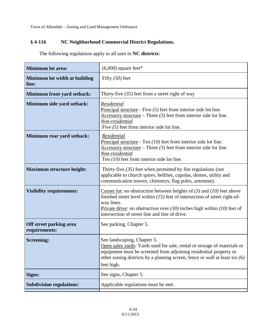## **§ 4-116 NC Neighborhood Commercial District Regulations.**

| <b>Minimum lot area:</b>                 | $(6,000)$ square feet*                                                                                                                                                                                                                                                                                   |
|------------------------------------------|----------------------------------------------------------------------------------------------------------------------------------------------------------------------------------------------------------------------------------------------------------------------------------------------------------|
| Minimum lot width at building<br>line:   | Fifty $(50)$ feet                                                                                                                                                                                                                                                                                        |
| Minimum front yard setback:              | Thirty-five $(35)$ feet from a street right of way                                                                                                                                                                                                                                                       |
| Minimum side yard setback:               | Residential<br>Principal structure - Five $(5)$ feet from interior side lot line.<br>Accessory structure – Three $(3)$ feet from interior side lot line.<br>Non-residential<br>Five $(5)$ feet from interior side lot line.                                                                              |
| Minimum rear yard setback:               | Residential<br>Principal structure - Ten $(10)$ feet from interior side lot line.<br>Accessory structure – Three $(3)$ feet from interior side lot line.<br>Non-residential<br>Ten $(10)$ feet from interior side lot line.                                                                              |
| <b>Maximum structure height:</b>         | Thirty-five $(35)$ feet when permitted by fire regulations (not<br>applicable to church spires, belfries, cupolas, domes, utility and<br>communication towers, chimneys, flag poles, antennae).                                                                                                          |
| <b>Visibility requirements:</b>          | Corner lot: no obstruction between heights of $(3)$ and $(10)$ feet above<br>finished street level within $(15)$ feet of intersection of street right-of-<br>way lines.<br>Private drive: no obstruction over $(30)$ inches high within $(10)$ feet of<br>intersection of street line and line of drive. |
| Off street parking area<br>requirements: | See parking, Chapter 5.                                                                                                                                                                                                                                                                                  |
| <b>Screening:</b>                        | See landscaping, Chapter 5.<br>Open sales yards: Yards used for sale, rental or storage of materials or<br>equipment must be screened from adjoining residential property or<br>other zoning districts by a planting screen, fence or wall at least six (6)<br>feet high.                                |
| Signs:                                   | See signs, Chapter 5.                                                                                                                                                                                                                                                                                    |
| <b>Subdivision regulations:</b>          | Applicable regulations must be met.                                                                                                                                                                                                                                                                      |

The following regulations apply to all uses in **NC districts**: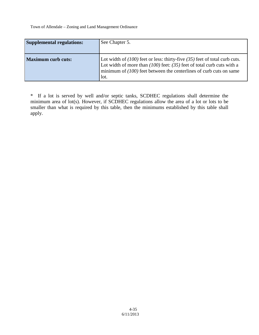| <b>Supplemental regulations:</b> | See Chapter 5.                                                                                                                                                                                                                               |
|----------------------------------|----------------------------------------------------------------------------------------------------------------------------------------------------------------------------------------------------------------------------------------------|
| <b>Maximum curb cuts:</b>        | Lot width of $(100)$ feet or less: thirty-five $(35)$ feet of total curb cuts.<br>Lot width of more than $(100)$ feet: $(35)$ feet of total curb cuts with a<br>minimum of $(100)$ feet between the centerlines of curb cuts on same<br>lot. |

\* If a lot is served by well and/or septic tanks, SCDHEC regulations shall determine the minimum area of lot(s). However, if SCDHEC regulations allow the area of a lot or lots to be smaller than what is required by this table, then the minimums established by this table shall apply.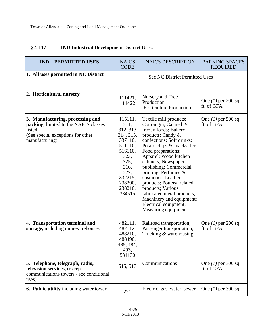| <b>IND</b><br><b>PERMITTED USES</b>                                                                                                         | <b>NAICS</b><br><b>NAICS DESCRIPTION</b><br><b>CODE</b>                                                                                              |                                                                                                                                                                                                                                                                                                                                                                                                                                                                    | <b>PARKING SPACES</b><br><b>REQUIRED</b> |
|---------------------------------------------------------------------------------------------------------------------------------------------|------------------------------------------------------------------------------------------------------------------------------------------------------|--------------------------------------------------------------------------------------------------------------------------------------------------------------------------------------------------------------------------------------------------------------------------------------------------------------------------------------------------------------------------------------------------------------------------------------------------------------------|------------------------------------------|
| 1. All uses permitted in NC District                                                                                                        | <b>See NC District Permitted Uses</b>                                                                                                                |                                                                                                                                                                                                                                                                                                                                                                                                                                                                    |                                          |
| 2. Horticultural nursery                                                                                                                    | Nursery and Tree<br>111421,<br>Production<br>111422<br><b>Floriculture Production</b>                                                                |                                                                                                                                                                                                                                                                                                                                                                                                                                                                    | One $(1)$ per 200 sq.<br>ft. of GFA.     |
| 3. Manufacturing, processing and<br>packing, limited to the NAICS classes<br>listed:<br>(See special exceptions for other<br>manufacturing) | 115111,<br>311,<br>312, 313<br>314, 315,<br>337110,<br>511110,<br>516110,<br>323,<br>325,<br>316,<br>327,<br>332215,<br>238290,<br>238210,<br>334515 | Textile mill products;<br>Cotton gin; Canned &<br>frozen foods; Bakery<br>products; Candy &<br>confections; Soft drinks;<br>Potato chips & snacks; Ice;<br>Food preparations;<br>Apparel; Wood kitchen<br>cabinets; Newspaper<br>publishing; Commercial<br>printing; Perfumes &<br>cosmetics; Leather<br>products; Pottery, related<br>products; Various<br>fabricated metal products;<br>Machinery and equipment;<br>Electrical equipment;<br>Measuring equipment | One $(1)$ per 500 sq.<br>ft. of GFA.     |
| 4. Transportation terminal and<br>storage, including mini-warehouses                                                                        | 482111,<br>482112,<br>488210,<br>488490,<br>485, 484<br>493,<br>531130                                                                               | Railroad transportation;<br>Passenger transportation;<br>Trucking & warehousing.                                                                                                                                                                                                                                                                                                                                                                                   | One $(1)$ per 200 sq.<br>ft. of GFA.     |
| 5. Telephone, telegraph, radio,<br>television services, (except<br>communications towers - see conditional<br>uses)                         | 515, 517                                                                                                                                             | Communications                                                                                                                                                                                                                                                                                                                                                                                                                                                     | One $(1)$ per 300 sq.<br>ft. of GFA.     |
| <b>6. Public utility</b> including water tower,                                                                                             | 221                                                                                                                                                  | Electric, gas, water, sewer,                                                                                                                                                                                                                                                                                                                                                                                                                                       | One $(1)$ per 300 sq.                    |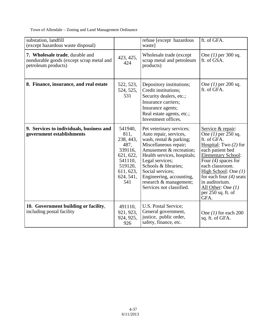| substation, landfill<br>(except hazardous waste disposal)                                          |                                                                                                                     | refuse [except hazardous<br>waste]                                                                                                                                                                                                                                                                                | ft. of GFA.                                                                                                                                                                                                                                                                                                      |
|----------------------------------------------------------------------------------------------------|---------------------------------------------------------------------------------------------------------------------|-------------------------------------------------------------------------------------------------------------------------------------------------------------------------------------------------------------------------------------------------------------------------------------------------------------------|------------------------------------------------------------------------------------------------------------------------------------------------------------------------------------------------------------------------------------------------------------------------------------------------------------------|
| 7. Wholesale trade, durable and<br>nondurable goods (except scrap metal and<br>petroleum products) | 423, 425,<br>424                                                                                                    | Wholesale trade (except)<br>scrap metal and petroleum<br>products)                                                                                                                                                                                                                                                | One $(1)$ per 300 sq.<br>ft. of GSA.                                                                                                                                                                                                                                                                             |
| 8. Finance, insurance, and real estate                                                             | 522, 523,<br>524, 525,<br>531                                                                                       | Depository institutions;<br>Credit institutions;<br>Security dealers, etc.;<br>Insurance carriers;<br>Insurance agents;<br>Real estate agents, etc.;<br>Investment offices.                                                                                                                                       | One $(1)$ per 200 sq.<br>ft. of GFA.                                                                                                                                                                                                                                                                             |
| 9. Services to individuals, business and<br>government establishments                              | 541940.<br>811,<br>238, 443,<br>487,<br>339116,<br>621, 622,<br>541110,<br>519120,<br>611, 623,<br>624, 541,<br>541 | Pet veterinary services;<br>Auto repair, services,<br>wash, rental & parking;<br>Miscellaneous repair;<br>Amusement & recreation;<br>Health services, hospitals;<br>Legal services;<br>Schools & libraries;<br>Social services;<br>Engineering, accounting,<br>research & management;<br>Services not classified. | Service & repair:<br>One $(1)$ per 250 sq.<br>ft. of GFA.<br>Hospital: Two $(2)$ for<br>each patient bed<br><b>Elementary School:</b><br>Four $(4)$ spaces for<br>each classroom.<br>High School: One $(1)$<br>for each four $(4)$ seats<br>in auditorium.<br>All Other: One $(1)$<br>per 250 sq. ft. of<br>GFA. |
| 10. Government building or facility,<br>including postal facility                                  | 491110,<br>921, 923,<br>924, 925,<br>926                                                                            | U.S. Postal Service;<br>General government,<br>justice, public order,<br>safety, finance, etc.                                                                                                                                                                                                                    | One $(1)$ for each 200<br>sq. ft. of GFA.                                                                                                                                                                                                                                                                        |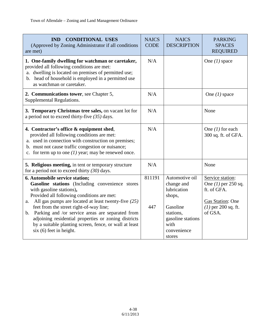| <b>CONDITIONAL USES</b><br><b>IND</b><br>(Approved by Zoning Administrator if all conditions<br>are met)                                                                                                                                                                                                                                                                                                                                                                                 | <b>NAICS</b><br><b>CODE</b> | <b>NAICS</b><br><b>DESCRIPTION</b>                                                                                                   | <b>PARKING</b><br><b>SPACES</b><br><b>REQUIRED</b>                                                               |
|------------------------------------------------------------------------------------------------------------------------------------------------------------------------------------------------------------------------------------------------------------------------------------------------------------------------------------------------------------------------------------------------------------------------------------------------------------------------------------------|-----------------------------|--------------------------------------------------------------------------------------------------------------------------------------|------------------------------------------------------------------------------------------------------------------|
| 1. One-family dwelling for watchman or caretaker,<br>provided all following conditions are met:<br>a. dwelling is located on premises of permitted use;<br>b. head of household is employed in a permitted use<br>as watchman or caretaker.                                                                                                                                                                                                                                              | N/A                         |                                                                                                                                      | One $(1)$ space                                                                                                  |
| 2. Communications tower, see Chapter 5,<br>Supplemental Regulations.                                                                                                                                                                                                                                                                                                                                                                                                                     | N/A                         |                                                                                                                                      | One $(1)$ space                                                                                                  |
| 3. Temporary Christmas tree sales, on vacant lot for<br>a period not to exceed thirty-five $(35)$ days.                                                                                                                                                                                                                                                                                                                                                                                  | N/A                         |                                                                                                                                      | None                                                                                                             |
| 4. Contractor's office & equipment shed,<br>provided all following conditions are met:<br>a. used in connection with construction on premises;<br>b. must not cause traffic congestion or nuisance;<br>c. for term up to one $(1)$ year; may be renewed once.                                                                                                                                                                                                                            | N/A                         |                                                                                                                                      | One $(1)$ for each<br>300 sq. ft. of GFA.                                                                        |
| 5. Religious meeting, in tent or temporary structure<br>for a period not to exceed thirty $(30)$ days.                                                                                                                                                                                                                                                                                                                                                                                   | N/A                         |                                                                                                                                      | None                                                                                                             |
| 6. Automobile service station;<br>Gasoline stations (Including convenience stores<br>with gasoline stations),<br>Provided all following conditions are met:<br>All gas pumps are located at least twenty-five $(25)$<br>a.<br>feet from the street right-of-way line;<br>Parking and /or service areas are separated from<br>$\mathbf b$ .<br>adjoining residential properties or zoning districts<br>by a suitable planting screen, fence, or wall at least<br>$six(6)$ feet in height. | 811191<br>447               | Automotive oil<br>change and<br>lubrication<br>shops,<br>Gasoline<br>stations,<br>gasoline stations<br>with<br>convenience<br>stores | Service station:<br>One $(1)$ per 250 sq.<br>ft. of GFA.<br>Gas Station: One<br>$(1)$ per 200 sq. ft.<br>of GSA. |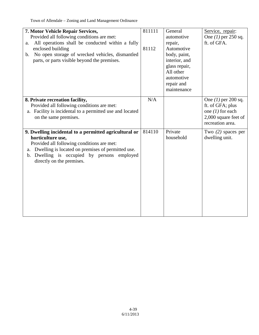| 7. Motor Vehicle Repair Services,<br>Provided all following conditions are met:<br>All operations shall be conducted within a fully<br>a.<br>enclosed building<br>No open storage of wrecked vehicles, dismantled<br>$\mathbf{b}$ .<br>parts, or parts visible beyond the premises. | 811111<br>81112 | General<br>automotive<br>repair,<br>Automotive<br>body, paint,<br>interior, and<br>glass repair,<br>All other<br>automotive<br>repair and<br>maintenance | Service, repair:<br>One $(1)$ per 250 sq.<br>ft. of GFA.                                                    |
|-------------------------------------------------------------------------------------------------------------------------------------------------------------------------------------------------------------------------------------------------------------------------------------|-----------------|----------------------------------------------------------------------------------------------------------------------------------------------------------|-------------------------------------------------------------------------------------------------------------|
| 8. Private recreation facility,<br>Provided all following conditions are met:<br>a. Facility is incidental to a permitted use and located<br>on the same premises.                                                                                                                  | N/A             |                                                                                                                                                          | One $(1)$ per 200 sq.<br>ft. of GFA; plus<br>one $(1)$ for each<br>2,000 square feet of<br>recreation area. |
| 9. Dwelling incidental to a permitted agricultural or<br>horticulture use,<br>Provided all following conditions are met:<br>Dwelling is located on premises of permitted use.<br>a.<br>Dwelling is occupied by persons employed<br>$\mathbf{b}$ .<br>directly on the premises.      | 814110          | Private<br>household                                                                                                                                     | Two $(2)$ spaces per<br>dwelling unit.                                                                      |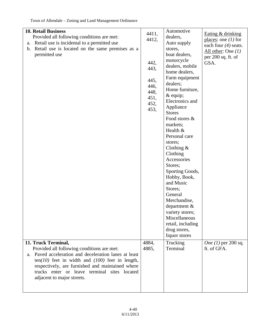| <b>10. Retail Business</b><br>Provided all following conditions are met:<br>Retail use is incidental to a permitted use<br>a.<br>b. Retail use is located on the same premises as a<br>permitted use                                                                                                                | 4411,<br>4412,<br>442,<br>443,<br>445,<br>446,<br>448,<br>451,<br>452,<br>453, | Automotive<br>dealers,<br>Auto supply<br>stores,<br>boat dealers,<br>motorcycle<br>dealers, mobile<br>home dealers,<br>Farm equipment<br>dealers;<br>Home furniture,<br>$&$ equip;<br>Electronics and<br>Appliance<br><b>Stores</b><br>Food stores &<br>markets;<br>Health $&$<br>Personal care<br>stores;<br>Clothing $&$<br>Clothing<br>Accessories<br>Stores;<br>Sporting Goods,<br>Hobby, Book,<br>and Music<br>Stores;<br>General<br>Merchandise,<br>department &<br>variety stores;<br>Miscellaneous<br>retail, including<br>drug stores,<br>liquor stores | Eating & drinking<br>places: one $(1)$ for<br>each four $(4)$ seats.<br>All other: One $(1)$<br>per $200$ sq. ft. of<br>GSA. |
|---------------------------------------------------------------------------------------------------------------------------------------------------------------------------------------------------------------------------------------------------------------------------------------------------------------------|--------------------------------------------------------------------------------|------------------------------------------------------------------------------------------------------------------------------------------------------------------------------------------------------------------------------------------------------------------------------------------------------------------------------------------------------------------------------------------------------------------------------------------------------------------------------------------------------------------------------------------------------------------|------------------------------------------------------------------------------------------------------------------------------|
|                                                                                                                                                                                                                                                                                                                     |                                                                                |                                                                                                                                                                                                                                                                                                                                                                                                                                                                                                                                                                  |                                                                                                                              |
| 11. Truck Terminal,<br>Provided all following conditions are met:<br>a. Paved acceleration and deceleration lanes at least<br>$ten(10)$ feet in width and $(100)$ feet in length,<br>respectively, are furnished and maintained where<br>trucks enter or leave terminal sites located<br>adjacent to major streets. | 4884,<br>4885,                                                                 | Trucking<br>Terminal                                                                                                                                                                                                                                                                                                                                                                                                                                                                                                                                             | <i>One</i> (1) per 200 sq.<br>ft. of GFA.                                                                                    |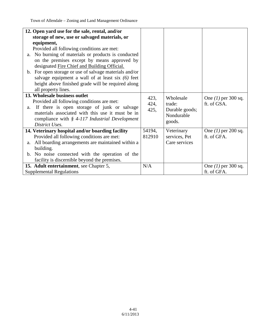| 12. Open yard use for the sale, rental, and/or                 |        |                |                       |
|----------------------------------------------------------------|--------|----------------|-----------------------|
| storage of new, use or salvaged materials, or                  |        |                |                       |
|                                                                |        |                |                       |
| equipment,                                                     |        |                |                       |
| Provided all following conditions are met:                     |        |                |                       |
| a. No burning of materials or products is conducted            |        |                |                       |
| on the premises except by means approved by                    |        |                |                       |
| designated Fire Chief and Building Official.                   |        |                |                       |
| b. For open storage or use of salvage materials and/or         |        |                |                       |
| salvage equipment a wall of at least six $(6)$ feet            |        |                |                       |
| height above finished grade will be required along             |        |                |                       |
| all property lines.                                            |        |                |                       |
| 13. Wholesale business outlet                                  |        |                |                       |
| Provided all following conditions are met:                     | 423,   | Wholesale      | One $(1)$ per 300 sq. |
| If there is open storage of junk or salvage<br>a.              | 424,   | trade:         | ft. of GSA.           |
| materials associated with this use it must be in               | 425,   | Durable goods; |                       |
| compliance with $$4-117$ Industrial Development                |        | Nondurable     |                       |
| District Uses.                                                 |        | goods.         |                       |
|                                                                |        |                |                       |
| 14. Veterinary hospital and/or boarding facility               | 54194, | Veterinary     | One $(1)$ per 200 sq. |
| Provided all following conditions are met:                     | 812910 | services, Pet  | ft. of GFA.           |
| All boarding arrangements are maintained within a<br>a.        |        | Care services  |                       |
| building.                                                      |        |                |                       |
| No noise connected with the operation of the<br>$\mathbf{b}$ . |        |                |                       |
| facility is discernible beyond the premises.                   |        |                |                       |
| 15. Adult entertainment, see Chapter 5,                        | N/A    |                | One $(1)$ per 300 sq. |
| <b>Supplemental Regulations</b>                                |        |                | ft. of GFA.           |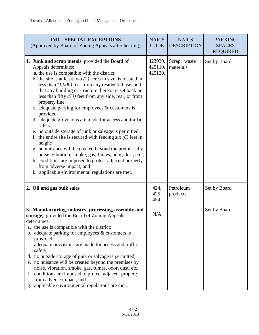| <b>SPECIAL EXCEPTIONS</b><br><b>IND</b><br>(Approved by Board of Zoning Appeals after hearing)                                                                                                                                                                                                                                                                                                                                                                                                                                                                                                                                                                                                                                                                                                                                                                                                                                    | <b>NAICS</b><br><b>CODE</b>   | <b>NAICS</b><br><b>DESCRIPTION</b> | <b>PARKING</b><br><b>SPACES</b><br><b>REQUIRED</b> |
|-----------------------------------------------------------------------------------------------------------------------------------------------------------------------------------------------------------------------------------------------------------------------------------------------------------------------------------------------------------------------------------------------------------------------------------------------------------------------------------------------------------------------------------------------------------------------------------------------------------------------------------------------------------------------------------------------------------------------------------------------------------------------------------------------------------------------------------------------------------------------------------------------------------------------------------|-------------------------------|------------------------------------|----------------------------------------------------|
| 1. Junk and scrap metals, provided the Board of<br>Appeals determines:<br>a. the use is compatible with the district;<br>b. the site is at least two $(2)$ acres in size, is located no<br>less than $(1,000)$ feet from any residential use; and<br>that any building or structure thereon is set back no<br>less than fifty $(50)$ feet from any side, rear, or front<br>property line.<br>c. adequate parking for employees & customers is<br>provided;<br>d. adequate provisions are made for access and traffic<br>safety;<br>e. no outside storage of junk or salvage is permitted;<br>f. the entire site is secured with fencing six $(6)$ feet in<br>height;<br>g. no nuisance will be created beyond the premises by<br>noise, vibration, smoke, gas, fumes, odor, dust, etc.;<br>h. conditions are imposed to protect adjacent property<br>from adverse impact; and<br>i. applicable environmental regulations are met. | 423930,<br>425110,<br>425120, | Scrap, waste<br>materials          | Set by Board                                       |
| 2. Oil and gas bulk sales                                                                                                                                                                                                                                                                                                                                                                                                                                                                                                                                                                                                                                                                                                                                                                                                                                                                                                         | 424,<br>425,<br>454,          | Petroleum<br>products              | Set by Board                                       |
| 3. Manufacturing, industry, processing, assembly and<br>storage, provided the Board of Zoning Appeals<br>determines:<br>a. the use is compatible with the district;<br>b. adequate parking for employees $&$ customers is<br>provided;<br>c. adequate provisions are made for access and traffic<br>safety;<br>d. no outside storage of junk or salvage is permitted;<br>e. no nuisance will be created beyond the premises by<br>noise, vibration, smoke, gas, fumes, odor, dust, etc.;<br>f. conditions are imposed to protect adjacent property<br>from adverse impact; and<br>applicable environmental regulations are met.<br>g.                                                                                                                                                                                                                                                                                             | N/A                           |                                    | Set by Board                                       |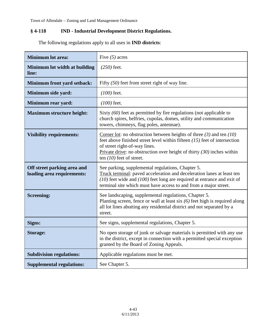## **§ 4-118 IND - Industrial Development District Regulations.**

| <b>Minimum lot area:</b>                                  | Five $(5)$ acres                                                                                                                                                                                                                                                                                   |
|-----------------------------------------------------------|----------------------------------------------------------------------------------------------------------------------------------------------------------------------------------------------------------------------------------------------------------------------------------------------------|
| Minimum lot width at building<br>line:                    | $(250)$ feet.                                                                                                                                                                                                                                                                                      |
| <b>Minimum front yard setback:</b>                        | Fifty $(50)$ feet from street right of way line.                                                                                                                                                                                                                                                   |
| Minimum side yard:                                        | $(100)$ feet.                                                                                                                                                                                                                                                                                      |
| Minimum rear yard:                                        | $(100)$ feet.                                                                                                                                                                                                                                                                                      |
| <b>Maximum structure height:</b>                          | Sixty $(60)$ feet as permitted by fire regulations (not applicable to<br>church spires, belfries, cupolas, domes, utility and communication<br>towers, chimneys, flag poles, antennae).                                                                                                            |
| <b>Visibility requirements:</b>                           | Corner lot: no obstruction between heights of three $(3)$ and ten $(10)$<br>feet above finished street level within fifteen $(15)$ feet of intersection<br>of street right-of-way lines.<br>Private drive: no obstruction over height of thirty $(30)$ inches within<br>ten $(10)$ feet of street. |
| Off street parking area and<br>loading area requirements: | See parking, supplemental regulations, Chapter 5.<br>Truck terminal: paved acceleration and deceleration lanes at least ten<br>$(10)$ feet wide and $(100)$ feet long are required at entrance and exit of<br>terminal site which must have access to and from a major street.                     |
| <b>Screening:</b>                                         | See landscaping, supplemental regulations, Chapter 5.<br>Planting screen, fence or wall at least six $(6)$ feet high is required along<br>all lot lines abutting any residential district and not separated by a<br>street.                                                                        |
| Signs:                                                    | See signs, supplemental regulations, Chapter 5.                                                                                                                                                                                                                                                    |
| <b>Storage:</b>                                           | No open storage of junk or salvage materials is permitted with any use<br>in the district, except in connection with a permitted special exception<br>granted by the Board of Zoning Appeals.                                                                                                      |
| <b>Subdivision regulations:</b>                           | Applicable regulations must be met.                                                                                                                                                                                                                                                                |
| <b>Supplemental regulations:</b>                          | See Chapter 5.                                                                                                                                                                                                                                                                                     |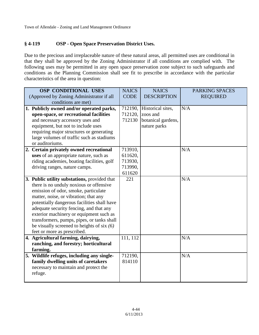### **§ 4-119 OSP - Open Space Preservation District Uses.**

Due to the precious and irreplaceable nature of these natural areas, all permitted uses are conditional in that they shall be approved by the Zoning Administrator if all conditions are complied with. The following uses may be permitted in any open space preservation zone subject to such safeguards and conditions as the Planning Commission shall see fit to prescribe in accordance with the particular characteristics of the area in question:

| <b>OSP CONDITIONAL USES</b>                  | <b>NAICS</b> | <b>NAICS</b>       | <b>PARKING SPACES</b> |
|----------------------------------------------|--------------|--------------------|-----------------------|
| (Approved by Zoning Administrator if all     | <b>CODE</b>  | <b>DESCRIPTION</b> | <b>REQUIRED</b>       |
| conditions are met)                          |              |                    |                       |
| 1. Publicly owned and/or operated parks,     | 712190,      | Historical sites,  | N/A                   |
| open-space, or recreational facilities       | 712120,      | zoos and           |                       |
| and necessary accessory uses and             | 712130       | botanical gardens, |                       |
| equipment, but not to include uses           |              | nature parks       |                       |
| requiring major structures or generating     |              |                    |                       |
| large volumes of traffic such as stadiums    |              |                    |                       |
| or auditoriums.                              |              |                    |                       |
| 2. Certain privately owned recreational      | 713910,      |                    | N/A                   |
| uses of an appropriate nature, such as       | 611620,      |                    |                       |
| riding academies, boating facilities, golf   | 713930,      |                    |                       |
| driving ranges, nature camps.                | 713990,      |                    |                       |
|                                              | 611620       |                    |                       |
| 3. Public utility substations, provided that | 221          |                    | N/A                   |
| there is no unduly noxious or offensive      |              |                    |                       |
| emission of odor, smoke, particulate         |              |                    |                       |
| matter, noise, or vibration; that any        |              |                    |                       |
| potentially dangerous facilities shall have  |              |                    |                       |
| adequate security fencing, and that any      |              |                    |                       |
| exterior machinery or equipment such as      |              |                    |                       |
| transformers, pumps, pipes, or tanks shall   |              |                    |                       |
| be visually screened to heights of six $(6)$ |              |                    |                       |
| feet or more as prescribed.                  |              |                    |                       |
| 4. Agricultural farming, dairying,           | 111, 112     |                    | N/A                   |
| ranching, and forestry; horticultural        |              |                    |                       |
| farming.                                     |              |                    |                       |
| 5. Wildlife refuges, including any single-   | 712190,      |                    | N/A                   |
| family dwelling units of caretakers          | 814110       |                    |                       |
| necessary to maintain and protect the        |              |                    |                       |
| refuge.                                      |              |                    |                       |
|                                              |              |                    |                       |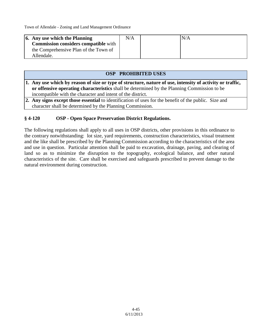| $\vert$ 6. Any use which the Planning       | N/A | N/A |
|---------------------------------------------|-----|-----|
| <b>Commission considers compatible with</b> |     |     |
| the Comprehensive Plan of the Town of       |     |     |
| Allendale.                                  |     |     |

#### **OSP PROHIBITED USES**

- **1. Any use which by reason of size or type of structure, nature of use, intensity of activity or traffic, or offensive operating characteristics** shall be determined by the Planning Commission to be incompatible with the character and intent of the district.
- **2. Any signs except those essential** to identification of uses for the benefit of the public. Size and character shall be determined by the Planning Commission.

#### **§ 4-120 OSP - Open Space Preservation District Regulations.**

The following regulations shall apply to all uses in OSP districts, other provisions in this ordinance to the contrary notwithstanding: lot size, yard requirements, construction characteristics, visual treatment and the like shall be prescribed by the Planning Commission according to the characteristics of the area and use in question. Particular attention shall be paid to excavation, drainage, paving, and clearing of land so as to minimize the disruption to the topography, ecological balance, and other natural characteristics of the site. Care shall be exercised and safeguards prescribed to prevent damage to the natural environment during construction.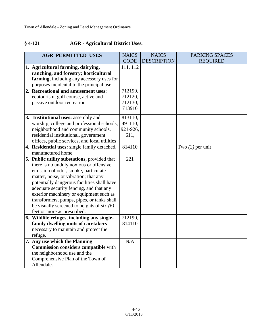## **§ 4-121 AGR - Agricultural District Uses.**

| <b>AGR PERMITTED USES</b>                     | <b>NAICS</b> | <b>NAICS</b>       | <b>PARKING SPACES</b> |
|-----------------------------------------------|--------------|--------------------|-----------------------|
|                                               | <b>CODE</b>  | <b>DESCRIPTION</b> | <b>REQUIRED</b>       |
| 1. Agricultural farming, dairying,            | 111, 112     |                    |                       |
| ranching, and forestry; horticultural         |              |                    |                       |
| farming, including any accessory uses for     |              |                    |                       |
| purposes incidental to the principal use      |              |                    |                       |
| 2. Recreational and amusement uses:           | 712190,      |                    |                       |
| ecotourism, golf course, active and           | 712120,      |                    |                       |
| passive outdoor recreation                    | 712130,      |                    |                       |
|                                               | 713910       |                    |                       |
| 3. Institutional uses: assembly and           | 813110,      |                    |                       |
| worship, college and professional schools,    | 491110,      |                    |                       |
| neighborhood and community schools,           | 921-926,     |                    |                       |
| residential institutional, government         | 611,         |                    |                       |
| offices, public services, and local utilities |              |                    |                       |
| 4. Residential uses: single family detached,  | 814110       |                    | Two $(2)$ per unit    |
| manufactured home                             |              |                    |                       |
| 5. Public utility substations, provided that  | 221          |                    |                       |
| there is no unduly noxious or offensive       |              |                    |                       |
| emission of odor, smoke, particulate          |              |                    |                       |
| matter, noise, or vibration; that any         |              |                    |                       |
| potentially dangerous facilities shall have   |              |                    |                       |
| adequate security fencing, and that any       |              |                    |                       |
| exterior machinery or equipment such as       |              |                    |                       |
| transformers, pumps, pipes, or tanks shall    |              |                    |                       |
| be visually screened to heights of six $(6)$  |              |                    |                       |
| feet or more as prescribed.                   |              |                    |                       |
| 6. Wildlife refuges, including any single-    | 712190,      |                    |                       |
| family dwelling units of caretakers           | 814110       |                    |                       |
| necessary to maintain and protect the         |              |                    |                       |
| refuge.                                       |              |                    |                       |
| 7. Any use which the Planning                 | N/A          |                    |                       |
| <b>Commission considers compatible with</b>   |              |                    |                       |
| the neighborhood use and the                  |              |                    |                       |
| Comprehensive Plan of the Town of             |              |                    |                       |
| Allendale.                                    |              |                    |                       |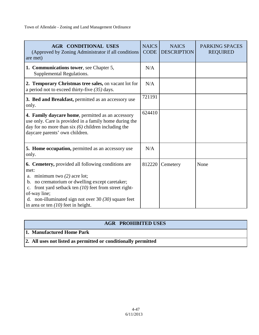| <b>AGR CONDITIONAL USES</b><br>(Approved by Zoning Administrator if all conditions<br>are met)                                                                                                                                                                                                                                     | <b>NAICS</b><br><b>CODE</b> | <b>NAICS</b><br><b>DESCRIPTION</b> | <b>PARKING SPACES</b><br><b>REQUIRED</b> |
|------------------------------------------------------------------------------------------------------------------------------------------------------------------------------------------------------------------------------------------------------------------------------------------------------------------------------------|-----------------------------|------------------------------------|------------------------------------------|
| 1. Communications tower, see Chapter 5,<br>Supplemental Regulations.                                                                                                                                                                                                                                                               | N/A                         |                                    |                                          |
| 2. Temporary Christmas tree sales, on vacant lot for<br>a period not to exceed thirty-five $(35)$ days.                                                                                                                                                                                                                            | N/A                         |                                    |                                          |
| <b>3. Bed and Breakfast, permitted as an accessory use</b><br>only.                                                                                                                                                                                                                                                                | 721191                      |                                    |                                          |
| 4. Family daycare home, permitted as an accessory<br>use only. Care is provided in a family home during the<br>day for no more than $six(6)$ children including the<br>daycare parents' own children.                                                                                                                              | 624410                      |                                    |                                          |
| <b>5. Home occupation, permitted as an accessory use</b><br>only.                                                                                                                                                                                                                                                                  | N/A                         |                                    |                                          |
| <b>6. Cemetery, provided all following conditions are</b><br>met:<br>a. minimum two $(2)$ acre lot;<br>b. no crematorium or dwelling except caretaker;<br>front yard setback ten $(10)$ feet from street right-<br>of-way line;<br>d. non-illuminated sign not over 30 $(30)$ square feet<br>in area or ten $(10)$ feet in height. | 812220                      | Cemetery                           | None                                     |

## **AGR PROHIBITED USES**

### **1. Manufactured Home Park**

**2. All uses not listed as permitted or conditionally permitted**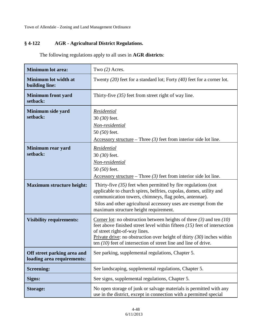## **§ 4-122 AGR - Agricultural District Regulations.**

The following regulations apply to all uses in **AGR districts**:

| <b>Minimum lot area:</b>                                  | Two (2) Acres.                                                                                                                                                                                                                                                                                                                            |
|-----------------------------------------------------------|-------------------------------------------------------------------------------------------------------------------------------------------------------------------------------------------------------------------------------------------------------------------------------------------------------------------------------------------|
| <b>Minimum lot width at</b><br>building line:             | Twenty $(20)$ feet for a standard lot; Forty $(40)$ feet for a corner lot.                                                                                                                                                                                                                                                                |
| <b>Minimum front yard</b><br>setback:                     | Thirty-five $(35)$ feet from street right of way line.                                                                                                                                                                                                                                                                                    |
| Minimum side yard<br>setback:                             | Residential<br>30 (30) feet.<br>Non-residential<br>50 $(50)$ feet.<br>$\Delta$ ccessory structure – Three (3) feet from interior side lot line.                                                                                                                                                                                           |
| Minimum rear yard<br>setback:                             | Residential<br>30 (30) feet.<br>Non-residential<br>50 (50) feet.<br>Accessory structure – Three $(3)$ feet from interior side lot line.                                                                                                                                                                                                   |
| <b>Maximum structure height:</b>                          | Thirty-five $(35)$ feet when permitted by fire regulations (not<br>applicable to church spires, belfries, cupolas, domes, utility and<br>communication towers, chimneys, flag poles, antennae).<br>Silos and other agricultural accessory uses are exempt from the<br>maximum structure height requirement.                               |
| <b>Visibility requirements:</b>                           | Corner lot: no obstruction between heights of three $(3)$ and ten $(10)$<br>feet above finished street level within fifteen $(15)$ feet of intersection<br>of street right-of-way lines.<br>Private drive: no obstruction over height of thirty $(30)$ inches within<br>ten $(10)$ feet of intersection of street line and line of drive. |
| Off street parking area and<br>loading area requirements: | See parking, supplemental regulations, Chapter 5.                                                                                                                                                                                                                                                                                         |
| <b>Screening:</b>                                         | See landscaping, supplemental regulations, Chapter 5.                                                                                                                                                                                                                                                                                     |
| Signs:                                                    | See signs, supplemental regulations, Chapter 5.                                                                                                                                                                                                                                                                                           |
| <b>Storage:</b>                                           | No open storage of junk or salvage materials is permitted with any<br>use in the district, except in connection with a permitted special                                                                                                                                                                                                  |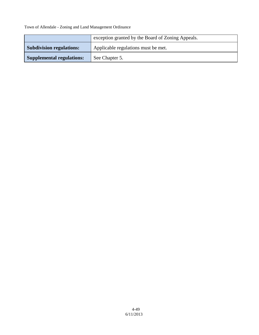|                                  | exception granted by the Board of Zoning Appeals. |
|----------------------------------|---------------------------------------------------|
| <b>Subdivision regulations:</b>  | Applicable regulations must be met.               |
| <b>Supplemental regulations:</b> | See Chapter 5.                                    |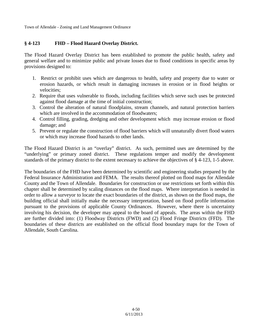### **§ 4-123 FHD – Flood Hazard Overlay District.**

The Flood Hazard Overlay District has been established to promote the public health, safety and general welfare and to minimize public and private losses due to flood conditions in specific areas by provisions designed to:

- 1. Restrict or prohibit uses which are dangerous to health, safety and property due to water or erosion hazards, or which result in damaging increases in erosion or in flood heights or velocities;
- 2. Require that uses vulnerable to floods, including facilities which serve such uses be protected against flood damage at the time of initial construction;
- 3. Control the alteration of natural floodplains, stream channels, and natural protection barriers which are involved in the accommodation of floodwaters;
- 4. Control filling, grading, dredging and other development which may increase erosion or flood damage; and
- 5. Prevent or regulate the construction of flood barriers which will unnaturally divert flood waters or which may increase flood hazards to other lands.

The Flood Hazard District is an "overlay" district. As such, permitted uses are determined by the "underlying" or primary zoned district. These regulations temper and modify the development standards of the primary district to the extent necessary to achieve the objectives of § 4-123, 1-5 above.

The boundaries of the FHD have been determined by scientific and engineering studies prepared by the Federal Insurance Administration and FEMA. The results thereof plotted on flood maps for Allendale County and the Town of Allendale. Boundaries for construction or use restrictions set forth within this chapter shall be determined by scaling distances on the flood maps. Where interpretation is needed in order to allow a surveyor to locate the exact boundaries of the district, as shown on the flood maps, the building official shall initially make the necessary interpretation, based on flood profile information pursuant to the provisions of applicable County Ordinances. However, where there is uncertainty involving his decision, the developer may appeal to the board of appeals. The areas within the FHD are further divided into: (1) Floodway Districts (FWD) and (2) Flood Fringe Districts (FFD). The boundaries of these districts are established on the official flood boundary maps for the Town of Allendale, South Carolina.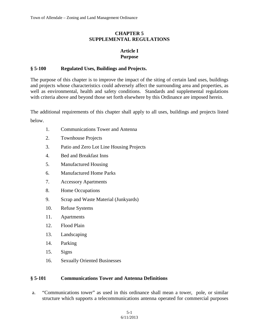#### **CHAPTER 5 SUPPLEMENTAL REGULATIONS**

### **Article I Purpose**

#### **§ 5-100 Regulated Uses, Buildings and Projects.**

The purpose of this chapter is to improve the impact of the siting of certain land uses, buildings and projects whose characteristics could adversely affect the surrounding area and properties, as well as environmental, health and safety conditions. Standards and supplemental regulations with criteria above and beyond those set forth elsewhere by this Ordinance are imposed herein.

The additional requirements of this chapter shall apply to all uses, buildings and projects listed below.

- 1. Communications Tower and Antenna
- 2. Townhouse Projects
- 3. Patio and Zero Lot Line Housing Projects
- 4. Bed and Breakfast Inns
- 5. Manufactured Housing
- 6. Manufactured Home Parks
- 7. Accessory Apartments
- 8. Home Occupations
- 9. Scrap and Waste Material (Junkyards)
- 10. Refuse Systems
- 11. Apartments
- 12. Flood Plain
- 13. Landscaping
- 14. Parking
- 15. Signs
- 16. Sexually Oriented Businesses

#### **§ 5-101 Communications Tower and Antenna Definitions**

a. "Communications tower" as used in this ordinance shall mean a tower, pole, or similar structure which supports a telecommunications antenna operated for commercial purposes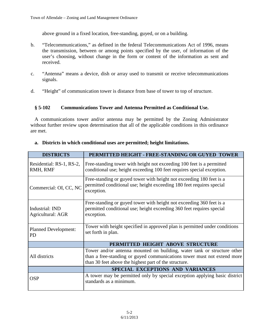above ground in a fixed location, free-standing, guyed, or on a building.

- b. "Telecommunications," as defined in the federal Telecommunications Act of 1996, means the transmission, between or among points specified by the user, of information of the user's choosing, without change in the form or content of the information as sent and received.
- c. "Antenna" means a device, dish or array used to transmit or receive telecommunications signals.
- d. "Height" of communication tower is distance from base of tower to top of structure.

### **§ 5-102 Communications Tower and Antenna Permitted as Conditional Use.**

A communications tower and/or antenna may be permitted by the Zoning Administrator without further review upon determination that all of the applicable conditions in this ordinance are met.

| <b>DISTRICTS</b>                            | PERMITTED HEIGHT - FREE-STANDING OR GUYED TOWER                                                                                                                                                             |
|---------------------------------------------|-------------------------------------------------------------------------------------------------------------------------------------------------------------------------------------------------------------|
| Residential: RS-1, RS-2,<br>RMH, RMF        | Free-standing tower with height not exceeding 100 feet is a permitted<br>conditional use; height exceeding 100 feet requires special exception.                                                             |
| Commercial: OI, CC, NC                      | Free-standing or guyed tower with height not exceeding 180 feet is a<br>permitted conditional use; height exceeding 180 feet requires special<br>exception.                                                 |
| Industrial: IND<br><b>Agricultural: AGR</b> | Free-standing or guyed tower with height not exceeding 360 feet is a<br>permitted conditional use; height exceeding 360 feet requires special<br>exception.                                                 |
| <b>Planned Development:</b><br><b>PD</b>    | Tower with height specified in approved plan is permitted under conditions<br>set forth in plan.                                                                                                            |
|                                             | PERMITTED HEIGHT ABOVE STRUCTURE                                                                                                                                                                            |
| All districts                               | Tower and/or antenna mounted on building, water tank or structure other<br>than a free-standing or guyed communications tower must not extend more<br>than 30 feet above the highest part of the structure. |
|                                             | SPECIAL EXCEPTIONS AND VARIANCES                                                                                                                                                                            |
| <b>OSP</b>                                  | A tower may be permitted only by special exception applying basic district<br>standards as a minimum.                                                                                                       |

#### **a. Districts in which conditional uses are permitted; height limitations.**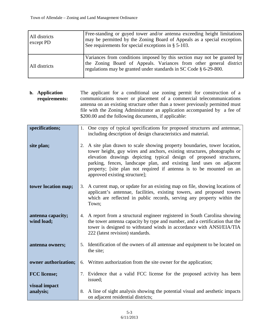| All districts<br>except PD | Free-standing or guyed tower and/or antenna exceeding height limitations<br>may be permitted by the Zoning Board of Appeals as a special exception.<br>See requirements for special exceptions in $\S$ 5-103.      |
|----------------------------|--------------------------------------------------------------------------------------------------------------------------------------------------------------------------------------------------------------------|
| All districts              | Variances from conditions imposed by this section may not be granted by<br>the Zoning Board of Appeals. Variances from other general district<br>regulations may be granted under standards in SC Code § 6-29-800. |

**b. Application requirements:** The applicant for a conditional use zoning permit for construction of a communications tower or placement of a commercial telecommunications antenna on an existing structure other than a tower previously permitted must file with the Zoning Administrator an application accompanied by a fee of \$200.00 and the following documents, if applicable:

| specifications;                 |    | 1. One copy of typical specifications for proposed structures and antennae,<br>including description of design characteristics and material.                                                                                                                                                                                                                                                              |
|---------------------------------|----|-----------------------------------------------------------------------------------------------------------------------------------------------------------------------------------------------------------------------------------------------------------------------------------------------------------------------------------------------------------------------------------------------------------|
| site plan;                      | 2. | A site plan drawn to scale showing property boundaries, tower location,<br>tower height, guy wires and anchors, existing structures, photographs or<br>elevation drawings depicting typical design of proposed structures,<br>parking, fences, landscape plan, and existing land uses on adjacent<br>property; [site plan not required if antenna is to be mounted on an<br>approved existing structure]; |
| tower location map;             | 3. | A current map, or update for an existing map on file, showing locations of<br>applicant's antennae, facilities, existing towers, and proposed towers<br>which are reflected in public records, serving any property within the<br>Town;                                                                                                                                                                   |
| antenna capacity;<br>wind load; |    | 4. A report from a structural engineer registered in South Carolina showing<br>the tower antenna capacity by type and number, and a certification that the<br>tower is designed to withstand winds in accordance with ANSI/EIA/TIA<br>222 (latest revision) standards.                                                                                                                                    |
| antenna owners;                 |    | 5. Identification of the owners of all antennae and equipment to be located on<br>the site;                                                                                                                                                                                                                                                                                                               |
| owner authorization;            | 6. | Written authorization from the site owner for the application;                                                                                                                                                                                                                                                                                                                                            |
| <b>FCC</b> license;             |    | 7. Evidence that a valid FCC license for the proposed activity has been<br>issued;                                                                                                                                                                                                                                                                                                                        |
| visual impact<br>analysis;      | 8. | A line of sight analysis showing the potential visual and aesthetic impacts<br>on adjacent residential districts;                                                                                                                                                                                                                                                                                         |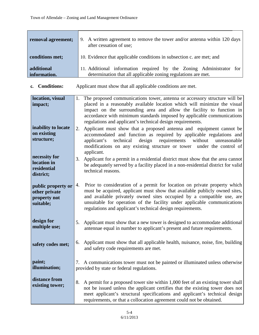| removal agreement;         | 9. A written agreement to remove the tower and/or antenna within 120 days<br>after cessation of use;                                 |
|----------------------------|--------------------------------------------------------------------------------------------------------------------------------------|
| conditions met;            | 10. Evidence that applicable conditions in subsection c. are met; and                                                                |
| additional<br>information. | 11. Additional information required by the Zoning Administrator for<br>determination that all applicable zoning regulations are met. |

**c. Conditions:** Applicant must show that all applicable conditions are met.

| location, visual    | The proposed communications tower, antenna or accessory structure will be<br>1.       |  |
|---------------------|---------------------------------------------------------------------------------------|--|
| impact;             | placed in a reasonably available location which will minimize the visual              |  |
|                     | impact on the surrounding area and allow the facility to function in                  |  |
|                     | accordance with minimum standards imposed by applicable communications                |  |
|                     | regulations and applicant's technical design requirements.                            |  |
| inability to locate | Applicant must show that a proposed antenna and equipment cannot be<br>2.             |  |
| on existing         | accommodated and function as required by applicable regulations and                   |  |
| structure;          | technical<br>requirements<br>without<br>applicant's<br>design<br>unreasonable         |  |
|                     | modifications on any existing structure or tower under the control of                 |  |
|                     | applicant.                                                                            |  |
| necessity for       | 3.<br>Applicant for a permit in a residential district must show that the area cannot |  |
| location in         | be adequately served by a facility placed in a non-residential district for valid     |  |
| residential         | technical reasons.                                                                    |  |
| district;           |                                                                                       |  |
| public property or  | Prior to consideration of a permit for location on private property which<br>4.       |  |
| other private       | must be acquired, applicant must show that available publicly owned sites,            |  |
| property not        | and available privately owned sites occupied by a compatible use, are                 |  |
| suitable;           | unsuitable for operation of the facility under applicable communications              |  |
|                     | regulations and applicant's technical design requirements.                            |  |
|                     |                                                                                       |  |
| design for          | Applicant must show that a new tower is designed to accommodate additional<br>5.      |  |
| multiple use;       | antennae equal in number to applicant's present and future requirements.              |  |
|                     |                                                                                       |  |
| safety codes met;   | Applicant must show that all applicable health, nuisance, noise, fire, building<br>6. |  |
|                     | and safety code requirements are met.                                                 |  |
|                     |                                                                                       |  |
| paint;              | A communications tower must not be painted or illuminated unless otherwise<br>7.      |  |
| illumination;       | provided by state or federal regulations.                                             |  |
|                     |                                                                                       |  |
| distance from       | 8.<br>A permit for a proposed tower site within 1,000 feet of an existing tower shall |  |
| existing tower;     | not be issued unless the applicant certifies that the existing tower does not         |  |
|                     | meet applicant's structural specifications and applicant's technical design           |  |
|                     | requirements, or that a collocation agreement could not be obtained.                  |  |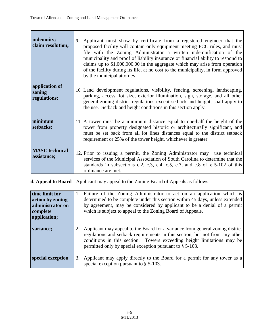| indemnity;<br>claim resolution;          | Applicant must show by certificate from a registered engineer that the<br>9.<br>proposed facility will contain only equipment meeting FCC rules, and must<br>file with the Zoning Administrator a written indemnification of the<br>municipality and proof of liability insurance or financial ability to respond to<br>claims up to $$1,000,000.00$ in the aggregate which may arise from operation<br>of the facility during its life, at no cost to the municipality, in form approved<br>by the municipal attorney. |
|------------------------------------------|-------------------------------------------------------------------------------------------------------------------------------------------------------------------------------------------------------------------------------------------------------------------------------------------------------------------------------------------------------------------------------------------------------------------------------------------------------------------------------------------------------------------------|
| application of<br>zoning<br>regulations; | 10. Land development regulations, visibility, fencing, screening, landscaping,<br>parking, access, lot size, exterior illumination, sign, storage, and all other<br>general zoning district regulations except setback and height, shall apply to<br>the use. Setback and height conditions in this section apply.                                                                                                                                                                                                      |
| minimum<br>setbacks;                     | 11. A tower must be a minimum distance equal to one-half the height of the<br>tower from property designated historic or architecturally significant, and<br>must be set back from all lot lines distances equal to the district setback<br>requirement or 25% of the tower height, whichever is greater.                                                                                                                                                                                                               |
| <b>MASC</b> technical<br>assistance;     | 12. Prior to issuing a permit, the Zoning Administrator may use technical<br>services of the Municipal Association of South Carolina to determine that the<br>standards in subsections c.2, c.3, c.4, c.5, c.7, and c.8 of $\S$ 5-102 of this<br>ordinance are met.                                                                                                                                                                                                                                                     |

**d. Appeal to Board** Applicant may appeal to the Zoning Board of Appeals as follows:

| time limit for<br>action by zoning<br>administrator on<br>complete<br>application; | 1. Failure of the Zoning Administrator to act on an application which is<br>determined to be complete under this section within 45 days, unless extended<br>by agreement, may be considered by applicant to be a denial of a permit<br>which is subject to appeal to the Zoning Board of Appeals.      |
|------------------------------------------------------------------------------------|--------------------------------------------------------------------------------------------------------------------------------------------------------------------------------------------------------------------------------------------------------------------------------------------------------|
| variance;                                                                          | Applicant may appeal to the Board for a variance from general zoning district<br>regulations and setback requirements in this section, but not from any other<br>conditions in this section. Towers exceeding height limitations may be<br>permitted only by special exception pursuant to $\S$ 5-103. |
| special exception                                                                  | Applicant may apply directly to the Board for a permit for any tower as a<br>special exception pursuant to $\S$ 5-103.                                                                                                                                                                                 |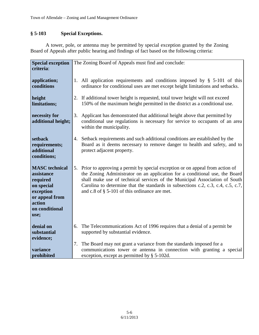# **§ 5-103 Special Exceptions.**

A tower, pole, or antenna may be permitted by special exception granted by the Zoning Board of Appeals after public hearing and findings of fact based on the following criteria:

| <b>Special exception</b>                                                                                                         | The Zoning Board of Appeals must find and conclude:                                                                                                                                                                                                                                                                                                                                  |  |
|----------------------------------------------------------------------------------------------------------------------------------|--------------------------------------------------------------------------------------------------------------------------------------------------------------------------------------------------------------------------------------------------------------------------------------------------------------------------------------------------------------------------------------|--|
| criteria:                                                                                                                        |                                                                                                                                                                                                                                                                                                                                                                                      |  |
| application;<br>conditions                                                                                                       | 1. All application requirements and conditions imposed by $\S$ 5-101 of this<br>ordinance for conditional uses are met except height limitations and setbacks.                                                                                                                                                                                                                       |  |
| height<br>limitations;                                                                                                           | 2. If additional tower height is requested, total tower height will not exceed<br>150% of the maximum height permitted in the district as a conditional use.                                                                                                                                                                                                                         |  |
| necessity for<br>additional height;                                                                                              | Applicant has demonstrated that additional height above that permitted by<br>3.<br>conditional use regulations is necessary for service to occupants of an area<br>within the municipality.                                                                                                                                                                                          |  |
| setback<br>requirements;<br>additional<br>conditions;                                                                            | 4. Setback requirements and such additional conditions are established by the<br>Board as it deems necessary to remove danger to health and safety, and to<br>protect adjacent property.                                                                                                                                                                                             |  |
| <b>MASC</b> technical<br>assistance<br>required<br>on special<br>exception<br>or appeal from<br>action<br>on conditional<br>use; | 5. Prior to approving a permit by special exception or on appeal from action of<br>the Zoning Administrator on an application for a conditional use, the Board<br>shall make use of technical services of the Municipal Association of South<br>Carolina to determine that the standards in subsections c.2, c.3, c.4, c.5, c.7,<br>and c.8 of $\S$ 5-101 of this ordinance are met. |  |
| denial on<br>substantial<br>evidence;                                                                                            | The Telecommunications Act of 1996 requires that a denial of a permit be<br>6.<br>supported by substantial evidence.                                                                                                                                                                                                                                                                 |  |
| variance<br>prohibited                                                                                                           | The Board may not grant a variance from the standards imposed for a<br>7.<br>communications tower or antenna in connection with granting a special<br>exception, except as permitted by § 5-102d.                                                                                                                                                                                    |  |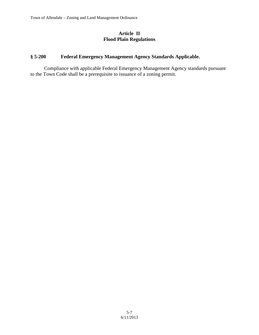#### **Article II Flood Plain Regulations**

# **§ 5-200 Federal Emergency Management Agency Standards Applicable.**

Compliance with applicable Federal Emergency Management Agency standards pursuant to the Town Code shall be a prerequisite to issuance of a zoning permit.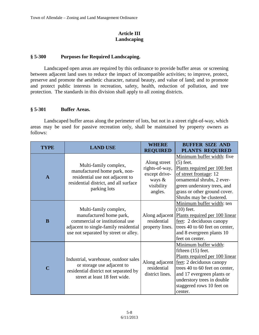## **Article III Landscaping**

## **§ 5-300 Purposes for Required Landscaping.**

Landscaped open areas are required by this ordinance to provide buffer areas or screening between adjacent land uses to reduce the impact of incompatible activities; to improve, protect, preserve and promote the aesthetic character, natural beauty, and value of land; and to promote and protect public interests in recreation, safety, health, reduction of pollution, and tree protection. The standards in this division shall apply to all zoning districts.

### **§ 5-301 Buffer Areas.**

Landscaped buffer areas along the perimeter of lots, but not in a street right-of-way, which areas may be used for passive recreation only, shall be maintained by property owners as follows:

| TYPE         | <b>LAND USE</b>                                                                                                                                                       | <b>WHERE</b><br><b>REQUIRED</b>                                                    | <b>BUFFER SIZE AND</b><br><b>PLANTS REQUIRED</b>                                                                                                                                                                                                  |
|--------------|-----------------------------------------------------------------------------------------------------------------------------------------------------------------------|------------------------------------------------------------------------------------|---------------------------------------------------------------------------------------------------------------------------------------------------------------------------------------------------------------------------------------------------|
| $\mathbf{A}$ | Multi-family complex,<br>manufactured home park, non-<br>residential use not adjacent to<br>residential district, and all surface<br>parking lots                     | Along street<br>rights-of-way,<br>except drive-<br>ways &<br>visibility<br>angles. | Minimum buffer width: five<br>$(5)$ feet.<br>Plants required per 100 feet<br>of street frontage: 12<br>ornamental shrubs, 2 ever-<br>green understory trees, and<br>grass or other ground cover.<br>Shrubs may be clustered.                      |
| B            | Multi-family complex,<br>manufactured home park,<br>commercial or institutional use<br>adjacent to single-family residential<br>use not separated by street or alley. | Along adjacent<br>residential<br>property lines.                                   | Minimum buffer width: ten<br>$(10)$ feet.<br>Plants required per 100 linear<br>feet: 2 deciduous canopy<br>trees 40 to 60 feet on center,<br>and 8 evergreen plants 10<br>feet on center.                                                         |
| $\mathbf C$  | Industrial, warehouse, outdoor sales<br>or storage use adjacent to<br>residential district not separated by<br>street at least 18 feet wide.                          | Along adjacent<br>residential<br>district lines.                                   | Minimum buffer width:<br>fifteen $(15)$ feet.<br>Plants required per 100 linear<br>feet: 2 deciduous canopy<br>trees 40 to 60 feet on center,<br>and 17 evergreen plants or<br>understory trees in double<br>staggered rows 10 feet on<br>center. |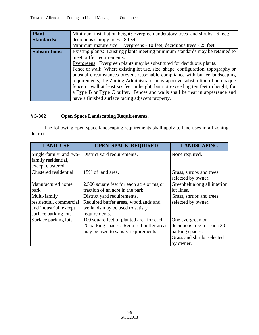| <b>Plant</b>          | Minimum installation height: Evergreen understory trees and shrubs - 6 feet;         |
|-----------------------|--------------------------------------------------------------------------------------|
| <b>Standards:</b>     | deciduous canopy trees - 8 feet.                                                     |
|                       | Minimum mature size: Evergreens - 10 feet; deciduous trees - 25 feet.                |
| <b>Substitutions:</b> | Existing plants: Existing plants meeting minimum standards may be retained to        |
|                       | meet buffer requirements.                                                            |
|                       | Evergreens: Evergreen plants may be substituted for deciduous plants.                |
|                       | Fence or wall: Where existing lot use, size, shape, configuration, topography or     |
|                       | unusual circumstances prevent reasonable compliance with buffer landscaping          |
|                       | requirements, the Zoning Administrator may approve substitution of an opaque         |
|                       | fence or wall at least six feet in height, but not exceeding ten feet in height, for |
|                       | a Type B or Type C buffer. Fences and walls shall be neat in appearance and          |
|                       | have a finished surface facing adjacent property.                                    |

# **§ 5-302 Open Space Landscaping Requirements.**

The following open space landscaping requirements shall apply to land uses in all zoning districts.

| <b>LAND USE</b>                                                                           | <b>OPEN SPACE REQUIRED</b>                                                                                                   | <b>LANDSCAPING</b>                                                                                          |
|-------------------------------------------------------------------------------------------|------------------------------------------------------------------------------------------------------------------------------|-------------------------------------------------------------------------------------------------------------|
| Single-family and two-<br>family residential,<br>except clustered                         | District yard requirements.                                                                                                  | None required.                                                                                              |
| Clustered residential                                                                     | 15% of land area.                                                                                                            | Grass, shrubs and trees<br>selected by owner.                                                               |
| Manufactured home<br>park                                                                 | 2,500 square feet for each acre or major<br>fraction of an acre in the park.                                                 | Greenbelt along all interior<br>lot lines.                                                                  |
| Multi-family<br>residential, commercial<br>and industrial, except<br>surface parking lots | District yard requirements.<br>Required buffer areas, woodlands and<br>wetlands may be used to satisfy<br>requirements.      | Grass, shrubs and trees<br>selected by owner.                                                               |
| Surface parking lots                                                                      | 100 square feet of planted area for each<br>20 parking spaces. Required buffer areas<br>may be used to satisfy requirements. | One evergreen or<br>deciduous tree for each 20<br>parking spaces.<br>Grass and shrubs selected<br>by owner. |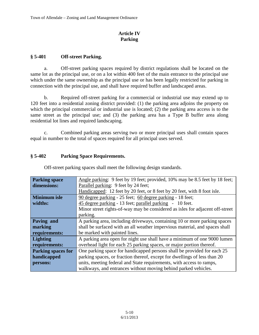## **Article IV Parking**

# **§ 5-401 Off-street Parking.**

a. Off-street parking spaces required by district regulations shall be located on the same lot as the principal use, or on a lot within 400 feet of the main entrance to the principal use which under the same ownership as the principal use or has been legally restricted for parking in connection with the principal use, and shall have required buffer and landscaped areas.

b. Required off-street parking for a commercial or industrial use may extend up to 120 feet into a residential zoning district provided: (1) the parking area adjoins the property on which the principal commercial or industrial use is located; (2) the parking area access is to the same street as the principal use; and (3) the parking area has a Type B buffer area along residential lot lines and required landscaping.

c. Combined parking areas serving two or more principal uses shall contain spaces equal in number to the total of spaces required for all principal uses served.

## **§ 5-402 Parking Space Requirements.**

| <b>Parking space</b>      | Angle parking: 9 feet by 19 feet; provided, 10% may be 8.5 feet by 18 feet;   |
|---------------------------|-------------------------------------------------------------------------------|
| dimensions:               | Parallel parking: 9 feet by 24 feet;                                          |
|                           | Handicapped: 12 feet by 20 feet, or 8 feet by 20 feet, with 8 foot isle.      |
| <b>Minimum</b> isle       | 90 degree parking - 25 feet; 60 degree parking - 18 feet;                     |
| widths:                   | 45 degree parking - 13 feet; parallel parking - 10 feet.                      |
|                           | Minor street rights-of-way may be considered as isles for adjacent off-street |
|                           | parking.                                                                      |
| Paving and                | A parking area, including driveways, containing 10 or more parking spaces     |
| marking                   | shall be surfaced with an all weather impervious material, and spaces shall   |
| requirements:             | be marked with painted lines.                                                 |
| <b>Lighting</b>           | A parking area open for night use shall have a minimum of one 9000 lumen      |
| requirements:             | overhead light for each 25 parking spaces, or major portion thereof.          |
| <b>Parking spaces for</b> | One parking space for handicapped persons shall be provided for each 25       |
| handicapped               | parking spaces, or fraction thereof, except for dwellings of less than 20     |
| persons:                  | units, meeting federal and State requirements, with access to ramps,          |
|                           | walkways, and entrances without moving behind parked vehicles.                |

Off-street parking spaces shall meet the following design standards.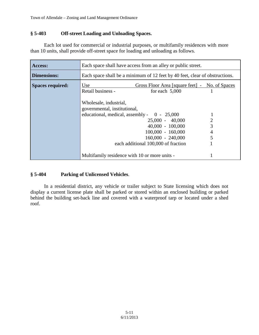## **§ 5-403 Off-street Loading and Unloading Spaces.**

Each lot used for commercial or industrial purposes, or multifamily residences with more than 10 units, shall provide off-street space for loading and unloading as follows.

| Access:                 | Each space shall have access from an alley or public street.                                                                                                                                                                                                                                                                                                          |  |
|-------------------------|-----------------------------------------------------------------------------------------------------------------------------------------------------------------------------------------------------------------------------------------------------------------------------------------------------------------------------------------------------------------------|--|
| <b>Dimensions:</b>      | Each space shall be a minimum of 12 feet by 40 feet, clear of obstructions.                                                                                                                                                                                                                                                                                           |  |
| <b>Spaces required:</b> | Gross Floor Area [square feet] - No. of Spaces<br>Use<br>Retail business -<br>for each $5,000$<br>Wholesale, industrial,<br>governmental, institutional,<br>educational, medical, assembly - $0 - 25,000$<br>$\overline{2}$<br>$25,000 - 40,000$<br>3<br>$40,000 - 100,000$<br>$100,000 - 160,000$<br>4<br>$160,000 - 240,000$<br>each additional 100,000 of fraction |  |
|                         | Multifamily residence with 10 or more units -                                                                                                                                                                                                                                                                                                                         |  |

### **§ 5-404 Parking of Unlicensed Vehicles**.

In a residential district, any vehicle or trailer subject to State licensing which does not display a current license plate shall be parked or stored within an enclosed building or parked behind the building set-back line and covered with a waterproof tarp or located under a shed roof.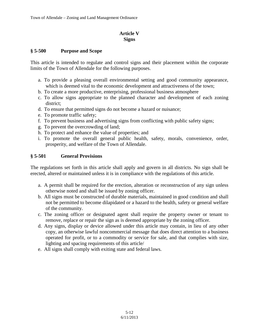#### **Article V Signs**

#### **§ 5-500 Purpose and Scope**

This article is intended to regulate and control signs and their placement within the corporate limits of the Town of Allendale for the following purposes.

- a. To provide a pleasing overall environmental setting and good community appearance, which is deemed vital to the economic development and attractiveness of the town;
- b. To create a more productive, enterprising, professional business atmosphere
- c. To allow signs appropriate to the planned character and development of each zoning district;
- d. To ensure that permitted signs do not become a hazard or nuisance;
- e. To promote traffic safety;
- f. To prevent business and advertising signs from conflicting with public safety signs;
- g. To prevent the overcrowding of land;
- h. To protect and enhance the value of properties; and
- i. To promote the overall general public health, safety, morals, convenience, order, prosperity, and welfare of the Town of Allendale.

#### **§ 5-501 General Provisions**

The regulations set forth in this article shall apply and govern in all districts. No sign shall be erected, altered or maintained unless it is in compliance with the regulations of this article.

- a. A permit shall be required for the erection, alteration or reconstruction of any sign unless otherwise noted and shall be issued by zoning officer.
- b. All signs must be constructed of durable materials, maintained in good condition and shall not be permitted to become dilapidated or a hazard to the health, safety or general welfare of the community.
- c. The zoning officer or designated agent shall require the property owner or tenant to remove, replace or repair the sign as is deemed appropriate by the zoning officer.
- d. Any signs, display or device allowed under this article may contain, in lieu of any other copy, an otherwise lawful noncommercial message that does direct attention to a business operated for profit, or to a commodity or service for sale, and that complies with size, lighting and spacing requirements of this article/
- e. All signs shall comply with exiting state and federal laws.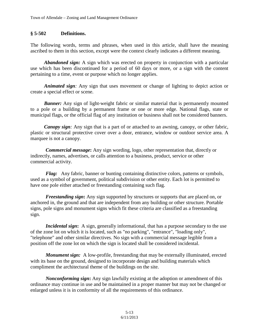## **§ 5-502 Definitions.**

The following words, terms and phrases, when used in this article, shall have the meaning ascribed to them in this section, except were the context clearly indicates a different meaning.

*Abandoned sign:* A sign which was erected on property in conjunction with a particular use which has been discontinued for a period of 60 days or more, or a sign with the content pertaining to a time, event or purpose which no longer applies.

*Animated sign:* Any sign that uses movement or change of lighting to depict action or create a special effect or scene.

**Banner:** Any sign of light-weight fabric or similar material that is permanently mounted to a pole or a building by a permanent frame or one or more edge. National flags, state or municipal flags, or the official flag of any institution or business shall not be considered banners.

*Canopy sign*: Any sign that is a part of or attached to an awning, canopy, or other fabric, plastic or structural protective cover over a door, entrance, window or outdoor service area. A marquee is not a canopy.

*Commercial message***:** Any sign wording, logo, other representation that, directly or indirectly, names, advertises, or calls attention to a business, product, service or other commercial activity.

*Flag:* Any fabric, banner or bunting containing distinctive colors, patterns or symbols, used as a symbol of government, political subdivision or other entity. Each lot is permitted to have one pole either attached or freestanding containing such flag.

*Freestanding sign***:** Any sign supported by structures or supports that are placed on, or anchored in, the ground and that are independent from any building or other structure. Portable signs, pole signs and monument signs which fit these criteria are classified as a freestanding sign.

*Incidental sign*: A sign, generally informational, that has a purpose secondary to the use of the zone lot on which it is located, such as "no parking", "entrance", "loading only", "telephone" and other similar directives. No sign with a commercial message legible from a position off the zone lot on which the sign is located shall be considered incidental.

*Monument sign:* A low-profile, freestanding that may be externally illuminated, erected with its base on the ground, designed to incorporate design and building materials which compliment the architectural theme of the buildings on the site.

*Nonconforming sign***:** Any sign lawfully existing at the adoption or amendment of this ordinance may continue in use and be maintained in a proper manner but may not be changed or enlarged unless it is in conformity of all the requirements of this ordinance.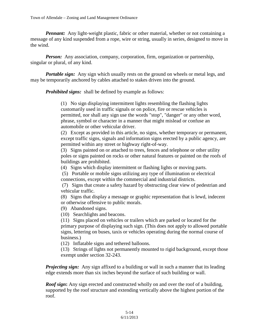*Pennant:* Any light-weight plastic, fabric or other material, whether or not containing a message of any kind suspended from a rope, wire or string, usually in series, designed to move in the wind.

*Person:* Any association, company, corporation, firm, organization or partnership, singular or plural, of any kind.

*Portable sign:* Any sign which usually rests on the ground on wheels or metal legs, and may be temporarily anchored by cables attached to stakes driven into the ground.

*Prohibited signs:* shall be defined by example as follows:

(1) No sign displaying intermittent lights resembling the flashing lights customarily used in traffic signals or on police, fire or rescue vehicles is permitted, nor shall any sign use the words "stop", "danger" or any other word, phrase, symbol or character in a manner that might mislead or confuse an automobile or other vehicular driver.

(2) Except as provided in this article, no signs, whether temporary or permanent, except traffic signs, signals and information signs erected by a public agency, are permitted within any street or highway right-of-way.

(3) Signs painted on or attached to trees, fences and telephone or other utility poles or signs painted on rocks or other natural features or painted on the roofs of buildings are prohibited.

(4) Signs which display intermittent or flashing lights or moving parts.

(5) Portable or mobile signs utilizing any type of illumination or electrical connections, except within the commercial and industrial districts.

(7) Signs that create a safety hazard by obstructing clear view of pedestrian and vehicular traffic.

(8) Signs that display a message or graphic representation that is lewd, indecent or otherwise offensive to public morals.

(9) Abandoned signs.

(10) Searchlights and beacons.

(11) Signs placed on vehicles or trailers which are parked or located for the primary purpose of displaying such sign. (This does not apply to allowed portable signs, lettering on buses, taxis or vehicles operating during the normal course of business.)

(12) Inflatable signs and tethered balloons.

(13) Strings of lights not permanently mounted to rigid background, except those exempt under section 32-243.

*Projecting sign:* Any sign affixed to a building or wall in such a manner that its leading edge extends more than six inches beyond the surface of such building or wall.

*Roof sign***:** Any sign erected and constructed wholly on and over the roof of a building, supported by the roof structure and extending vertically above the highest portion of the roof.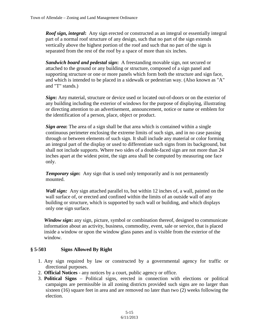*Roof sign, integral***:** Any sign erected or constructed as an integral or essentially integral part of a normal roof structure of any design, such that no part of the sign extends vertically above the highest portion of the roof and such that no part of the sign is separated from the rest of the roof by a space of more than six inches.

*Sandwich board and pedestal sign***:** A freestanding movable sign, not secured or attached to the ground or any building or structure, composed of a sign panel and supporting structure or one or more panels which form both the structure and sign face, and which is intended to be placed in a sidewalk or pedestrian way. (Also known as "A" and "T" stands.)

*Sign***:** Any material, structure or device used or located out-of-doors or on the exterior of any building including the exterior of windows for the purpose of displaying, illustrating or directing attention to an advertisement, announcement, notice or name or emblem for the identification of a person, place, object or product.

*Sign area***:** The area of a sign shall be that area which is contained within a single continuous perimeter enclosing the extreme limits of such sign, and in no case passing through or between elements of such sign. It shall include any material or color forming an integral part of the display or used to differentiate such signs from its background, but shall not include supports. Where two sides of a double-faced sign are not more than 24 inches apart at the widest point, the sign area shall be computed by measuring one face only.

*Temporary sign*: Any sign that is used only temporarily and is not permanently mounted.

*Wall sign:* Any sign attached parallel to, but within 12 inches of, a wall, painted on the wall surface of, or erected and confined within the limits of an outside wall of any building or structure, which is supported by such wall or building, and which displays only one sign surface.

*Window sign***:** any sign, picture, symbol or combination thereof, designed to communicate information about an activity, business, commodity, event, sale or service, that is placed inside a window or upon the window glass panes and is visible from the exterior of the window.

### **§ 5-503 Signs Allowed By Right**

- 1. Any sign required by law or constructed by a governmental agency for traffic or directional purposes.
- 2. **Official Notices** any notices by a court, public agency or office.
- 3. **Political Signs** Political signs, erected in connection with elections or political campaigns are permissible in all zoning districts provided such signs are no larger than sixteen (16) square feet in area and are removed no later than two (2) weeks following the election.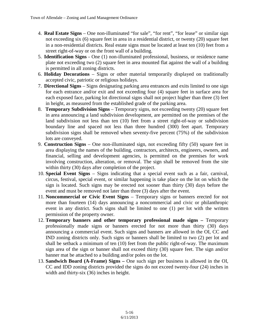- 4. **Real Estate Signs** One non-illuminated "for sale", "for rent", "for lease" or similar sign not exceeding six (6) square feet in area in a residential district, or twenty (20) square feet in a non-residential districts. Real estate signs must be located at least ten (10) feet from a street right-of-way or on the front wall of a building.
- 5. **Identification Signs** One (1) non-illuminated professional, business, or residence name plate not exceeding two (2) square feet in area mounted flat against the wall of a building is permitted in all zoning districts.
- 6. **Holiday Decorations** Signs or other material temporarily displayed on traditionally accepted civic, patriotic or religious holidays.
- 7. **Directional Signs** Signs designating parking area entrances and exits limited to one sign for each entrance and/or exit and not exceeding four (4) square feet in surface area for each exposed face, parking lot directional signs shall not project higher than three (3) feet in height, as measured from the established grade of the parking area.
- 8. **Temporary Subdivision Signs** Temporary signs, not exceeding twenty (20) square feet in area announcing a land subdivision development, are permitted on the premises of the land subdivision not less than ten (10) feet from a street right-of-way or subdivision boundary line and spaced not less than three hundred (300) feet apart. Temporary subdivision signs shall be removed when seventy-five percent (75%) of the subdivision lots are conveyed.
- 9. **Construction Signs** One non-illuminated sign, not exceeding fifty (50) square feet in area displaying the names of the building, contractors, architects, engineers, owners, and financial, selling and development agencies, is permitted on the premises for work involving construction, alteration, or removal. The sign shall be removed from the site within thirty (30) days after completion of the project.
- 10. **Special Event Signs** Signs indicating that a special event such as a fair, carnival, circus, festival, special event, or similar happening is take place on the lot on which the sign is located. Such signs may be erected not sooner than thirty (30) days before the event and must be removed not later than three (3) days after the event.
- 11. **Noncommercial or Civic Event Signs**  Temporary signs or banners erected for not more than fourteen (14) days announcing a noncommercial and civic or philanthropic event in any district. Such signs shall be limited to one (1) per lot with the written permission of the property owner.
- 12. **Temporary banners and other temporary professional made signs –** Temporary professionally made signs or banners erected for not more than thirty (30) days announcing a commercial event. Such signs and banners are allowed in the OI, CC and IND zoning districts only. Such signs or banners shall be limited to two (2) per lot and shall be setback a minimum of ten (10) feet from the public right-of-way. The maximum sign area of the sign or banner shall not exceed thirty (30) square feet. The sign and/or banner mat be attached to a building and/or poles on the lot.
- 13. **Sandwich Board (A-Frame) Signs –** One such sign per business is allowed in the OI, CC and IDD zoning districts provided the signs do not exceed twenty-four (24) inches in width and thirty-six (36) inches in height.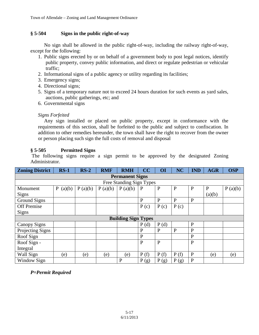#### **§ 5-504 Signs in the public right-of-way**

No sign shall be allowed in the public right-of-way, including the railway right-of-way, except for the following:

- 1. Public signs erected by or on behalf of a government body to post legal notices, identify public property, convey public information, and direct or regulate pedestrian or vehicular traffic;
- 2. Informational signs of a public agency or utility regarding its facilities;
- 3. Emergency signs;
- 4. Directional signs;
- 5. Signs of a temporary nature not to exceed 24 hours duration for such events as yard sales, auctions, public gatherings, etc; and
- 6. Governmental signs

#### *Signs Forfeited*

Any sign installed or placed on public property, except in conformance with the requirements of this section, shall be forfeited to the public and subject to confiscation. In addition to other remedies hereunder, the town shall have the right to recover from the owner or person placing such sign the full costs of removal and disposal

### **§ 5-505 Permitted Signs**

The following signs require a sign permit to be approved by the designated Zoning Administrator.

| <b>Zoning District</b>     | $RS-1$                 | $RS-2$  | <b>RMF</b> | <b>RMH</b>   | CC           | OI           | <b>NC</b>    | <b>IND</b>   | <b>AGR</b>   | <b>OSP</b> |
|----------------------------|------------------------|---------|------------|--------------|--------------|--------------|--------------|--------------|--------------|------------|
| <b>Permanent Signs</b>     |                        |         |            |              |              |              |              |              |              |            |
| Free Standing Sign Types   |                        |         |            |              |              |              |              |              |              |            |
| Monument                   | $\mathbf{P}$<br>(a)(b) | P(a)(b) | P(a)(b)    | P(a)(b)      | P            | $\mathbf{P}$ | $\mathbf{P}$ | $\mathbf{P}$ | $\mathbf{P}$ | P(a)(b)    |
| <b>Signs</b>               |                        |         |            |              |              |              |              |              | (a)(b)       |            |
| Ground Signs               |                        |         |            |              | P            | $\mathbf{P}$ | P            | $\mathbf{P}$ |              |            |
| <b>Off Premise</b>         |                        |         |            |              | P(c)         | P(c)         | P(c)         |              |              |            |
| <b>Signs</b>               |                        |         |            |              |              |              |              |              |              |            |
| <b>Building Sign Types</b> |                        |         |            |              |              |              |              |              |              |            |
| Canopy Signs               |                        |         |            |              | P(d)         | P(d)         |              | $\mathbf{P}$ |              |            |
| Projecting Signs           |                        |         |            |              | $\mathbf{P}$ | P            | $\mathbf{P}$ | $\mathbf{P}$ |              |            |
| Roof Sign                  |                        |         |            |              | $\mathbf{P}$ |              |              | $\mathbf{P}$ |              |            |
| Roof Sign -                |                        |         |            |              | $\mathbf{P}$ | $\mathbf{P}$ |              | $\mathbf{P}$ |              |            |
| Integral                   |                        |         |            |              |              |              |              |              |              |            |
| Wall Sign                  | (e)                    | (e)     | (e)        | (e)          | P(f)         | P(f)         | P(f)         | $\mathbf P$  | (e)          | (e)        |
| Window Sign                |                        |         |            | $\mathbf{P}$ | P(g)         | P(g)         | P(g)         | $\mathbf{P}$ |              |            |

*P=Permit Required*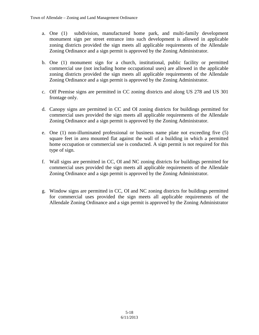- a. One (1) subdivision, manufactured home park, and multi-family development monument sign per street entrance into such development is allowed in applicable zoning districts provided the sign meets all applicable requirements of the Allendale Zoning Ordinance and a sign permit is approved by the Zoning Administrator.
- b. One (1) monument sign for a church, institutional, public facility or permitted commercial use (not including home occupational uses) are allowed in the applicable zoning districts provided the sign meets all applicable requirements of the Allendale Zoning Ordinance and a sign permit is approved by the Zoning Administrator.
- c. Off Premise signs are permitted in CC zoning districts and along US 278 and US 301 frontage only.
- d. Canopy signs are permitted in CC and OI zoning districts for buildings permitted for commercial uses provided the sign meets all applicable requirements of the Allendale Zoning Ordinance and a sign permit is approved by the Zoning Administrator.
- e. One (1) non-illuminated professional or business name plate not exceeding five (5) square feet in area mounted flat against the wall of a building in which a permitted home occupation or commercial use is conducted. A sign permit is not required for this type of sign.
- f. Wall signs are permitted in CC, OI and NC zoning districts for buildings permitted for commercial uses provided the sign meets all applicable requirements of the Allendale Zoning Ordinance and a sign permit is approved by the Zoning Administrator.
- g. Window signs are permitted in CC, OI and NC zoning districts for buildings permitted for commercial uses provided the sign meets all applicable requirements of the Allendale Zoning Ordinance and a sign permit is approved by the Zoning Administrator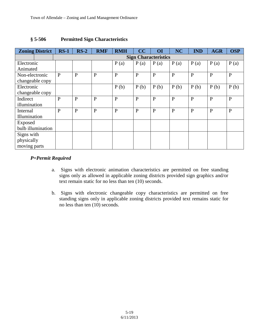| <b>Zoning District</b> | $RS-1$                      | $RS-2$       | <b>RMF</b>   | <b>RMH</b>   | CC           | OI           | <b>NC</b>    | <b>IND</b>   | <b>AGR</b>   | <b>OSP</b>   |
|------------------------|-----------------------------|--------------|--------------|--------------|--------------|--------------|--------------|--------------|--------------|--------------|
|                        | <b>Sign Characteristics</b> |              |              |              |              |              |              |              |              |              |
| Electronic             |                             |              |              | P(a)         | P(a)         | P(a)         | P(a)         | P(a)         | P(a)         | P(a)         |
| Animated               |                             |              |              |              |              |              |              |              |              |              |
| Non-electronic         | P                           | $\mathbf{P}$ | $\mathbf{P}$ | $\mathbf{P}$ | $\mathbf{P}$ | $\mathbf{P}$ | $\mathbf{P}$ | $\mathbf{P}$ | $\mathbf{P}$ | $\mathbf{P}$ |
| changeable copy        |                             |              |              |              |              |              |              |              |              |              |
| Electronic             |                             |              |              | P(b)         | P(b)         | P(b)         | P(b)         | P(b)         | P(b)         | P(b)         |
| changeable copy        |                             |              |              |              |              |              |              |              |              |              |
| Indirect               | $\mathbf{P}$                | $\mathbf{P}$ | $\mathbf{P}$ | $\mathbf{P}$ | $\mathbf{P}$ | $\mathbf{P}$ | $\mathbf{P}$ | $\mathbf{P}$ | $\mathbf{P}$ | $\mathbf{P}$ |
| illumination           |                             |              |              |              |              |              |              |              |              |              |
| Internal               | $\mathbf{P}$                | $\mathbf{P}$ | $\mathbf{P}$ | $\mathbf{P}$ | $\mathbf{P}$ | $\mathbf{P}$ | $\mathbf{P}$ | $\mathbf{P}$ | $\mathbf{P}$ | $\mathbf{P}$ |
| Illumination           |                             |              |              |              |              |              |              |              |              |              |
| Exposed                |                             |              |              |              |              |              |              |              |              |              |
| bulb illumination      |                             |              |              |              |              |              |              |              |              |              |
| Signs with             |                             |              |              |              |              |              |              |              |              |              |
| physically             |                             |              |              |              |              |              |              |              |              |              |
| moving parts           |                             |              |              |              |              |              |              |              |              |              |

## **§ 5-506 Permitted Sign Characteristics**

### *P=Permit Required*

- a. Signs with electronic animation characteristics are permitted on free standing signs only as allowed in applicable zoning districts provided sign graphics and/or text remain static for no less than ten (10) seconds.
- b. Signs with electronic changeable copy characteristics are permitted on free standing signs only in applicable zoning districts provided text remains static for no less than ten (10) seconds.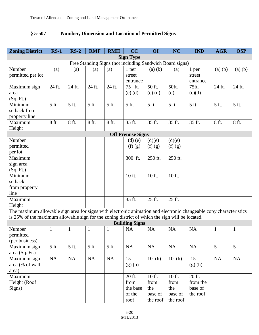# **§ 5-507 Number, Dimension and Location of Permitted Signs**

| <b>Zoning District</b>                                                                                             | $RS-1$       | $RS-2$   | <b>RMF</b>         | <b>RMH</b>   | CC                       | <b>OI</b>   | <b>NC</b> | <b>IND</b>         | <b>AGR</b>   | <b>OSP</b>  |
|--------------------------------------------------------------------------------------------------------------------|--------------|----------|--------------------|--------------|--------------------------|-------------|-----------|--------------------|--------------|-------------|
| <b>Sign Type</b>                                                                                                   |              |          |                    |              |                          |             |           |                    |              |             |
| Free Standing Signs (not including Sandwich Board signs)                                                           |              |          |                    |              |                          |             |           |                    |              |             |
| Number                                                                                                             | (a)          | (a)      | (a)                | (a)          | 1 per                    | (a)(b)      | (a)       | 1 per              | $(a)$ $(b)$  | $(a)$ $(b)$ |
| permitted per lot                                                                                                  |              |          |                    |              | street                   |             |           | street             |              |             |
|                                                                                                                    |              |          |                    |              | entrance                 |             |           | entrance           |              |             |
| Maximum sign                                                                                                       | 24 ft.       | 24 ft.   | 24 ft.             | 24 ft.       | 75 ft.                   | 50 ft.      | 50ft.     | 75ft.              | 24 ft.       | 24 ft.      |
| area                                                                                                               |              |          |                    |              | $(c)$ $(d)$              | $(c)$ $(d)$ | (d)       | (c)(d)             |              |             |
| (Sq. Ft.)                                                                                                          |              |          |                    |              |                          |             |           |                    |              |             |
| Minimum                                                                                                            | 5 ft.        | 5 ft.    | $\overline{5}$ ft. | 5 ft.        | 5 ft.                    | 5 ft.       | 5 ft.     | $\overline{5}$ ft. | 5 ft.        | 5 ft.       |
| setback from                                                                                                       |              |          |                    |              |                          |             |           |                    |              |             |
| property line                                                                                                      |              |          |                    |              |                          |             |           |                    |              |             |
| Maximum                                                                                                            | 8 ft.        | 8 ft.    | 8 ft.              | 8 ft.        | 35 ft.                   | 35 ft.      | 35 ft.    | 35 ft.             | 8 ft.        | 8 ft.       |
| Height                                                                                                             |              |          |                    |              |                          |             |           |                    |              |             |
|                                                                                                                    |              |          |                    |              | <b>Off Premise Signs</b> |             |           |                    |              |             |
| Number                                                                                                             |              |          |                    |              | $(d)$ $(e)$              | (d)(e)      | (d)(e)    |                    |              |             |
| permitted                                                                                                          |              |          |                    |              | (f)(g)                   | (f)(g)      | (f)(g)    |                    |              |             |
| per lot                                                                                                            |              |          |                    |              |                          |             |           |                    |              |             |
| Maximum                                                                                                            |              |          |                    |              | 300 ft.                  | 250 ft.     | 250 ft.   |                    |              |             |
| sign area                                                                                                          |              |          |                    |              |                          |             |           |                    |              |             |
| (Sq. Ft.)                                                                                                          |              |          |                    |              |                          |             |           |                    |              |             |
| Minimum                                                                                                            |              |          |                    |              | 10 ft.                   | 10 ft.      | 10 ft.    |                    |              |             |
| setback                                                                                                            |              |          |                    |              |                          |             |           |                    |              |             |
| from property                                                                                                      |              |          |                    |              |                          |             |           |                    |              |             |
| line                                                                                                               |              |          |                    |              |                          |             |           |                    |              |             |
| Maximum                                                                                                            |              |          |                    |              | 35 ft.                   | 25 ft.      | 25 ft.    |                    |              |             |
| Height                                                                                                             |              |          |                    |              |                          |             |           |                    |              |             |
| The maximum allowable sign area for signs with electronic animation and electronic changeable copy characteristics |              |          |                    |              |                          |             |           |                    |              |             |
| is 25% of the maximum allowable sign for the zoning district of which the sign will be located.                    |              |          |                    |              |                          |             |           |                    |              |             |
|                                                                                                                    |              |          |                    |              | <b>Building Signs</b>    |             |           |                    |              |             |
| Number                                                                                                             | $\mathbf{1}$ | 1        | 1                  | $\mathbf{1}$ | <b>NA</b>                | <b>NA</b>   | <b>NA</b> | <b>NA</b>          | $\mathbf{1}$ | 1           |
| permitted                                                                                                          |              |          |                    |              |                          |             |           |                    |              |             |
| (per business)                                                                                                     | $5$ ft,      | 5 ft.    | 5 ft.              | 5 ft.        | NA                       | $\rm NA$    | NA        | <b>NA</b>          | 5            | 5           |
| Maximum sign                                                                                                       |              |          |                    |              |                          |             |           |                    |              |             |
| area $(Sq. Ft.)$                                                                                                   | NA           | $\rm NA$ | NA                 | NA           | 15                       | 10(h)       |           | 15                 | NA           | NA          |
| Maximum sign<br>area (% of wall                                                                                    |              |          |                    |              | $(g)$ (h)                |             | 10(h)     |                    |              |             |
|                                                                                                                    |              |          |                    |              |                          |             |           | (g)(h)             |              |             |
| area)<br>Maximum                                                                                                   |              |          |                    |              | 20 ft.                   | 10 ft.      | 10 ft.    | 20 ft.             |              |             |
| Height (Roof                                                                                                       |              |          |                    |              | from                     | from        | from      | from the           |              |             |
| Signs)                                                                                                             |              |          |                    |              | the base                 | the         | the       | base of            |              |             |
|                                                                                                                    |              |          |                    |              | of the                   | base of     | base of   | the roof           |              |             |
|                                                                                                                    |              |          |                    |              | roof                     | the roof    | the roof  |                    |              |             |
|                                                                                                                    |              |          |                    |              |                          |             |           |                    |              |             |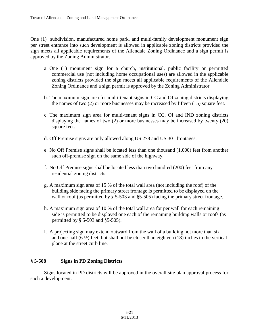One (1) subdivision, manufactured home park, and multi-family development monument sign per street entrance into such development is allowed in applicable zoning districts provided the sign meets all applicable requirements of the Allendale Zoning Ordinance and a sign permit is approved by the Zoning Administrator.

- a. One (1) monument sign for a church, institutional, public facility or permitted commercial use (not including home occupational uses) are allowed in the applicable zoning districts provided the sign meets all applicable requirements of the Allendale Zoning Ordinance and a sign permit is approved by the Zoning Administrator.
- b. The maximum sign area for multi-tenant signs in CC and OI zoning districts displaying the names of two (2) or more businesses may be increased by fifteen (15) square feet.
- c. The maximum sign area for multi-tenant signs in CC, OI and IND zoning districts displaying the names of two (2) or more businesses may be increased by twenty (20) square feet.
- d. Off Premise signs are only allowed along US 278 and US 301 frontages.
- e. No Off Premise signs shall be located less than one thousand (1,000) feet from another such off-premise sign on the same side of the highway.
- f. No Off Premise signs shall be located less than two hundred (200) feet from any residential zoning districts.
- g. A maximum sign area of 15 % of the total wall area (not including the roof) of the building side facing the primary street frontage is permitted to be displayed on the wall or roof (as permitted by § 5-503 and §5-505) facing the primary street frontage.
- h. A maximum sign area of 10 % of the total wall area for per wall for each remaining side is permitted to be displayed one each of the remaining building walls or roofs (as permitted by § 5-503 and §5-505).
- i. A projecting sign may extend outward from the wall of a building not more than six and one-half  $(6 \frac{1}{2})$  feet, but shall not be closer than eighteen  $(18)$  inches to the vertical plane at the street curb line.

### **§ 5-508 Signs in PD Zoning Districts**

Signs located in PD districts will be approved in the overall site plan approval process for such a development.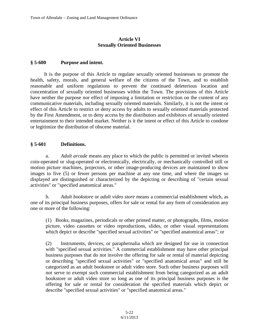### **Article VI Sexually Oriented Businesses**

#### **§ 5-600 Purpose and intent.**

It is the purpose of this Article to regulate sexually oriented businesses to promote the health, safety, morals, and general welfare of the citizens of the Town, and to establish reasonable and uniform regulations to prevent the continued deleterious location and concentration of sexually oriented businesses within the Town. The provisions of this Article have neither the purpose nor effect of imposing a limitation or restriction on the content of any communicative materials, including sexually oriented materials. Similarly, it is not the intent or effect of this Article to restrict or deny access by adults to sexually oriented materials protected by the First Amendment, or to deny access by the distributors and exhibitors of sexually oriented entertainment to their intended market. Neither is it the intent or effect of this Article to condone or legitimize the distribution of obscene material.

#### **§ 5-601 Definitions.**

a. *Adult arcade* means any place to which the public is permitted or invited wherein coin-operated or slug-operated or electronically, electrically, or mechanically controlled still or motion picture machines, projectors, or other image-producing devices are maintained to show images to five (5) or fewer persons per machine at any one time, and where the images so displayed are distinguished or characterized by the depicting or describing of "certain sexual activities" or "specified anatomical areas."

b. *Adult bookstore* or *adult video store* means a commercial establishment which, as one of its principal business purposes, offers for sale or rental for any form of consideration any one or more of the following:

(1) Books, magazines, periodicals or other printed matter, or photographs, films, motion picture, video cassettes or video reproductions, slides, or other visual representations which depict or describe "specified sexual activities" or "specified anatomical areas"; or

(2) Instruments, devices, or paraphernalia which are designed for use in connection with "specified sexual activities." A commercial establishment may have other principal business purposes that do not involve the offering for sale or rental of material depicting or describing "specified sexual activities" or "specified anatomical areas" and still be categorized as an adult bookstore or adult video store. Such other business purposes will not serve to exempt such commercial establishment from being categorized as an adult bookstore or adult video store so long as one of its principal business purposes is the offering for sale or rental for consideration the specified materials which depict or describe "specified sexual activities" or "specified anatomical areas."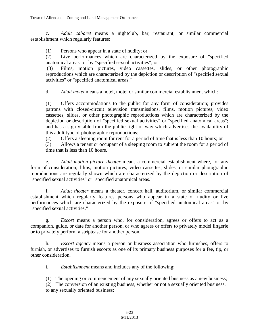c. *Adult cabaret* means a nightclub, bar, restaurant, or similar commercial establishment which regularly features:

(1) Persons who appear in a state of nudity; or

(2) Live performances which are characterized by the exposure of "specified anatomical areas" or by "specified sexual activities"; or

(3) Films, motion pictures, video cassettes, slides, or other photographic reproductions which are characterized by the depiction or description of "specified sexual activities" or "specified anatomical areas."

d. *Adult motel* means a hotel, motel or similar commercial establishment which:

(1) Offers accommodations to the public for any form of consideration; provides patrons with closed-circuit television transmissions, films, motion pictures, video cassettes, slides, or other photographic reproductions which are characterized by the depiction or description of "specified sexual activities" or "specified anatomical areas"; and has a sign visible from the public right of way which advertises the availability of this adult type of photographic reproductions;

(2) Offers a sleeping room for rent for a period of time that is less than 10 hours; or

 (3) Allows a tenant or occupant of a sleeping room to subrent the room for a period of time that is less than 10 hours.

e. *Adult motion picture theater* means a commercial establishment where, for any form of consideration, films, motion pictures, video cassettes, slides, or similar photographic reproductions are regularly shown which are characterized by the depiction or description of "specified sexual activities" or "specified anatomical areas."

f. *Adult theater* means a theater, concert hall, auditorium, or similar commercial establishment which regularly features persons who appear in a state of nudity or live performances which are characterized by the exposure of "specified anatomical areas" or by "specified sexual activities."

g. *Escort* means a person who, for consideration, agrees or offers to act as a companion, guide, or date for another person, or who agrees or offers to privately model lingerie or to privately perform a striptease for another person.

h. *Escort agency* means a person or business association who furnishes, offers to furnish, or advertises to furnish escorts as one of its primary business purposes for a fee, tip, or other consideration.

i. *Establishment* means and includes any of the following:

(1) The opening or commencement of any sexually oriented business as a new business;

(2) The conversion of an existing business, whether or not a sexually oriented business, to any sexually oriented business;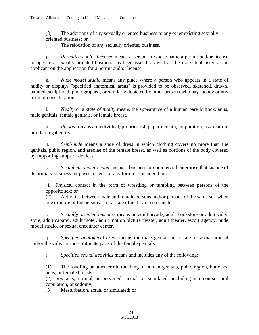(3) The additions of any sexually oriented business to any other existing sexually oriented business; or

(4) The relocation of any sexually oriented business.

j. *Permittee* and/or *licensee* means a person in whose name a permit and/or license to operate a sexually oriented business has been issued, as well as the individual listed as an applicant on the application for a permit and/or license.

k. *Nude model studio* means any place where a person who appears in a state of nudity or displays "specified anatomical areas" is provided to be observed, sketched, drawn, painted, sculptured, photographed, or similarly depicted by other persons who pay money or any form of consideration.

l. *Nudity* or a *state of nudity* means the appearance of a human bare buttock, anus, male genitals, female genitals, or female breast.

m. *Person* means an individual, proprietorship, partnership, corporation, association, or other legal entity.

n. *Semi-nude* means a state of dress in which clothing covers no more than the genitals, pubic region, and areolae of the female breast, as well as portions of the body covered by supporting straps or devices.

o. *Sexual encounter center* means a business or commercial enterprise that, as one of its primary business purposes, offers for any form of consideration:

(1) Physical contact in the form of wrestling or tumbling between persons of the opposite sex; or

(2) Activities between male and female persons and/or persons of the same sex when one or more of the persons is in a state of nudity or semi-nude.

p. *Sexually oriented business* means an adult arcade, adult bookstore or adult video store, adult cabaret, adult motel, adult motion picture theater, adult theater, escort agency, nude model studio, or sexual encounter center.

q. *Specified anatomical areas* means the male genitals in a state of sexual arousal and/or the vulva or more intimate parts of the female genitals.

r. *Specified sexual activities* means and includes any of the following:

(1) The fondling or other erotic touching of human genitals, pubic region, buttocks, anus, or female breasts;

(2) Sex acts, normal or perverted, actual or simulated, including intercourse, oral copulation, or sodomy;

(3) Masturbation, actual or simulated; or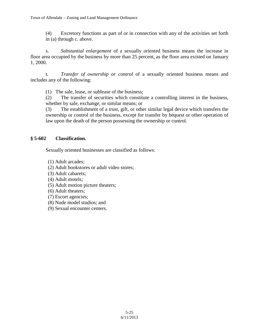(4) Excretory functions as part of or in connection with any of the activities set forth in (a) through c. above.

s. *Substantial enlargement* of a sexually oriented business means the increase in floor area occupied by the business by more than 25 percent, as the floor area existed on January 1, 2000.

t. *Transfer of ownership or control* of a sexually oriented business means and includes any of the following:

(1) The sale, lease, or sublease of the business;

(2) The transfer of securities which constitute a controlling interest in the business, whether by sale, exchange, or similar means; or

(3) The establishment of a trust, gift, or other similar legal device which transfers the ownership or control of the business, except for transfer by bequest or other operation of law upon the death of the person possessing the ownership or control.

#### **§ 5-602 Classification.**

Sexually oriented businesses are classified as follows:

- (1) Adult arcades;
- (2) Adult bookstores or adult video stores;
- (3) Adult cabarets;
- (4) Adult motels;
- (5) Adult motion picture theaters;
- (6) Adult theaters;
- (7) Escort agencies;
- (8) Nude model studios; and
- (9) Sexual encounter centers.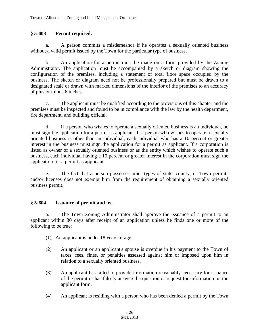#### **§ 5-603 Permit required.**

a. A person commits a misdemeanor if he operates a sexually oriented business without a valid permit issued by the Town for the particular type of business.

b. An application for a permit must be made on a form provided by the Zoning Administrator. The application must be accompanied by a sketch or diagram showing the configuration of the premises, including a statement of total floor space occupied by the business. The sketch or diagram need not be professionally prepared but must be drawn to a designated scale or drawn with marked dimensions of the interior of the premises to an accuracy of plus or minus 6 inches.

c. The applicant must be qualified according to the provisions of this chapter and the premises must be inspected and found to be in compliance with the law by the health department, fire department, and building official.

d. If a person who wishes to operate a sexually oriented business is an individual, he must sign the application for a permit as applicant. If a person who wishes to operate a sexually oriented business is other than an individual, each individual who has a 10 percent or greater interest in the business must sign the application for a permit as applicant. If a corporation is listed as owner of a sexually oriented business or as the entity which wishes to operate such a business, each individual having a 10 percent or greater interest in the corporation must sign the application for a permit as applicant.

e. The fact that a person possesses other types of state, county, or Town permits and/or licenses does not exempt him from the requirement of obtaining a sexually oriented business permit.

#### **§ 5-604 Issuance of permit and fee.**

a. The Town Zoning Administrator shall approve the issuance of a permit to an applicant within 30 days after receipt of an application unless he finds one or more of the following to be true:

- (1) An applicant is under 18 years of age.
- (2) An applicant or an applicant's spouse is overdue in his payment to the Town of taxes, fees, fines, or penalties assessed against him or imposed upon him in relation to a sexually oriented business.
- (3) An applicant has failed to provide information reasonably necessary for issuance of the permit or has falsely answered a question or request for information on the applicant form.
- (4) An applicant is residing with a person who has been denied a permit by the Town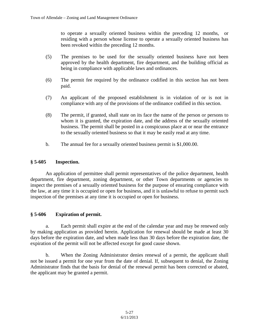to operate a sexually oriented business within the preceding 12 months, or residing with a person whose license to operate a sexually oriented business has been revoked within the preceding 12 months.

- (5) The premises to be used for the sexually oriented business have not been approved by the health department, fire department, and the building official as being in compliance with applicable laws and ordinances.
- (6) The permit fee required by the ordinance codified in this section has not been paid.
- (7) An applicant of the proposed establishment is in violation of or is not in compliance with any of the provisions of the ordinance codified in this section.
- (8) The permit, if granted, shall state on its face the name of the person or persons to whom it is granted, the expiration date, and the address of the sexually oriented business. The permit shall be posted in a conspicuous place at or near the entrance to the sexually oriented business so that it may be easily read at any time.
- b. The annual fee for a sexually oriented business permit is \$1,000.00.

### **§ 5-605 Inspection.**

An application of permittee shall permit representatives of the police department, health department, fire department, zoning department, or other Town departments or agencies to inspect the premises of a sexually oriented business for the purpose of ensuring compliance with the law, at any time it is occupied or open for business, and it is unlawful to refuse to permit such inspection of the premises at any time it is occupied or open for business.

### **§ 5-606 Expiration of permit.**

a. Each permit shall expire at the end of the calendar year and may be renewed only by making application as provided herein. Application for renewal should be made at least 30 days before the expiration date, and when made less than 30 days before the expiration date, the expiration of the permit will not be affected except for good cause shown.

b. When the Zoning Administrator denies renewal of a permit, the applicant shall not be issued a permit for one year from the date of denial. If, subsequent to denial, the Zoning Administrator finds that the basis for denial of the renewal permit has been corrected or abated, the applicant may be granted a permit.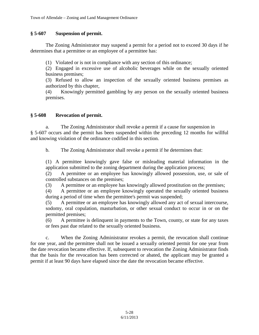#### **§ 5-607 Suspension of permit.**

The Zoning Administrator may suspend a permit for a period not to exceed 30 days if he determines that a permittee or an employee of a permittee has:

(1) Violated or is not in compliance with any section of this ordinance;

(2) Engaged in excessive use of alcoholic beverages while on the sexually oriented business premises;

(3) Refused to allow an inspection of the sexually oriented business premises as authorized by this chapter,

(4) Knowingly permitted gambling by any person on the sexually oriented business premises.

#### **§ 5-608 Revocation of permit.**

a. The Zoning Administrator shall revoke a permit if a cause for suspension in § 5-607 occurs and the permit has been suspended within the preceding 12 months for willful and knowing violation of the ordinance codified in this section.

b. The Zoning Administrator shall revoke a permit if he determines that:

(1) A permittee knowingly gave false or misleading material information in the application submitted to the zoning department during the application process;

(2) A permittee or an employee has knowingly allowed possession, use, or sale of controlled substances on the premises;

(3) A permittee or an employee has knowingly allowed prostitution on the premises;

(4) A permittee or an employee knowingly operated the sexually oriented business during a period of time when the permittee's permit was suspended;

(5) A permittee or an employee has knowingly allowed any act of sexual intercourse, sodomy, oral copulation, masturbation, or other sexual conduct to occur in or on the permitted premises;

(6) A permittee is delinquent in payments to the Town, county, or state for any taxes or fees past due related to the sexually oriented business.

c. When the Zoning Administrator revokes a permit, the revocation shall continue for one year, and the permittee shall not be issued a sexually oriented permit for one year from the date revocation became effective. If, subsequent to revocation the Zoning Administrator finds that the basis for the revocation has been corrected or abated, the applicant may be granted a permit if at least 90 days have elapsed since the date the revocation became effective.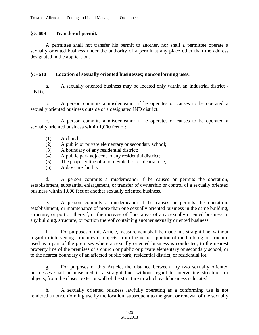#### **§ 5-609 Transfer of permit.**

A permittee shall not transfer his permit to another, nor shall a permittee operate a sexually oriented business under the authority of a permit at any place other than the address designated in the application.

#### **§ 5-610 Location of sexually oriented businesses; nonconforming uses.**

a. A sexually oriented business may be located only within an Industrial district - (IND).

b. A person commits a misdemeanor if he operates or causes to be operated a sexually oriented business outside of a designated IND district.

c. A person commits a misdemeanor if he operates or causes to be operated a sexually oriented business within 1,000 feet of:

- (1) A church;
- (2) A public or private elementary or secondary school;
- (3) A boundary of any residential district;
- (4) A public park adjacent to any residential district;
- (5) The property line of a lot devoted to residential use;
- (6) A day care facility.

d. A person commits a misdemeanor if he causes or permits the operation, establishment, substantial enlargement, or transfer of ownership or control of a sexually oriented business within 1,000 feet of another sexually oriented business.

e. A person commits a misdemeanor if he causes or permits the operation, establishment, or maintenance of more than one sexually oriented business in the same building, structure, or portion thereof, or the increase of floor areas of any sexually oriented business in any building, structure, or portion thereof containing another sexually oriented business.

f. For purposes of this Article, measurement shall be made in a straight line, without regard to intervening structures or objects, from the nearest portion of the building or structure used as a part of the premises where a sexually oriented business is conducted, to the nearest property line of the premises of a church or public or private elementary or secondary school, or to the nearest boundary of an affected public park, residential district, or residential lot.

g. For purposes of this Article, the distance between any two sexually oriented businesses shall be measured in a straight line, without regard to intervening structures or objects, from the closest exterior wall of the structure in which each business is located.

h. A sexually oriented business lawfully operating as a conforming use is not rendered a nonconforming use by the location, subsequent to the grant or renewal of the sexually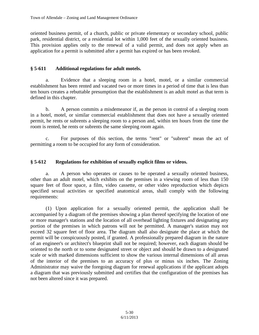oriented business permit, of a church, public or private elementary or secondary school, public park, residential district, or a residential lot within 1,000 feet of the sexually oriented business. This provision applies only to the renewal of a valid permit, and does not apply when an application for a permit is submitted after a permit has expired or has been revoked.

### **§ 5-611 Additional regulations for adult motels.**

a. Evidence that a sleeping room in a hotel, motel, or a similar commercial establishment has been rented and vacated two or more times in a period of time that is less than ten hours creates a rebuttable presumption that the establishment is an adult motel as that term is defined in this chapter.

b. A person commits a misdemeanor if, as the person in control of a sleeping room in a hotel, motel, or similar commercial establishment that does not have a sexually oriented permit, he rents or subrents a sleeping room to a person and, within ten hours from the time the room is rented, he rents or subrents the same sleeping room again.

c. For purposes of this section, the terms "rent" or "subrent" mean the act of permitting a room to be occupied for any form of consideration.

### **§ 5-612 Regulations for exhibition of sexually explicit films or videos.**

a. A person who operates or causes to be operated a sexually oriented business, other than an adult motel, which exhibits on the premises in a viewing room of less than 150 square feet of floor space, a film, video cassette, or other video reproduction which depicts specified sexual activities or specified anatomical areas, shall comply with the following requirements:

(1) Upon application for a sexually oriented permit, the application shall be accompanied by a diagram of the premises showing a plan thereof specifying the location of one or more manager's stations and the location of all overhead lighting fixtures and designating any portion of the premises in which patrons will not be permitted. A manager's station may not exceed 32 square feet of floor area. The diagram shall also designate the place at which the permit will be conspicuously posted, if granted. A professionally prepared diagram in the nature of an engineer's or architect's blueprint shall not be required; however, each diagram should be oriented to the north or to some designated street or object and should be drawn to a designated scale or with marked dimensions sufficient to show the various internal dimensions of all areas of the interior of the premises to an accuracy of plus or minus six inches. The Zoning Administrator may waive the foregoing diagram for renewal applications if the applicant adopts a diagram that was previously submitted and certifies that the configuration of the premises has not been altered since it was prepared.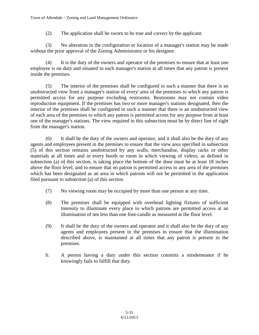(2) The application shall be sworn to be true and correct by the applicant.

(3) No alteration in the configuration or location of a manager's station may be made without the prior approval of the Zoning Administrator or his designee.

(4) It is the duty of the owners and operator of the premises to ensure that at least one employee is on duty and situated in each manager's station at all times that any patron is present inside the premises.

(5) The interior of the premises shall be configured in such a manner that there is an unobstructed view from a manager's station of every' area of the premises to which any patron is permitted access for any purpose excluding restrooms. Restrooms may not contain video reproduction equipment. If the premises has two or more manager's stations designated, then the interior of the premises shall be configured in such a manner that there is an unobstructed view of each area of the premises to which any patron is permitted access for any purpose from at least one of the manager's stations. The view required in this subsection must be by direct line of sight from the manager's station.

(6) It shall be the duty of the owners and operator, and it shall also be the duty of any agents and employees present in the premises to ensure that the view area specified in subsection (5) of this section remains unobstructed by any walls, merchandise, display racks or other materials at all times and in every booth or room in which viewing of videos, as defined in subsection (a) of this section, is taking place the bottom of the door must be at least 18 inches above the floor level, and to ensure that no patron is permitted access to any area of the premises which has been designated as an area in which patrons will not be permitted in the application filed pursuant to subsection (a) of this section.

- (7) No viewing room may be occupied by more than one person at any time.
- (8) The premises shall be equipped with overhead lighting fixtures of sufficient intensity to illuminate every place to which patrons are permitted access at an illumination of not less than one foot-candle as measured at the floor level.
- (9) It shall be the duty of the owners and operator and it shall also be the duty of any agents and employees present in the premises to ensure that the illumination described above, is maintained at all times that any patron is present in the premises.
- b. A person having a duty under this section commits a misdemeanor if he knowingly fails to fulfill that duty.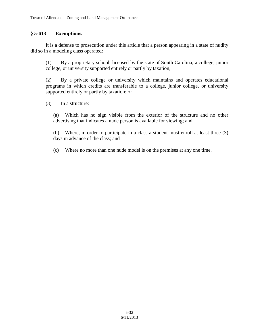## **§ 5-613 Exemptions.**

It is a defense to prosecution under this article that a person appearing in a state of nudity did so in a modeling class operated:

(1) By a proprietary school, licensed by the state of South Carolina; a college, junior college, or university supported entirely or partly by taxation;

(2) By a private college or university which maintains and operates educational programs in which credits are transferable to a college, junior college, or university supported entirely or partly by taxation; or

(3) In a structure:

(a) Which has no sign visible from the exterior of the structure and no other advertising that indicates a nude person is available for viewing; and

(b) Where, in order to participate in a class a student must enroll at least three (3) days in advance of the class; and

(c) Where no more than one nude model is on the premises at any one time.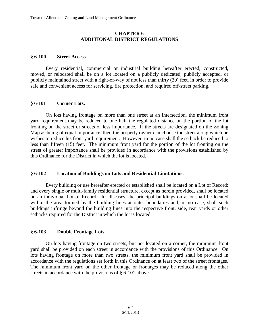#### **CHAPTER 6 ADDITIONAL DISTRICT REGULATIONS**

#### **§ 6-100 Street Access.**

Every residential, commercial or industrial building hereafter erected, constructed, moved, or relocated shall be on a lot located on a publicly dedicated, publicly accepted, or publicly maintained street with a right-of-way of not less than thirty (30) feet, in order to provide safe and convenient access for servicing, fire protection, and required off-street parking.

#### **§ 6-101 Corner Lots.**

On lots having frontage on more than one street at an intersection, the minimum front yard requirement may be reduced to one half the regulated distance on the portion of the lot fronting on the street or streets of less importance. If the streets are designated on the Zoning Map as being of equal importance, then the property owner can choose the street along which he wishes to reduce his front yard requirement. However, in no case shall the setback be reduced to less than fifteen (15) feet. The minimum front yard for the portion of the lot fronting on the street of greater importance shall be provided in accordance with the provisions established by this Ordinance for the District in which the lot is located.

### **§ 6-102 Location of Buildings on Lots and Residential Limitations.**

Every building or use hereafter erected or established shall be located on a Lot of Record; and every single or multi-family residential structure, except as herein provided, shall be located on an individual Lot of Record. In all cases, the principal buildings on a lot shall be located within the area formed by the building lines at outer boundaries and, in no case, shall such buildings infringe beyond the building lines into the respective front, side, rear yards or other setbacks required for the District in which the lot is located.

### **§ 6-103 Double Frontage Lots.**

On lots having frontage on two streets, but not located on a corner, the minimum front yard shall be provided on each street in accordance with the provisions of this Ordinance. On lots having frontage on more than two streets, the minimum front yard shall be provided in accordance with the regulations set forth in this Ordinance on at least two of the street frontages. The minimum front yard on the other frontage or frontages may be reduced along the other streets in accordance with the provisions of § 6-101 above.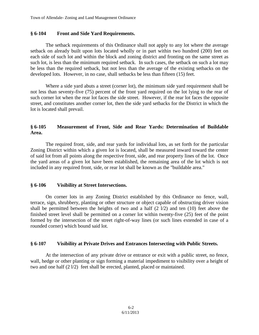#### **§ 6-104 Front and Side Yard Requirements.**

The setback requirements of this Ordinance shall not apply to any lot where the average setback on already built upon lots located wholly or in part within two hundred (200) feet on each side of such lot and within the block and zoning district and fronting on the same street as such lot, is less than the minimum required setback. In such cases, the setback on such a lot may be less than the required setback, but not less than the average of the existing setbacks on the developed lots. However, in no case, shall setbacks be less than fifteen (15) feet.

Where a side yard abuts a street (corner lot), the minimum side yard requirement shall be not less than seventy-five (75) percent of the front yard required on the lot lying to the rear of such corner lot when the rear lot faces the side street. However, if the rear lot faces the opposite street, and constitutes another corner lot, then the side yard setbacks for the District in which the lot is located shall prevail.

#### **§ 6-105 Measurement of Front, Side and Rear Yards: Determination of Buildable Area.**

The required front, side, and rear yards for individual lots, as set forth for the particular Zoning District within which a given lot is located, shall be measured inward toward the center of said lot from all points along the respective front, side, and rear property lines of the lot. Once the yard areas of a given lot have been established, the remaining area of the lot which is not included in any required front, side, or rear lot shall be known as the "buildable area."

#### **§ 6-106 Visibility at Street Intersections.**

On corner lots in any Zoning District established by this Ordinance no fence, wall, terrace, sign, shrubbery, planting or other structure or object capable of obstructing driver vision shall be permitted between the heights of two and a half (2 l/2) and ten (10) feet above the finished street level shall be permitted on a corner lot within twenty-five (25) feet of the point formed by the intersection of the street right-of-way lines (or such lines extended in case of a rounded corner) which bound said lot.

#### **§ 6-107 Visibility at Private Drives and Entrances Intersecting with Public Streets.**

At the intersection of any private drive or entrance or exit with a public street, no fence, wall, hedge or other planting or sign forming a material impediment to visibility over a height of two and one half (2 l/2) feet shall be erected, planted, placed or maintained.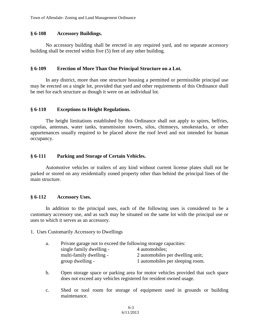#### **§ 6-108 Accessory Buildings.**

No accessory building shall be erected in any required yard, and no separate accessory building shall be erected within five (5) feet of any other building.

#### **§ 6-109 Erection of More Than One Principal Structure on a Lot.**

In any district, more than one structure housing a permitted or permissible principal use may be erected on a single lot, provided that yard and other requirements of this Ordinance shall be met for each structure as though it were on an individual lot.

#### **§ 6-110 Exceptions to Height Regulations.**

The height limitations established by this Ordinance shall not apply to spires, belfries, cupolas, antennas, water tanks, transmission towers, silos, chimneys, smokestacks, or other appurtenances usually required to be placed above the roof level and not intended for human occupancy.

### **§ 6-111 Parking and Storage of Certain Vehicles.**

Automotive vehicles or trailers of any kind without current license plates shall not be parked or stored on any residentially zoned property other than behind the principal lines of the main structure.

### **§ 6-112 Accessory Uses.**

In addition to the principal uses, each of the following uses is considered to be a customary accessory use, and as such may be situated on the same lot with the principal use or uses to which it serves as an accessory.

1. Uses Customarily Accessory to Dwellings

| single family dwelling -<br>4 automobiles;<br>multi-family dwelling -<br>group dwelling - | a. | Private garage not to exceed the following storage capacities: |                                  |
|-------------------------------------------------------------------------------------------|----|----------------------------------------------------------------|----------------------------------|
|                                                                                           |    |                                                                |                                  |
|                                                                                           |    |                                                                | 2 automobiles per dwelling unit; |
|                                                                                           |    |                                                                | 1 automobiles per sleeping room. |

- b. Open storage space or parking area for motor vehicles provided that such space does not exceed any vehicles registered for resident owned usage.
- c. Shed or tool room for storage of equipment used in grounds or building maintenance.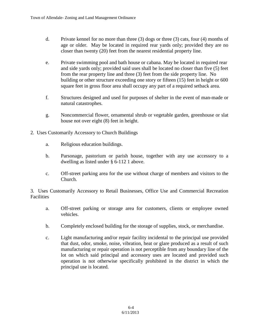- d. Private kennel for no more than three (3) dogs or three (3) cats, four (4) months of age or older. May be located in required rear yards only; provided they are no closer than twenty (20) feet from the nearest residential property line.
- e. Private swimming pool and bath house or cabana. May be located in required rear and side yards only; provided said uses shall be located no closer than five (5) feet from the rear property line and three (3) feet from the side property line. No building or other structure exceeding one story or fifteen (15) feet in height or 600 square feet in gross floor area shall occupy any part of a required setback area.
- f. Structures designed and used for purposes of shelter in the event of man-made or natural catastrophes.
- g. Noncommercial flower, ornamental shrub or vegetable garden, greenhouse or slat house not over eight (8) feet in height.
- 2. Uses Customarily Accessory to Church Buildings
	- a. Religious education buildings.
	- b. Parsonage, pastorium or parish house, together with any use accessory to a dwelling as listed under § 6-112 1 above.
	- c. Off-street parking area for the use without charge of members and visitors to the Church.

3. Uses Customarily Accessory to Retail Businesses, Office Use and Commercial Recreation Facilities

- a. Off-street parking or storage area for customers, clients or employee owned vehicles.
- b. Completely enclosed building for the storage of supplies, stock, or merchandise.
- c. Light manufacturing and/or repair facility incidental to the principal use provided that dust, odor, smoke, noise, vibration, heat or glare produced as a result of such manufacturing or repair operation is not perceptible from any boundary line of the lot on which said principal and accessory uses are located and provided such operation is not otherwise specifically prohibited in the district in which the principal use is located.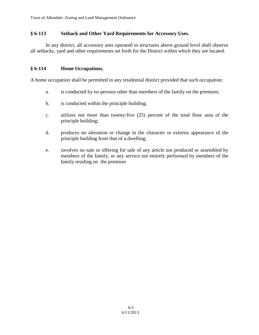### **§ 6-113 Setback and Other Yard Requirements for Accessory Uses.**

In any district, all accessory uses operated in structures above ground level shall observe all setbacks, yard and other requirements set forth for the District within which they are located.

#### **§ 6-114 Home Occupations.**

A home occupation shall be permitted in any residential district provided that such occupation:

- a. is conducted by no persons other than members of the family on the premises;
- b. is conducted within the principle building;
- c. utilizes not more than twenty-five (25) percent of the total floor area of the principle building;
- d. produces no alteration or change in the character or exterior appearance of the principle building from that of a dwelling;
- e. involves no sale or offering for sale of any article not produced or assembled by members of the family, or any service not entirely performed by members of the family residing on the premises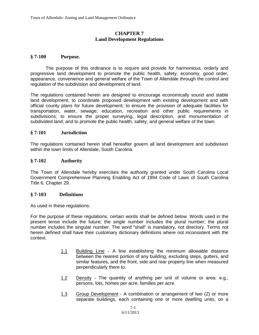#### **CHAPTER 7 Land Development Regulations**

#### **§ 7-100 Purpose.**

The purpose of this ordinance is to require and provide for harmonious, orderly and progressive land development to promote the public health, safety, economy, good order, appearance, convenience and general welfare of the Town of Allendale through the control and regulation of the subdivision and development of land.

The regulations contained herein are designed to encourage economically sound and stable land development; to coordinate proposed development with existing development and with official county plans for future development; to ensure the provision of adequate facilities for transportation, water, sewage, education, recreation and other public requirements in subdivisions; to ensure the proper surveying, legal description, and monumentation of subdivided land; and to promote the public health, safety, and general welfare of the town.

#### **§ 7-101 Jurisdiction**

The regulations contained herein shall hereafter govern all land development and subdivision within the town limits of Allendale, South Carolina.

#### **§ 7-102 Authority**

The Town of Allendale hereby exercises the authority granted under South Carolina Local Government Comprehensive Planning Enabling Act of 1994 Code of Laws of South Carolina Title 6, Chapter 29.

#### **§ 7-103 Definitions**

As used in these regulations:

For the purpose of these regulations, certain words shall be defined below. Words used in the present tense include the future; the single number includes the plural number; the plural number includes the singular number. The word "shall" is mandatory, not directory. Terms not herein defined shall have their customary dictionary definitions where not inconsistent with the context.

- 1.1 Building Line A line establishing the minimum allowable distance between the nearest portion of any building, excluding steps, gutters, and similar features, and the front, side and rear property line when measured perpendicularly there to.
- 1.2 Density The quantity of anything per unit of volume or area: e.g., persons, lots, homes per acre, families per acre.
- 1.3 Group Development A combination or arrangement of two (2) or more separate buildings, each containing one or more dwelling units, on a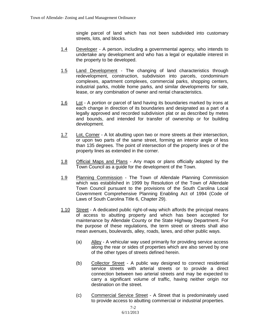single parcel of land which has not been subdivided into customary streets, lots, and blocks.

- 1.4 Developer A person, including a governmental agency, who intends to undertake any development and who has a legal or equitable interest in the property to be developed.
- 1.5 Land Development The changing of land characteristics through redevelopment, construction, subdivision into parcels, condominium complexes, apartment complexes, commercial parks, shopping centers, industrial parks, mobile home parks, and similar developments for sale, lease, or any combination of owner and rental characteristics.
- 1.6 Lot A portion or parcel of land having its boundaries marked by irons at each change in direction of its boundaries and designated as a part of a legally approved and recorded subdivision plat or as described by metes and bounds, and intended for transfer of ownership or for building development.
- 1.7 Lot, Corner A lot abutting upon two or more streets at their intersection, or upon two parts of the same street, forming an interior angle of less than 135 degrees. The point of intersection of the property lines or of the property lines as extended in the corner.
- 1.8 Official Maps and Plans Any maps or plans officially adopted by the Town Council as a guide for the development of the Town.
- 1.9 Planning Commission The Town of Allendale Planning Commission which was established in 1999 by Resolution of the Town of Allendale Town Council pursuant to the provisions of the South Carolina Local Government Comprehensive Planning Enabling Act of 1994 (Code of Laws of South Carolina Title 6, Chapter 29).
- 1.10 Street A dedicated public right-of-way which affords the principal means of access to abutting property and which has been accepted for maintenance by Allendale County or the State Highway Department. For the purpose of these regulations, the term street or streets shall also mean avenues, boulevards, alley, roads, lanes, and other public ways.
	- (a) Alley A vehicular way used primarily for providing service access along the rear or sides of properties which are also served by one of the other types of streets defined herein.
	- (b) Collector Street A public way designed to connect residential service streets with arterial streets or to provide a direct connection between two arterial streets and may be expected to carry a significant volume of traffic, having neither origin nor destination on the street.
	- (c) Commercial Service Street A Street that is predominately used to provide access to abutting commercial or industrial properties.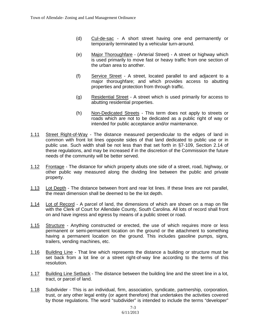- (d) Cul-de-sac A short street having one end permanently or temporarily terminated by a vehicular turn-around.
- (e) Major Thoroughfare (Arterial Street) A street or highway which is used primarily to move fast or heavy traffic from one section of the urban area to another.
- (f) Service Street A street, located parallel to and adjacent to a major thoroughfare; and which provides access to abutting properties and protection from through traffic.
- (g) Residential Street A street which is used primarily for access to abutting residential properties.
- (h) Non-Dedicated Streets This term does not apply to streets or roads which are not to be dedicated as a public right of way or intended for public acceptance and/or maintenance.
- 1.11 Street Right-of-Way The distance measured perpendicular to the edges of land in common with front lot lines opposite sides of that land dedicated to public use or in public use. Such width shall be not less than that set forth in §7-109, Section 2.14 of these regulations, and may be increased if in the discretion of the Commission the future needs of the community will be better served.
- 1.12 Frontage The distance for which property abuts one side of a street, road, highway, or other public way measured along the dividing line between the public and private property.
- 1.13 Lot Depth The distance between front and rear lot lines. If these lines are not parallel, the mean dimension shall be deemed to be the lot depth.
- 1.14 Lot of Record A parcel of land, the dimensions of which are shown on a map on file with the Clerk of Court for Allendale County, South Carolina. All lots of record shall front on and have ingress and egress by means of a public street or road.
- 1.15 Structure Anything constructed or erected, the use of which requires more or less permanent or semi-permanent location on the ground or the attachment to something having a permanent location on the ground. This includes gasoline pumps, signs, trailers, vending machines, etc.
- 1.16 Building Line That line which represents the distance a building or structure must be set back from a lot line or a street right-of-way line according to the terms of this resolution.
- 1.17 Building Line Setback The distance between the building line and the street line in a lot, tract, or parcel of land.
- 1.18 Subdivider This is an individual, firm, association, syndicate, partnership, corporation, trust, or any other legal entity (or agent therefore) that undertakes the activities covered by those regulations. The word "subdivider" is intended to include the terms "developer"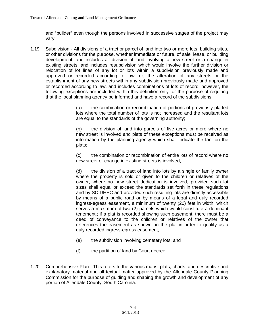and "builder" even though the persons involved in successive stages of the project may vary.

1.19 Subdivision - All divisions of a tract or parcel of land into two or more lots, building sites, or other divisions for the purpose, whether immediate or future, of sale, lease, or building development, and includes all division of land involving a new street or a change in existing streets, and includes resubdivision which would involve the further division or relocation of lot lines of any lot or lots within a subdivision previously made and approved or recorded according to law; or, the alteration of any streets or the establishment of any new streets within any subdivision previously made and approved or recorded according to law, and includes combinations of lots of record; however, the following exceptions are included within this definition only for the purpose of requiring that the local planning agency be informed and have a record of the subdivisions:

> (a) the combination or recombination of portions of previously platted lots where the total number of lots is not increased and the resultant lots are equal to the standards of the governing authority;

> (b) the division of land into parcels of five acres or more where no new street is involved and plats of these exceptions must be received as information by the planning agency which shall indicate the fact on the plats;

> (c) the combination or recombination of entire lots of record where no new street or change in existing streets is involved;

> (d) the division of a tract of land into lots by a single or family owner where the property is sold or given to the children or relatives of the owner, where no new street dedication is involved, provided such lot sizes shall equal or exceed the standards set forth in these regulations and by SC DHEC and provided such resulting lots are directly accessible by means of a public road or by means of a legal and duly recorded ingress-egress easement, a minimum of twenty (20) feet in width, which serves a maximum of two (2) parcels which would constitute a dominant tenement.; if a plat is recorded showing such easement, there must be a deed of conveyance to the children or relatives of the owner that references the easement as shown on the plat in order to qualify as a duly recorded ingress-egress easement;

- (e) the subdivision involving cemetery lots; and
- (f) the partition of land by Court decree.
- 1.20 Comprehensive Plan This refers to the various maps, plats, charts, and descriptive and explanatory material and all textual matter approved by the Allendale County Planning Commission for the purpose of guiding and shaping the growth and development of any portion of Allendale County, South Carolina.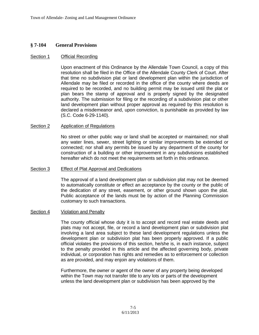## **§ 7-104 General Provisions**

#### Section 1 Official Recording

Upon enactment of this Ordinance by the Allendale Town Council, a copy of this resolution shall be filed in the Office of the Allendale County Clerk of Court. After that time no subdivision plat or land development plan within the jurisdiction of Allendale may be filed or recorded in the office of the county where deeds are required to be recorded, and no building permit may be issued until the plat or plan bears the stamp of approval and is properly signed by the designated authority. The submission for filing or the recording of a subdivision plat or other land development plan without proper approval as required by this resolution is declared a misdemeanor and, upon conviction, is punishable as provided by law (S.C. Code 6-29-1140).

#### Section 2 Application of Regulations

No street or other public way or land shall be accepted or maintained; nor shall any water lines, sewer, street lighting or similar improvements be extended or connected; nor shall any permits be issued by any department of the county for construction of a building or other improvement in any subdivisions established hereafter which do not meet the requirements set forth in this ordinance.

#### Section 3 Effect of Plat Approval and Dedications

The approval of a land development plan or subdivision plat may not be deemed to automatically constitute or effect an acceptance by the county or the public of the dedication of any street, easement, or other ground shown upon the plat. Public acceptance of the lands must be by action of the Planning Commission customary to such transactions.

#### Section 4 Violation and Penalty

The county official whose duty it is to accept and record real estate deeds and plats may not accept, file, or record a land development plan or subdivision plat involving a land area subject to these land development regulations unless the development plan or subdivision plat has been properly approved. If a public official violates the provisions of this section, he/she is, in each instance, subject to the penalty provided in this article and the affected governing body, private individual, or corporation has rights and remedies as to enforcement or collection as are provided, and may enjoin any violations of them.

Furthermore, the owner or agent of the owner of any property being developed within the Town may not transfer title to any lots or parts of the development unless the land development plan or subdivision has been approved by the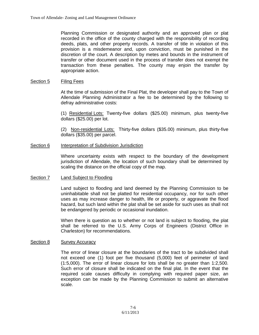Planning Commission or designated authority and an approved plan or plat recorded in the office of the county charged with the responsibility of recording deeds, plats, and other property records. A transfer of title in violation of this provision is a misdemeanor and, upon conviction, must be punished in the discretion of the court. A description by metes and bounds in the instrument of transfer or other document used in the process of transfer does not exempt the transaction from these penalties. The county may enjoin the transfer by appropriate action.

#### Section 5 Filing Fees

At the time of submission of the Final Plat, the developer shall pay to the Town of Allendale Planning Administrator a fee to be determined by the following to defray administrative costs:

(1) Residential Lots: Twenty-five dollars (\$25.00) minimum, plus twenty-five dollars (\$25.00) per lot.

(2) Non-residential Lots: Thirty-five dollars (\$35.00) minimum, plus thirty-five dollars (\$35.00) per parcel.

### Section 6 Interpretation of Subdivision Jurisdiction

Where uncertainty exists with respect to the boundary of the development jurisdiction of Allendale, the location of such boundary shall be determined by scaling the distance on the official copy of the map.

#### Section 7 Land Subject to Flooding

Land subject to flooding and land deemed by the Planning Commission to be uninhabitable shall not be platted for residential occupancy, nor for such other uses as may increase danger to health, life or property, or aggravate the flood hazard, but such land within the plat shall be set aside for such uses as shall not be endangered by periodic or occasional inundation.

When there is question as to whether or not land is subject to flooding, the plat shall be referred to the U.S. Army Corps of Engineers (District Office in Charleston) for recommendations.

#### Section 8 Survey Accuracy

The error of linear closure at the boundaries of the tract to be subdivided shall not exceed one (1) foot per five thousand (5,000) feet of perimeter of land (1:5,000). The error of linear closure for lots shall be no greater than 1:2,500. Such error of closure shall be indicated on the final plat. In the event that the required scale causes difficulty in complying with required paper size, an exception can be made by the Planning Commission to submit an alternative scale.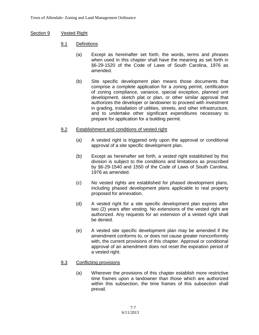# Section 9 Vested Right

- 9.1 Definitions
	- (a) Except as hereinafter set forth, the words, terms and phrases when used in this chapter shall have the meaning as set forth in §6-29-1520 of the Code of Laws of South Carolina, 1976 as amended.
	- (b) Site specific development plan means those documents that comprise a complete application for a zoning permit, certification of zoning compliance, variance, special exception, planned unit development, sketch plat or plan, or other similar approval that authorizes the developer or landowner to proceed with investment in grading, installation of utilities, streets, and other infrastructure, and to undertake other significant expenditures necessary to prepare for application for a building permit.

# 9.2 Establishment and conditions of vested right

- (a) A vested right is triggered only upon the approval or conditional approval of a site specific development plan.
- (b) Except as hereinafter set forth, a vested right established by this division is subject to the conditions and limitations as proscribed by §6-29-1540 and 1550 of the Code of Laws of South Carolina, 1976 as amended.
- (c) No vested rights are established for phased development plans, including phased development plans applicable to real property proposed for annexation.
- (d) A vested right for a site specific development plan expires after two (2) years after vesting. No extensions of the vested right are authorized. Any requests for an extension of a vested right shall be denied.
- (e) A vested site specific development plan may be amended if the amendment conforms to, or does not cause greater nonconformity with, the current provisions of this chapter. Approval or conditional approval of an amendment does not reset the expiration period of a vested right.

# 9.3 Conflicting provisions

(a) Wherever the provisions of this chapter establish more restrictive time frames upon a landowner than those which are authorized within this subsection, the time frames of this subsection shall prevail.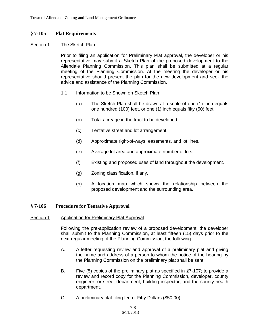### **§ 7-105 Plat Requirements**

#### Section 1 The Sketch Plan

Prior to filing an application for Preliminary Plat approval, the developer or his representative may submit a Sketch Plan of the proposed development to the Allendale Planning Commission. This plan shall be submitted at a regular meeting of the Planning Commission. At the meeting the developer or his representative should present the plan for the new development and seek the advice and assistance of the Planning Commission.

#### 1.1 Information to be Shown on Sketch Plan

- (a) The Sketch Plan shall be drawn at a scale of one (1) inch equals one hundred (100) feet, or one (1) inch equals fifty (50) feet.
- (b) Total acreage in the tract to be developed.
- (c) Tentative street and lot arrangement.
- (d) Approximate right-of-ways, easements, and lot lines.
- (e) Average lot area and approximate number of lots.
- (f) Existing and proposed uses of land throughout the development.
- (g) Zoning classification, if any.
- (h) A location map which shows the relationship between the proposed development and the surrounding area.

#### **§ 7-106 Procedure for Tentative Approval**

#### Section 1 Application for Preliminary Plat Approval

Following the pre-application review of a proposed development, the developer shall submit to the Planning Commission, at least fifteen (15) days prior to the next regular meeting of the Planning Commission, the following:

- A. A letter requesting review and approval of a preliminary plat and giving the name and address of a person to whom the notice of the hearing by the Planning Commission on the preliminary plat shall be sent.
- B. Five (5) copies of the preliminary plat as specified in §7-107; to provide a review and record copy for the Planning Commission, developer, county engineer, or street department, building inspector, and the county health department.
- C. A preliminary plat filing fee of Fifty Dollars (\$50.00).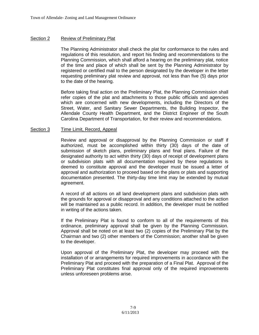### Section 2 Review of Preliminary Plat

The Planning Administrator shall check the plat for conformance to the rules and regulations of this resolution, and report his finding and recommendations to the Planning Commission, which shall afford a hearing on the preliminary plat, notice of the time and place of which shall be sent by the Planning Administrator by registered or certified mail to the person designated by the developer in the letter requesting preliminary plat review and approval, not less than five (5) days prior to the date of the hearing.

Before taking final action on the Preliminary Plat, the Planning Commission shall refer copies of the plat and attachments to those public officials and agencies which are concerned with new developments, including the Directors of the Street, Water, and Sanitary Sewer Departments, the Building Inspector, the Allendale County Health Department, and the District Engineer of the South Carolina Department of Transportation, for their review and recommendations.

### Section 3 Time Limit, Record, Appeal

Review and approval or disapproval by the Planning Commission or staff if authorized, must be accomplished within thirty (30) days of the date of submission of sketch plans, preliminary plans and final plans. Failure of the designated authority to act within thirty (30) days of receipt of development plans or subdivision plats with all documentation required by these regulations is deemed to constitute approval and the developer must be issued a letter of approval and authorization to proceed based on the plans or plats and supporting documentation presented. The thirty-day time limit may be extended by mutual agreement.

A record of all actions on all land development plans and subdivision plats with the grounds for approval or disapproval and any conditions attached to the action will be maintained as a public record. In addition, the developer must be notified in writing of the actions taken.

If the Preliminary Plat is found to conform to all of the requirements of this ordinance, preliminary approval shall be given by the Planning Commission. Approval shall be noted on at least two (2) copies of the Preliminary Plat by the Chairman and two (2) other members of the Commission; another shall be given to the developer.

Upon approval of the Preliminary Plat, the developer may proceed with the installation of or arrangements for required improvements in accordance with the Preliminary Plat and proceed with the preparation of a Final Plat. Approval of the Preliminary Plat constitutes final approval only of the required improvements unless unforeseen problems arise.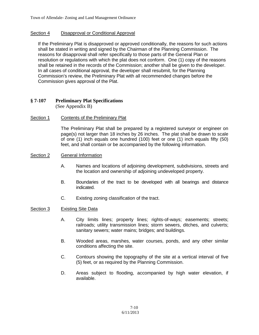# Section 4 Disapproval or Conditional Approval

If the Preliminary Plat is disapproved or approved conditionally, the reasons for such actions shall be stated in writing and signed by the Chairman of the Planning Commission. The reasons for disapproval shall refer specifically to those parts of the General Plan or resolution or regulations with which the plat does not conform. One (1) copy of the reasons shall be retained in the records of the Commission; another shall be given to the developer. In all cases of conditional approval, the developer shall resubmit, for the Planning Commission's review, the Preliminary Plat with all recommended changes before the Commission gives approval of the Plat.

#### **§ 7-107 Preliminary Plat Specifications** (See Appendix B)

Section 1 Contents of the Preliminary Plat

The Preliminary Plat shall be prepared by a registered surveyor or engineer on page(s) not larger than 18 inches by 26 inches. The plat shall be drawn to scale of one (1) inch equals one hundred (100) feet or one (1) inch equals fifty (50) feet, and shall contain or be accompanied by the following information.

### Section 2 General Information

- A. Names and locations of adjoining development, subdivisions, streets and the location and ownership of adjoining undeveloped property.
- B. Boundaries of the tract to be developed with all bearings and distance indicated.
- C. Existing zoning classification of the tract.

## Section 3 Existing Site Data

- A. City limits lines; property lines; rights-of-ways; easements; streets; railroads; utility transmission lines; storm sewers, ditches, and culverts; sanitary sewers; water mains; bridges; and buildings.
- B. Wooded areas, marshes, water courses, ponds, and any other similar conditions affecting the site.
- C. Contours showing the topography of the site at a vertical interval of five (5) feet, or as required by the Planning Commission.
- D. Areas subject to flooding, accompanied by high water elevation, if available.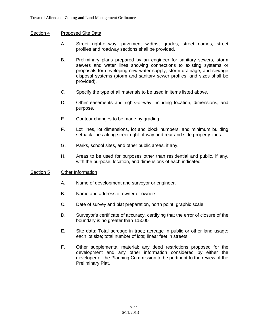## Section 4 Proposed Site Data

- A. Street right-of-way, pavement widths, grades, street names, street profiles and roadway sections shall be provided.
- B. Preliminary plans prepared by an engineer for sanitary sewers, storm sewers and water lines showing connections to existing systems or proposals for developing new water supply, storm drainage, and sewage disposal systems (storm and sanitary sewer profiles, and sizes shall be provided).
- C. Specify the type of all materials to be used in items listed above.
- D. Other easements and rights-of-way including location, dimensions, and purpose.
- E. Contour changes to be made by grading.
- F. Lot lines, lot dimensions, lot and block numbers, and minimum building setback lines along street right-of-way and rear and side property lines.
- G. Parks, school sites, and other public areas, if any.
- H. Areas to be used for purposes other than residential and public, if any, with the purpose, location, and dimensions of each indicated.

## Section 5 Other Information

- A. Name of development and surveyor or engineer.
- B. Name and address of owner or owners.
- C. Date of survey and plat preparation, north point, graphic scale.
- D. Surveyor's certificate of accuracy, certifying that the error of closure of the boundary is no greater than 1:5000.
- E. Site data: Total acreage in tract; acreage in public or other land usage; each lot size; total number of lots; linear feet in streets.
- F. Other supplemental material; any deed restrictions proposed for the development and any other information considered by either the developer or the Planning Commission to be pertinent to the review of the Preliminary Plat.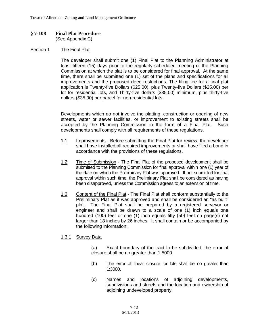#### **§ 7-108 Final Plat Procedure** (See Appendix C)

#### Section 1 The Final Plat

The developer shall submit one (1) Final Plat to the Planning Administrator at least fifteen (15) days prior to the regularly scheduled meeting of the Planning Commission at which the plat is to be considered for final approval. At the same time, there shall be submitted one (1) set of the plans and specifications for all improvements and the proposed deed restrictions. The filing fee for a final plat application is Twenty-five Dollars (\$25.00), plus Twenty-five Dollars (\$25.00) per lot for residential lots, and Thirty-five dollars (\$35.00) minimum, plus thirty-five dollars (\$35.00) per parcel for non-residential lots.

Developments which do not involve the platting, construction or opening of new streets, water or sewer facilities, or improvement to existing streets shall be accepted by the Planning Commission in the form of a Final Plat. Such developments shall comply with all requirements of these regulations.

- 1.1 Improvements Before submitting the Final Plat for review, the developer shall have installed all required improvements or shall have filed a bond in accordance with the provisions of these regulations.
- 1.2 Time of Submission The Final Plat of the proposed development shall be submitted to the Planning Commission for final approval within one (1) year of the date on which the Preliminary Plat was approved. If not submitted for final approval within such time, the Preliminary Plat shall be considered as having been disapproved, unless the Commission agrees to an extension of time.
- 1.3 Content of the Final Plat The Final Plat shall conform substantially to the Preliminary Plat as it was approved and shall be considered an "as built" plat. The Final Plat shall be prepared by a registered surveyor or engineer and shall be drawn to a scale of one (1) inch equals one hundred (100) feet or one (1) inch equals fifty (50) feet on page(s) not larger than 18 inches by 26 inches. It shall contain or be accompanied by the following information:

## 1.3.1 Survey Data

(a) Exact boundary of the tract to be subdivided, the error of closure shall be no greater than 1:5000.

- (b) The error of linear closure for lots shall be no greater than 1:3000.
- (c) Names and locations of adjoining developments, subdivisions and streets and the location and ownership of adjoining undeveloped property.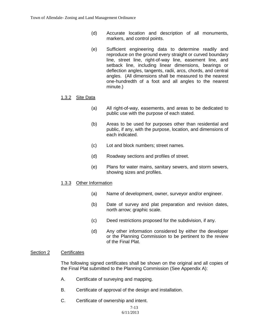- (d) Accurate location and description of all monuments, markers, and control points.
- (e) Sufficient engineering data to determine readily and reproduce on the ground every straight or curved boundary line, street line, right-of-way line, easement line, and setback line, including linear dimensions, bearings or deflection angles, tangents, radii, arcs, chords, and central angles. (All dimensions shall be measured to the nearest one-hundredth of a foot and all angles to the nearest minute.)

## 1.3.2 Site Data

- (a) All right-of-way, easements, and areas to be dedicated to public use with the purpose of each stated.
- (b) Areas to be used for purposes other than residential and public, if any, with the purpose, location, and dimensions of each indicated.
- (c) Lot and block numbers; street names.
- (d) Roadway sections and profiles of street.
- (e) Plans for water mains, sanitary sewers, and storm sewers, showing sizes and profiles.

## 1.3.3 Other Information

- (a) Name of development, owner, surveyor and/or engineer.
- (b) Date of survey and plat preparation and revision dates, north arrow; graphic scale.
- (c) Deed restrictions proposed for the subdivision, if any.
- (d) Any other information considered by either the developer or the Planning Commission to be pertinent to the review of the Final Plat.

#### Section 2 Certificates

The following signed certificates shall be shown on the original and all copies of the Final Plat submitted to the Planning Commission (See Appendix A):

- A. Certificate of surveying and mapping.
- B. Certificate of approval of the design and installation.
- C. Certificate of ownership and intent.

 7-13 6/11/2013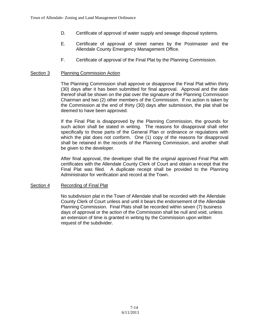- D. Certificate of approval of water supply and sewage disposal systems.
- E. Certificate of approval of street names by the Postmaster and the Allendale County Emergency Management Office.
- F. Certificate of approval of the Final Plat by the Planning Commission.

### Section 3 Planning Commission Action

The Planning Commission shall approve or disapprove the Final Plat within thirty (30) days after it has been submitted for final approval. Approval and the date thereof shall be shown on the plat over the signature of the Planning Commission Chairman and two (2) other members of the Commission. If no action is taken by the Commission at the end of thirty (30) days after submission, the plat shall be deemed to have been approved.

If the Final Plat is disapproved by the Planning Commission, the grounds for such action shall be stated in writing. The reasons for disapproval shall refer specifically to those parts of the General Plan or ordinance or regulations with which the plat does not conform. One (1) copy of the reasons for disapproval shall be retained in the records of the Planning Commission, and another shall be given to the developer.

After final approval, the developer shall file the original approved Final Plat with certificates with the Allendale County Clerk of Court and obtain a receipt that the Final Plat was filed. A duplicate receipt shall be provided to the Planning Administrator for verification and record at the Town.

#### Section 4 Recording of Final Plat

No subdivision plat in the Town of Allendale shall be recorded with the Allendale County Clerk of Court unless and until it bears the endorsement of the Allendale Planning Commission. Final Plats shall be recorded within seven (7) business days of approval or the action of the Commission shall be null and void, unless an extension of time is granted in writing by the Commission upon written request of the subdivider.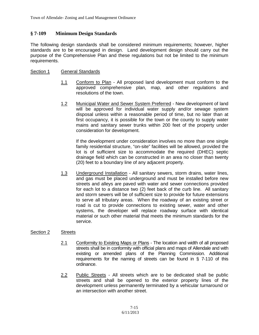# **§ 7-109 Minimum Design Standards**

The following design standards shall be considered minimum requirements; however, higher standards are to be encouraged in design. Land development design should carry out the purpose of the Comprehensive Plan and these regulations but not be limited to the minimum requirements.

### Section 1 General Standards

- 1.1 Conform to Plan All proposed land development must conform to the approved comprehensive plan, map, and other regulations and resolutions of the town.
- 1.2 Municipal Water and Sewer System Preferred New development of land will be approved for individual water supply and/or sewage system disposal unless within a reasonable period of time, but no later than at first occupancy, it is possible for the town or the county to supply water mains and sanitary sewer trunks within 200 feet of the property under consideration for development.

If the development under consideration involves no more than one single family residential structure, "on-site" facilities will be allowed, provided the lot is of sufficient size to accommodate the required (DHEC) septic drainage field which can be constructed in an area no closer than twenty (20) feet to a boundary line of any adjacent property.

1.3 Underground Installation - All sanitary sewers, storm drains, water lines, and gas must be placed underground and must be installed before new streets and alleys are paved with water and sewer connections provided for each lot to a distance two (2) feet back of the curb line. All sanitary and storm sewers will be of sufficient size to provide for future extensions to serve all tributary areas. When the roadway of an existing street or road is cut to provide connections to existing sewer, water and other systems, the developer will replace roadway surface with identical material or such other material that meets the minimum standards for the service.

#### Section 2 Streets

- 2.1 Conformity to Existing Maps or Plans The location and width of all proposed streets shall be in conformity with official plans and maps of Allendale and with existing or amended plans of the Planning Commission. Additional requirements for the naming of streets can be found in § 7-110 of this ordinance.
- 2.2 Public Streets All streets which are to be dedicated shall be public streets and shall be opened to the exterior property lines of the development unless permanently terminated by a vehicular turnaround or an intersection with another street.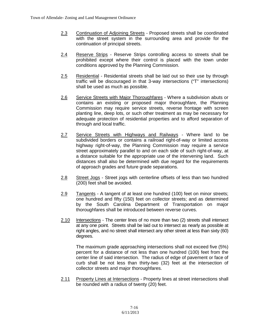- 2.3 Continuation of Adjoining Streets Proposed streets shall be coordinated with the street system in the surrounding area and provide for the continuation of principal streets.
- 2.4 Reserve Strips Reserve Strips controlling access to streets shall be prohibited except where their control is placed with the town under conditions approved by the Planning Commission.
- 2.5 Residential Residential streets shall be laid out so their use by through traffic will be discouraged in that 3-way intersections ("T" intersections) shall be used as much as possible.
- 2.6 Service Streets with Major Thoroughfares Where a subdivision abuts or contains an existing or proposed major thoroughfare, the Planning Commission may require service streets, reverse frontage with screen planting line, deep lots, or such other treatment as may be necessary for adequate protection of residential properties and to afford separation of through and local traffic.
- 2.7 Service Streets with Highways and Railways Where land to be subdivided borders or contains a railroad right-of-way or limited access highway right-of-way, the Planning Commission may require a service street approximately parallel to and on each side of such right-of-way, at a distance suitable for the appropriate use of the intervening land. Such distances shall also be determined with due regard for the requirements of approach grades and future grade separations.
- 2.8 Street Jogs Street jogs with centerline offsets of less than two hundred (200) feet shall be avoided.
- 2.9 Tangents A tangent of at least one hundred (100) feet on minor streets; one hundred and fifty (150) feet on collector streets; and as determined by the South Carolina Department of Transportation on major thoroughfares shall be introduced between reverse curves.
- 2.10 Intersections The center lines of no more than two (2) streets shall intersect at any one point. Streets shall be laid out to intersect as nearly as possible at right angles, and no street shall intersect any other street at less than sixty (60) degrees.

The maximum grade approaching intersections shall not exceed five (5%) percent for a distance of not less than one hundred (100) feet from the center line of said intersection. The radius of edge of pavement or face of curb shall be not less than thirty-two (32) feet at the intersection of collector streets and major thoroughfares.

2.11 Property Lines at Intersections - Property lines at street intersections shall be rounded with a radius of twenty (20) feet.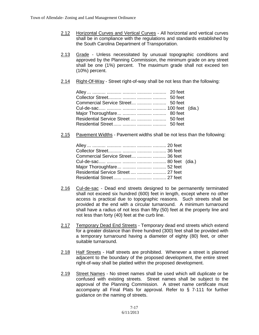- 2.12 Horizontal Curves and Vertical Curves All horizontal and vertical curves shall be in compliance with the regulations and standards established by the South Carolina Department of Transportation.
- 2.13 Grade Unless necessitated by unusual topographic conditions and approved by the Planning Commission, the minimum grade on any street shall be one (1%) percent. The maximum grade shall not exceed ten (10%) percent.
- 2.14 Right-Of-Way Street right-of-way shall be not less than the following:

| Commercial Service Street   50 feet   |  |
|---------------------------------------|--|
|                                       |  |
|                                       |  |
| Residential Service Street    50 feet |  |
|                                       |  |

2.15 Pavement Widths - Pavement widths shall be not less than the following:

| Commercial Service Street   36 feet   |  |
|---------------------------------------|--|
|                                       |  |
|                                       |  |
| Residential Service Street    27 feet |  |
|                                       |  |
|                                       |  |

- 2.16 Cul-de-sac Dead end streets designed to be permanently terminated shall not exceed six hundred (600) feet in length, except where no other access is practical due to topographic reasons. Such streets shall be provided at the end with a circular turnaround. A minimum turnaround shall have a radius of not less than fifty (50) feet at the property line and not less than forty (40) feet at the curb line.
- 2.17 Temporary Dead End Streets Temporary dead end streets which extend for a greater distance than three hundred (300) feet shall be provided with a temporary turnaround having a diameter of eighty (80) feet, or other suitable turnaround.
- 2.18 Half Streets Half streets are prohibited. Whenever a street is planned adjacent to the boundary of the proposed development, the entire street right-of-way shall be platted within the proposed development.
- 2.19 Street Names No street names shall be used which will duplicate or be confused with existing streets. Street names shall be subject to the approval of the Planning Commission. A street name certificate must accompany all Final Plats for approval. Refer to § 7-111 for further guidance on the naming of streets.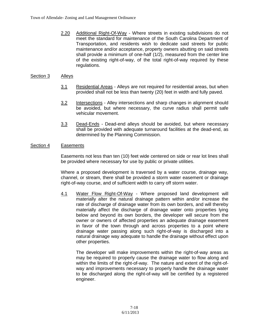2.20 Additional Right-Of-Way - Where streets in existing subdivisions do not meet the standard for maintenance of the South Carolina Department of Transportation, and residents wish to dedicate said streets for public maintenance and/or acceptance, property owners abutting on said streets shall provide a minimum of one-half (1/2), measured from the center line of the existing right-of-way, of the total right-of-way required by these regulations.

### Section 3 Alleys

- 3.1 Residential Areas Alleys are not required for residential areas, but when provided shall not be less than twenty (20) feet in width and fully paved.
- 3.2 Intersections Alley intersections and sharp changes in alignment should be avoided, but where necessary, the curve radius shall permit safe vehicular movement.
- 3.3 Dead-Ends Dead-end alleys should be avoided, but where necessary shall be provided with adequate turnaround facilities at the dead-end, as determined by the Planning Commission.

### Section 4 Easements

Easements not less than ten (10) feet wide centered on side or rear lot lines shall be provided where necessary for use by public or private utilities.

Where a proposed development is traversed by a water course, drainage way, channel, or stream, there shall be provided a storm water easement or drainage right-of-way course, and of sufficient width to carry off storm water.

4.1 Water Flow Right-Of-Way - Where proposed land development will materially alter the natural drainage pattern within and/or increase the rate of discharge of drainage water from its own borders, and will thereby materially affect the discharge of drainage water onto properties lying below and beyond its own borders, the developer will secure from the owner or owners of affected properties an adequate drainage easement in favor of the town through and across properties to a point where drainage water passing along such right-of-way is discharged into a natural drainage way adequate to handle the drainage without effect upon other properties.

The developer will make improvements within the right-of-way areas as may be required to properly cause the drainage water to flow along and within the limits of the right-of-way. The nature and extent of the right-ofway and improvements necessary to properly handle the drainage water to be discharged along the right-of-way will be certified by a registered engineer.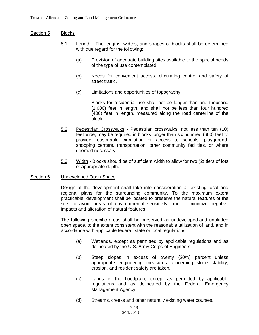#### Section 5 Blocks

- 5.1 Length The lengths, widths, and shapes of blocks shall be determined with due regard for the following:
	- (a) Provision of adequate building sites available to the special needs of the type of use contemplated.
	- (b) Needs for convenient access, circulating control and safety of street traffic.
	- (c) Limitations and opportunities of topography.

Blocks for residential use shall not be longer than one thousand (1,000) feet in length, and shall not be less than four hundred (400) feet in length, measured along the road centerline of the block.

- 5.2 Pedestrian Crosswalks Pedestrian crosswalks, not less than ten (10) feet wide, may be required in blocks longer than six hundred (600) feet to provide reasonable circulation or access to schools, playground, shopping centers, transportation, other community facilities, or where deemed necessary.
- 5.3 Width Blocks should be of sufficient width to allow for two (2) tiers of lots of appropriate depth.

#### Section 6 Undeveloped Open Space

Design of the development shall take into consideration all existing local and regional plans for the surrounding community. To the maximum extent practicable, development shall be located to preserve the natural features of the site, to avoid areas of environmental sensitivity, and to minimize negative impacts and alteration of natural features.

The following specific areas shall be preserved as undeveloped and unplatted open space, to the extent consistent with the reasonable utilization of land, and in accordance with applicable federal, state or local regulations:

- (a) Wetlands, except as permitted by applicable regulations and as delineated by the U.S. Army Corps of Engineers.
- (b) Steep slopes in excess of twenty (20%) percent unless appropriate engineering measures concerning slope stability, erosion, and resident safety are taken.
- (c) Lands in the floodplain, except as permitted by applicable regulations and as delineated by the Federal Emergency Management Agency.
- (d) Streams, creeks and other naturally existing water courses.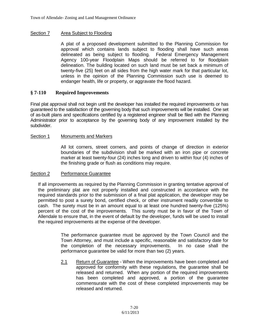# Section 7 Area Subject to Flooding

A plat of a proposed development submitted to the Planning Commission for approval which contains lands subject to flooding shall have such areas delineated as being subject to flooding. Federal Emergency Management Agency 100-year Floodplain Maps should be referred to for floodplain delineation. The building located on such land must be set back a minimum of twenty-five (25) feet on all sides from the high water mark for that particular lot, unless in the opinion of the Planning Commission such use is deemed to endanger health, life or property, or aggravate the flood hazard.

# **§ 7-110 Required Improvements**

Final plat approval shall not begin until the developer has installed the required improvements or has guaranteed to the satisfaction of the governing body that such improvements will be installed. One set of as-built plans and specifications certified by a registered engineer shall be filed with the Planning Administrator prior to acceptance by the governing body of any improvement installed by the subdivider.

## Section 1 Monuments and Markers

All lot corners, street corners, and points of change of direction in exterior boundaries of the subdivision shall be marked with an iron pipe or concrete marker at least twenty-four (24) inches long and driven to within four (4) inches of the finishing grade or flush as conditions may require.

## Section 2 Performance Guarantee

If all improvements as required by the Planning Commission in granting tentative approval of the preliminary plat are not properly installed and constructed in accordance with the required standards prior to the submission of a final plat application, the developer may be permitted to post a surety bond, certified check, or other instrument readily convertible to cash. The surety must be in an amount equal to at least one hundred twenty-five (125%) percent of the cost of the improvements. This surety must be in favor of the Town of Allendale to ensure that, in the event of default by the developer, funds will be used to install the required improvements at the expense of the developer.

> The performance guarantee must be approved by the Town Council and the Town Attorney, and must include a specific, reasonable and satisfactory date for the completion of the necessary improvements. In no case shall the performance guarantee be valid for more than two (2) years.

> 2.1 Return of Guarantee - When the improvements have been completed and approved for conformity with these regulations, the guarantee shall be released and returned. When any portion of the required improvements has been completed and approved, a portion of the guarantee commensurate with the cost of these completed improvements may be released and returned.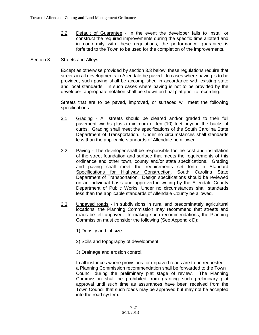2.2 Default of Guarantee - In the event the developer fails to install or construct the required improvements during the specific time allotted and in conformity with these regulations, the performance guarantee is forfeited to the Town to be used for the completion of the improvements.

#### Section 3 Streets and Alleys

Except as otherwise provided by section 3.3 below, these regulations require that streets in all developments in Allendale be paved. In cases where paving is to be provided, such paving shall be accomplished in accordance with existing state and local standards. In such cases where paving is not to be provided by the developer, appropriate notation shall be shown on final plat prior to recording.

Streets that are to be paved, improved, or surfaced will meet the following specifications:

- 3.1 Grading All streets should be cleared and/or graded to their full pavement widths plus a minimum of ten (10) feet beyond the backs of curbs. Grading shall meet the specifications of the South Carolina State Department of Transportation. Under no circumstances shall standards less than the applicable standards of Allendale be allowed.
- 3.2 Paving The developer shall be responsible for the cost and installation of the street foundation and surface that meets the requirements of this ordinance and other town, county and/or state specifications. Grading and paving shall meet the requirements set forth in Standard Specifications for Highway Construction, South Carolina State Department of Transportation. Design specifications should be reviewed on an individual basis and approved in writing by the Allendale County Department of Public Works. Under no circumstances shall standards less than the applicable standards of Allendale County be allowed.
- 3.3 Unpaved roads In subdivisions in rural and predominately agricultural locations, the Planning Commission may recommend that streets and roads be left unpaved. In making such recommendations, the Planning Commission must consider the following (See Appendix D):
	- 1) Density and lot size.
	- 2) Soils and topography of development.
	- 3) Drainage and erosion control.

In all instances where provisions for unpaved roads are to be requested, a Planning Commission recommendation shall be forwarded to the Town Council during the preliminary plat stage of review. The Planning Commission shall be prohibited from granting such preliminary plat approval until such time as assurances have been received from the Town Council that such roads may be approved but may not be accepted into the road system.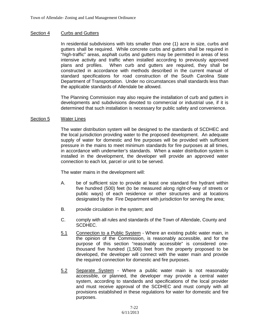#### Section 4 Curbs and Gutters

In residential subdivisions with lots smaller than one (1) acre in size, curbs and gutters shall be required. While concrete curbs and gutters shall be required in "high-traffic" areas, asphalt curbs and gutters may be permitted in areas of less intensive activity and traffic when installed according to previously approved plans and profiles. When curb and gutters are required, they shall be constructed in accordance with methods described in the current manual of standard specifications for road construction of the South Carolina State Department of Transportation. Under no circumstances shall standards less than the applicable standards of Allendale be allowed.

The Planning Commission may also require the installation of curb and gutters in developments and subdivisions devoted to commercial or industrial use, if it is determined that such installation is necessary for public safety and convenience.

#### Section 5 Water Lines

The water distribution system will be designed to the standards of SCDHEC and the local jurisdiction providing water to the proposed development. An adequate supply of water for domestic and fire purposes will be provided with sufficient pressure in the mains to meet minimum standards for fire purposes at all times, in accordance with underwriter's standards. When a water distribution system is installed in the development, the developer will provide an approved water connection to each lot, parcel or unit to be served.

The water mains in the development will:

- A. be of sufficient size to provide at least one standard fire hydrant within five hundred (500) feet (to be measured along right-of-way of streets or public ways) of each residence or other structures and at locations designated by the Fire Department with jurisdiction for serving the area;
- B. provide circulation in the system; and
- C. comply with all rules and standards of the Town of Allendale, County and SCDHEC.
- 5.1 Connection to a Public System Where an existing public water main, in the opinion of the Commission, is reasonably accessible, and for the purpose of this section "reasonably accessible" is considered onethousand five hundred (1,500) feet from the property proposed to be developed, the developer will connect with the water main and provide the required connection for domestic and fire purposes.
- 5.2 Separate System Where a public water main is not reasonably accessible, or planned, the developer may provide a central water system, according to standards and specifications of the local provider and must receive approval of the SCDHEC and must comply with all provisions established in these regulations for water for domestic and fire purposes.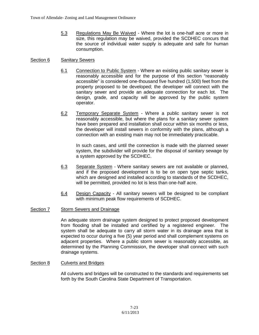5.3 Regulations May Be Waived - Where the lot is one-half acre or more in size, this regulation may be waived, provided the SCDHEC concurs that the source of individual water supply is adequate and safe for human consumption.

#### Section 6 Sanitary Sewers

- 6.1 Connection to Public System Where an existing public sanitary sewer is reasonably accessible and for the purpose of this section "reasonably accessible" is considered one-thousand five hundred (1,500) feet from the property proposed to be developed; the developer will connect with the sanitary sewer and provide an adequate connection for each lot. The design, grade, and capacity will be approved by the public system operator.
- 6.2 Temporary Separate System Where a public sanitary sewer is not reasonably accessible, but where the plans for a sanitary sewer system have been prepared and installation shall occur within six months or less, the developer will install sewers in conformity with the plans, although a connection with an existing main may not be immediately practicable.

In such cases, and until the connection is made with the planned sewer system, the subdivider will provide for the disposal of sanitary sewage by a system approved by the SCDHEC.

- 6.3 Separate System Where sanitary sewers are not available or planned, and if the proposed development is to be on open type septic tanks, which are designed and installed according to standards of the SCDHEC, will be permitted, provided no lot is less than one-half acre.
- 6.4 Design Capacity All sanitary sewers will be designed to be compliant with minimum peak flow requirements of SCDHEC.

#### Section 7 Storm Sewers and Drainage

An adequate storm drainage system designed to protect proposed development from flooding shall be installed and certified by a registered engineer. The system shall be adequate to carry all storm water in its drainage area that is expected to occur during a five (5) year period and shall complement systems on adjacent properties. Where a public storm sewer is reasonably accessible, as determined by the Planning Commission, the developer shall connect with such drainage systems.

#### Section 8 Culverts and Bridges

All culverts and bridges will be constructed to the standards and requirements set forth by the South Carolina State Department of Transportation.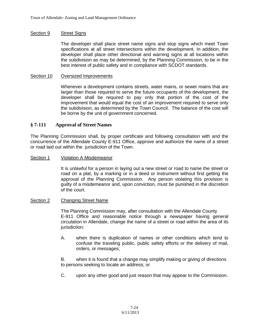#### Section 9 Street Signs

The developer shall place street name signs and stop signs which meet Town specifications at all street intersections within the development. In addition, the developer shall place other directional and warning signs at all locations within the subdivision as may be determined, by the Planning Commission, to be in the best interest of public safety and in compliance with SCDOT standards.

#### Section 10 Oversized Improvements

Whenever a development contains streets, water mains, or sewer mains that are larger than those required to serve the future occupants of the development, the developer shall be required to pay only that portion of the cost of the improvement that would equal the cost of an improvement required to serve only the subdivision, as determined by the Town Council. The balance of the cost will be borne by the unit of government concerned.

### **§ 7-111 Approval of Street Names**

The Planning Commission shall, by proper certificate and following consultation with and the concurrence of the Allendale County E-911 Office, approve and authorize the name of a street or road laid out within the jurisdiction of the Town.

#### Section 1 Violation A Misdemeanor

It is unlawful for a person in laying out a new street or road to name the street or road on a plat, by a marking or in a deed or instrument without first getting the approval of the Planning Commission. Any person violating this provision is guilty of a misdemeanor and, upon conviction, must be punished in the discretion of the court.

#### Section 2 Changing Street Name

The Planning Commission may, after consultation with the Allendale County E-911 Office and reasonable notice through a newspaper having general circulation in Allendale, change the name of a street or road within the area of its jurisdiction:

A. when there is duplication of names or other conditions which tend to confuse the traveling public, public safety efforts or the delivery of mail, orders, or messages;

B. when it is found that a change may simplify making or giving of directions to persons seeking to locate an address; or

C. upon any other good and just reason that may appear to the Commission.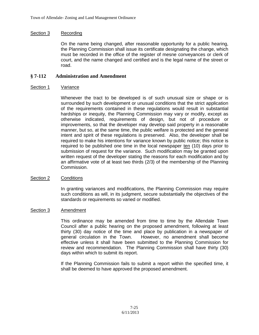# Section 3 Recording

On the name being changed, after reasonable opportunity for a public hearing, the Planning Commission shall issue its certificate designating the change, which must be recorded in the office of the register of mesne conveyances or clerk of court, and the name changed and certified and is the legal name of the street or road.

# **§ 7-112 Administration and Amendment**

## Section 1 Variance

Whenever the tract to be developed is of such unusual size or shape or is surrounded by such development or unusual conditions that the strict application of the requirements contained in these regulations would result in substantial hardships or inequity, the Planning Commission may vary or modify, except as otherwise indicated, requirements of design, but not of procedure or improvements, so that the developer may develop said property in a reasonable manner, but so, at the same time, the public welfare is protected and the general intent and spirit of these regulations is preserved. Also, the developer shall be required to make his intentions for variance known by public notice; this notice is required to be published one time in the local newspaper ten (10) days prior to submission of request for the variance. Such modification may be granted upon written request of the developer stating the reasons for each modification and by an affirmative vote of at least two thirds (2/3) of the membership of the Planning Commission.

## Section 2 Conditions

In granting variances and modifications, the Planning Commission may require such conditions as will, in its judgment, secure substantially the objectives of the standards or requirements so varied or modified.

#### Section 3 Amendment

This ordinance may be amended from time to time by the Allendale Town Council after a public hearing on the proposed amendment, following at least thirty (30) day notice of the time and place by publication in a newspaper of general circulation in the Town. However, no amendment shall become effective unless it shall have been submitted to the Planning Commission for review and recommendation. The Planning Commission shall have thirty (30) days within which to submit its report.

If the Planning Commission fails to submit a report within the specified time, it shall be deemed to have approved the proposed amendment.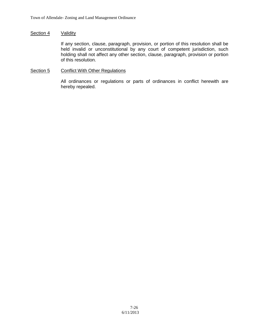#### Section 4 Validity

If any section, clause, paragraph, provision, or portion of this resolution shall be held invalid or unconstitutional by any court of competent jurisdiction, such holding shall not affect any other section, clause, paragraph, provision or portion of this resolution.

#### Section 5 Conflict With Other Regulations

All ordinances or regulations or parts of ordinances in conflict herewith are hereby repealed.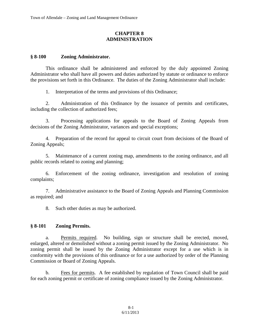# **CHAPTER 8 ADMINISTRATION**

# **§ 8-100 Zoning Administrator.**

This ordinance shall be administered and enforced by the duly appointed Zoning Administrator who shall have all powers and duties authorized by statute or ordinance to enforce the provisions set forth in this Ordinance. The duties of the Zoning Administrator shall include:

1. Interpretation of the terms and provisions of this Ordinance;

2. Administration of this Ordinance by the issuance of permits and certificates, including the collection of authorized fees;

3. Processing applications for appeals to the Board of Zoning Appeals from decisions of the Zoning Administrator, variances and special exceptions;

4. Preparation of the record for appeal to circuit court from decisions of the Board of Zoning Appeals;

5. Maintenance of a current zoning map, amendments to the zoning ordinance, and all public records related to zoning and planning;

6. Enforcement of the zoning ordinance, investigation and resolution of zoning complaints;

7. Administrative assistance to the Board of Zoning Appeals and Planning Commission as required; and

8. Such other duties as may be authorized.

# **§ 8-101 Zoning Permits.**

a. Permits required. No building, sign or structure shall be erected, moved, enlarged, altered or demolished without a zoning permit issued by the Zoning Administrator. No zoning permit shall be issued by the Zoning Administrator except for a use which is in conformity with the provisions of this ordinance or for a use authorized by order of the Planning Commission or Board of Zoning Appeals.

b. Fees for permits. A fee established by regulation of Town Council shall be paid for each zoning permit or certificate of zoning compliance issued by the Zoning Administrator.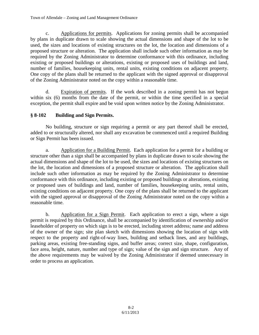c. Applications for permits. Applications for zoning permits shall be accompanied by plans in duplicate drawn to scale showing the actual dimensions and shape of the lot to be used, the sizes and locations of existing structures on the lot, the location and dimensions of a proposed structure or alteration. The application shall include such other information as may be required by the Zoning Administrator to determine conformance with this ordinance, including existing or proposed buildings or alterations, existing or proposed uses of buildings and land, number of families, housekeeping units, rental units, existing conditions on adjacent property. One copy of the plans shall be returned to the applicant with the signed approval or disapproval of the Zoning Administrator noted on the copy within a reasonable time.

d. Expiration of permits. If the work described in a zoning permit has not begun within six (6) months from the date of the permit, or within the time specified in a special exception, the permit shall expire and be void upon written notice by the Zoning Administrator.

# **§ 8-102 Building and Sign Permits.**

No building, structure or sign requiring a permit or any part thereof shall be erected, added to or structurally altered, nor shall any excavation be commenced until a required Building or Sign Permit has been issued.

a. Application for a Building Permit. Each application for a permit for a building or structure other than a sign shall be accompanied by plans in duplicate drawn to scale showing the actual dimensions and shape of the lot to be used, the sizes and locations of existing structures on the lot, the location and dimensions of a proposed structure or alteration. The application shall include such other information as may be required by the Zoning Administrator to determine conformance with this ordinance, including existing or proposed buildings or alterations, existing or proposed uses of buildings and land, number of families, housekeeping units, rental units, existing conditions on adjacent property. One copy of the plans shall be returned to the applicant with the signed approval or disapproval of the Zoning Administrator noted on the copy within a reasonable time.

b. Application for a Sign Permit. Each application to erect a sign, where a sign permit is required by this Ordinance, shall be accompanied by identification of ownership and/or leaseholder of property on which sign is to be erected, including street address; name and address of the owner of the sign; site plan sketch with dimensions showing the location of sign with respect to the property and right-of-way lines, building and setback lines, and any buildings, parking areas, existing free-standing signs, and buffer areas; correct size, shape, configuration, face area, height, nature, number and type of sign; value of the sign and sign structure. Any of the above requirements may be waived by the Zoning Administrator if deemed unnecessary in order to process an application.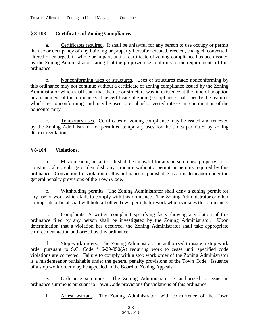# **§ 8-103 Certificates of Zoning Compliance.**

a. Certificates required. It shall be unlawful for any person to use occupy or permit the use or occupancy of any building or property hereafter created, erected, changed, converted, altered or enlarged, in whole or in part, until a certificate of zoning compliance has been issued by the Zoning Administrator stating that the proposed use conforms to the requirements of this ordinance.

b. Nonconforming uses or structures. Uses or structures made nonconforming by this ordinance may not continue without a certificate of zoning compliance issued by the Zoning Administrator which shall state that the use or structure was in existence at the time of adoption or amendment of this ordinance. The certificate of zoning compliance shall specify the features which are nonconforming, and may be used to establish a vested interest in continuation of the nonconformity.

c. Temporary uses. Certificates of zoning compliance may be issued and renewed by the Zoning Administrator for permitted temporary uses for the times permitted by zoning district regulations.

# **§ 8-104 Violations.**

a. Misdemeanor; penalties. It shall be unlawful for any person to use property, or to construct, alter, enlarge or demolish any structure without a permit or permits required by this ordinance. Conviction for violation of this ordinance is punishable as a misdemeanor under the general penalty provisions of the Town Code.

b. Withholding permits. The Zoning Administrator shall deny a zoning permit for any use or work which fails to comply with this ordinance. The Zoning Administrator or other appropriate official shall withhold all other Town permits for work which violates this ordinance.

c. Complaints. A written complaint specifying facts showing a violation of this ordinance filed by any person shall be investigated by the Zoning Administrator. Upon determination that a violation has occurred, the Zoning Administrator shall take appropriate enforcement action authorized by this ordinance.

d. Stop work orders. The Zoning Administrator is authorized to issue a stop work order pursuant to S.C. Code § 6-29-950(A) requiring work to cease until specified code violations are corrected. Failure to comply with a stop work order of the Zoning Administrator is a misdemeanor punishable under the general penalty provisions of the Town Code. Issuance of a stop work order may be appealed to the Board of Zoning Appeals.

e. Ordinance summons. The Zoning Administrator is authorized to issue an ordinance summons pursuant to Town Code provisions for violations of this ordinance.

f. Arrest warrant. The Zoning Administrator, with concurrence of the Town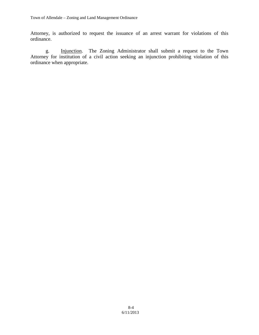Attorney, is authorized to request the issuance of an arrest warrant for violations of this ordinance.

g. Injunction. The Zoning Administrator shall submit a request to the Town Attorney for institution of a civil action seeking an injunction prohibiting violation of this ordinance when appropriate.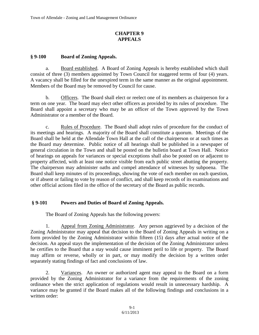# **CHAPTER 9 APPEALS**

# **§ 9-100 Board of Zoning Appeals.**

a. Board established. A Board of Zoning Appeals is hereby established which shall consist of three (3) members appointed by Town Council for staggered terms of four (4) years. A vacancy shall be filled for the unexpired term in the same manner as the original appointment. Members of the Board may be removed by Council for cause.

b. Officers. The Board shall elect or reelect one of its members as chairperson for a term on one year. The board may elect other officers as provided by its rules of procedure. The Board shall appoint a secretary who may be an officer of the Town approved by the Town Administrator or a member of the Board.

c. Rules of Procedure. The Board shall adopt rules of procedure for the conduct of its meetings and hearings. A majority of the Board shall constitute a quorum. Meetings of the Board shall be held at the Allendale Town Hall at the call of the chairperson or at such times as the Board may determine. Public notice of all hearings shall be published in a newspaper of general circulation in the Town and shall be posted on the bulletin board at Town Hall. Notice of hearings on appeals for variances or special exceptions shall also be posted on or adjacent to property affected, with at least one notice visible from each public street abutting the property. The chairperson may administer oaths and compel attendance of witnesses by subpoena. The Board shall keep minutes of its proceedings, showing the vote of each member on each question, or if absent or failing to vote by reason of conflict, and shall keep records of its examinations and other official actions filed in the office of the secretary of the Board as public records.

# **§ 9-101 Powers and Duties of Board of Zoning Appeals.**

The Board of Zoning Appeals has the following powers:

1. Appeal from Zoning Administrator. Any person aggrieved by a decision of the Zoning Administrator may appeal that decision to the Board of Zoning Appeals in writing on a form provided by the Zoning Administrator within fifteen (15) days after actual notice of the decision. An appeal stays the implementation of the decision of the Zoning Administrator unless he certifies to the Board that a stay would cause imminent peril to life or property. The Board may affirm or reverse, wholly or in part, or may modify the decision by a written order separately stating findings of fact and conclusions of law.

2. Variances. An owner or authorized agent may appeal to the Board on a form provided by the Zoning Administrator for a variance from the requirements of the zoning ordinance when the strict application of regulations would result in unnecessary hardship. A variance may be granted if the Board makes all of the following findings and conclusions in a written order: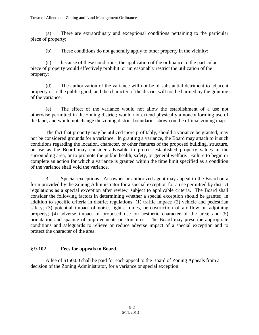(a) There are extraordinary and exceptional conditions pertaining to the particular piece of property;

(b) These conditions do not generally apply to other property in the vicinity;

(c) because of these conditions, the application of the ordinance to the particular piece of property would effectively prohibit or unreasonably restrict the utilization of the property;

(d) The authorization of the variance will not be of substantial detriment to adjacent property or to the public good, and the character of the district will not be harmed by the granting of the variance;

(e) The effect of the variance would not allow the establishment of a use not otherwise permitted in the zoning district; would not extend physically a nonconforming use of the land; and would not change the zoning district boundaries shown on the official zoning map.

The fact that property may be utilized more profitably, should a variance be granted, may not be considered grounds for a variance. In granting a variance, the Board may attach to it such conditions regarding the location, character, or other features of the proposed building, structure, or use as the Board may consider advisable to protect established property values in the surrounding area, or to promote the public health, safety, or general welfare. Failure to begin or complete an action for which a variance is granted within the time limit specified as a condition of the variance shall void the variance.

3. Special exceptions. An owner or authorized agent may appeal to the Board on a form provided by the Zoning Administrator for a special exception for a use permitted by district regulations as a special exception after review, subject to applicable criteria. The Board shall consider the following factors in determining whether a special exception should be granted, in addition to specific criteria in district regulations: (1) traffic impact; (2) vehicle and pedestrian safety; (3) potential impact of noise, lights, fumes, or obstruction of air flow on adjoining property; (4) adverse impact of proposed use on aesthetic character of the area; and (5) orientation and spacing of improvements or structures. The Board may prescribe appropriate conditions and safeguards to relieve or reduce adverse impact of a special exception and to protect the character of the area.

# **§ 9-102 Fees for appeals to Board.**

A fee of \$150.00 shall be paid for each appeal to the Board of Zoning Appeals from a decision of the Zoning Administrator, for a variance or special exception.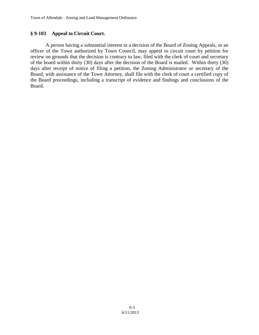# **§ 9-103 Appeal to Circuit Court.**

A person having a substantial interest in a decision of the Board of Zoning Appeals, or an officer of the Town authorized by Town Council, may appeal to circuit court by petition for review on grounds that the decision is contrary to law, filed with the clerk of court and secretary of the board within thirty (30) days after the decision of the Board is mailed. Within thirty (30) days after receipt of notice of filing a petition, the Zoning Administrator or secretary of the Board, with assistance of the Town Attorney, shall file with the clerk of court a certified copy of the Board proceedings, including a transcript of evidence and findings and conclusions of the Board.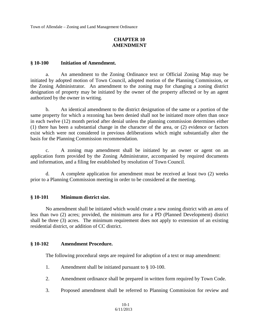Town of Allendale – Zoning and Land Management Ordinance

# **CHAPTER 10 AMENDMENT**

### **§ 10-100 Initiation of Amendment.**

a. An amendment to the Zoning Ordinance text or Official Zoning Map may be initiated by adopted motion of Town Council, adopted motion of the Planning Commission, or the Zoning Administrator. An amendment to the zoning map for changing a zoning district designation of property may be initiated by the owner of the property affected or by an agent authorized by the owner in writing.

b. An identical amendment to the district designation of the same or a portion of the same property for which a rezoning has been denied shall not be initiated more often than once in each twelve (12) month period after denial unless the planning commission determines either (1) there has been a substantial change in the character of the area, or (2) evidence or factors exist which were not considered in previous deliberations which might substantially alter the basis for the Planning Commission recommendation.

c. A zoning map amendment shall be initiated by an owner or agent on an application form provided by the Zoning Administrator, accompanied by required documents and information, and a filing fee established by resolution of Town Council.

d. A complete application for amendment must be received at least two (2) weeks prior to a Planning Commission meeting in order to be considered at the meeting.

## **§ 10-101 Minimum district size.**

No amendment shall be initiated which would create a new zoning district with an area of less than two (2) acres; provided, the minimum area for a PD (Planned Development) district shall be three (3) acres. The minimum requirement does not apply to extension of an existing residential district, or addition of CC district.

## **§ 10-102 Amendment Procedure.**

The following procedural steps are required for adoption of a text or map amendment:

- 1. Amendment shall be initiated pursuant to § 10-100.
- 2. Amendment ordinance shall be prepared in written form required by Town Code.
- 3. Proposed amendment shall be referred to Planning Commission for review and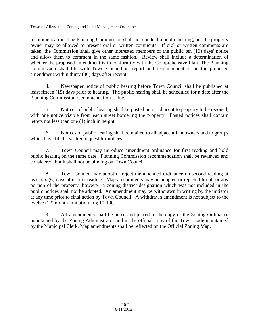Town of Allendale – Zoning and Land Management Ordinance

recommendation. The Planning Commission shall not conduct a public hearing, but the property owner may be allowed to present oral or written comments. If oral or written comments are taken, the Commission shall give other interested members of the public ten (10) days' notice and allow them to comment in the same fashion. Review shall include a determination of whether the proposed amendment is in conformity with the Comprehensive Plan. The Planning Commission shall file with Town Council its report and recommendation on the proposed amendment within thirty (30) days after receipt.

4. Newspaper notice of public hearing before Town Council shall be published at least fifteen (15) days prior to hearing. The public hearing shall be scheduled for a date after the Planning Commission recommendation is due.

5. Notices of public hearing shall be posted on or adjacent to property to be rezoned, with one notice visible from each street bordering the property. Posted notices shall contain letters not less than one (1) inch in height.

6. Notices of public hearing shall be mailed to all adjacent landowners and to groups which have filed a written request for notices.

7. Town Council may introduce amendment ordinance for first reading and hold public hearing on the same date. Planning Commission recommendation shall be reviewed and considered, but it shall not be binding on Town Council.

8. Town Council may adopt or reject the amended ordinance on second reading at least six (6) days after first reading. Map amendments may be adopted or rejected for all or any portion of the property; however, a zoning district designation which was not included in the public notices shall not be adopted. An amendment may be withdrawn in writing by the initiator at any time prior to final action by Town Council. A withdrawn amendment is not subject to the twelve (12) month limitation in § 10-100.

9. All amendments shall be noted and placed in the copy of the Zoning Ordinance maintained by the Zoning Administrator and in the official copy of the Town Code maintained by the Municipal Clerk. Map amendments shall be reflected on the Official Zoning Map.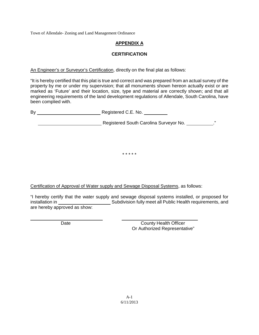Town of Allendale- Zoning and Land Management Ordinance

# **APPENDIX A**

# **CERTIFICATION**

An Engineer's or Surveyor's Certification, directly on the final plat as follows:

"It is hereby certified that this plat is true and correct and was prepared from an actual survey of the property by me or under my supervision; that all monuments shown hereon actually exist or are marked as 'Future' and their location, size, type and material are correctly shown; and that all engineering requirements of the land development regulations of Allendale, South Carolina, have been complied with.

| Bv | Registered C.E. No.                    |   |
|----|----------------------------------------|---|
|    | Registered South Carolina Surveyor No. | " |

\* \* \* \* \*

Certification of Approval of Water supply and Sewage Disposal Systems, as follows:

"I hereby certify that the water supply and sewage disposal systems installed, or proposed for installation in **Subdivision fully meet all Public Health requirements**, and are hereby approved as show:

 $\overline{a}$ 

Date County Health Officer Or Authorized Representative"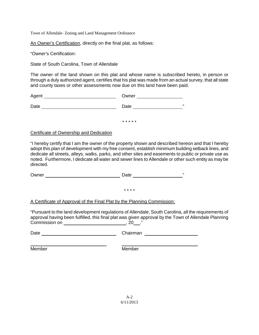Town of Allendale- Zoning and Land Management Ordinance

An Owner's Certification, directly on the final plat, as follows:

"Owner's Certification:

State of South Carolina, Town of Allendale

The owner of the land shown on this plat and whose name is subscribed hereto, in person or through a duly authorized agent, certifies that his plat was made from an actual survey, that all state and county taxes or other assessments now due on this land have been paid.

| Agent | Owner |    |
|-------|-------|----|
| Date  | Date  | ,, |

\* \* \* \* \*

#### Certificate of Ownership and Dedication

"I hereby certify that I am the owner of the property shown and described hereon and that I hereby adopt this plan of development with my free consent, establish minimum building setback lines, and dedicate all streets, alleys, walks, parks, and other sites and easements to public or private use as noted. Furthermore, I dedicate all water and sewer lines to Allendale or other such entity as may be directed.

Owner Date "

\* \* \* \*

#### A Certificate of Approval of the Final Plat by the Planning Commission:

"Pursuant to the land development regulations of Allendale, South Carolina, all the requirements of approval having been fulfilled, this final plat was given approval by the Town of Allendale Planning Commission on , 20 ."

| Date | Chairman |
|------|----------|
|      |          |

Member Member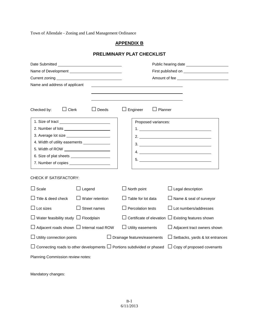Town of Allendale - Zoning and Land Management Ordinance

## **APPENDIX B**

## **PRELIMINARY PLAT CHECKLIST**

|                                                                                                                  |                                               | Public hearing date         |                                                                                           |
|------------------------------------------------------------------------------------------------------------------|-----------------------------------------------|-----------------------------|-------------------------------------------------------------------------------------------|
|                                                                                                                  |                                               |                             |                                                                                           |
|                                                                                                                  |                                               |                             |                                                                                           |
| Name and address of applicant                                                                                    |                                               |                             |                                                                                           |
| Clerk<br>Checked by:                                                                                             | $\Box$ Deeds                                  | Engineer<br>$\Box$ Planner  |                                                                                           |
|                                                                                                                  |                                               | Proposed variances:         |                                                                                           |
|                                                                                                                  |                                               |                             |                                                                                           |
|                                                                                                                  |                                               |                             |                                                                                           |
| 4. Width of utility easements ______________                                                                     |                                               |                             | 3.                                                                                        |
|                                                                                                                  |                                               |                             |                                                                                           |
|                                                                                                                  |                                               |                             | $5. \underline{\hspace{2.0cm}1. \underline{\hspace{2.0cm}1. \underline{\hspace{2.0cm}1}}$ |
|                                                                                                                  |                                               |                             |                                                                                           |
| CHECK IF SATISFACTORY:                                                                                           |                                               |                             |                                                                                           |
| Scale                                                                                                            | $\Box$ Legend                                 | $\Box$ North point          | $\Box$ Legal description                                                                  |
| Title & deed check                                                                                               | $\Box$ Water retention                        | Table for lot data          | $\Box$ Name & seal of surveyor                                                            |
| Lot sizes                                                                                                        | $\Box$ Street names                           | $\Box$ Percolation tests    | $\Box$ Lot numbers/addresses                                                              |
| Water feasibility study $\Box$ Floodplain                                                                        |                                               |                             | Certificate of elevation $\Box$ Existing features shown                                   |
|                                                                                                                  | Adjacent roads shown $\Box$ Internal road ROW | $\Box$ Utility easements    | $\Box$ Adjacent tract owners shown                                                        |
| Utility connection points                                                                                        |                                               | Drainage features/easements | $\Box$ Setbacks, yards & lot entrances                                                    |
| Connecting roads to other developments $\Box$ Portions subdivided or phased<br>$\Box$ Copy of proposed covenants |                                               |                             |                                                                                           |
| Planning Commission review notes:                                                                                |                                               |                             |                                                                                           |

Mandatory changes: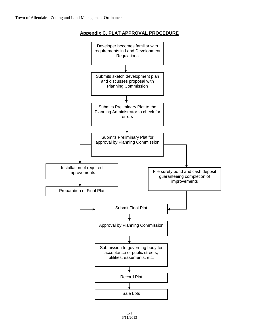

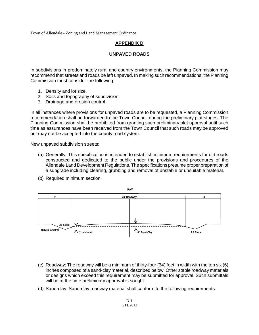Town of Allendale - Zoning and Land Management Ordinance

## **APPENDIX D**

## **UNPAVED ROADS**

In subdivisions in predominately rural and country environments, the Planning Commission may recommend that streets and roads be left unpaved. In making such recommendations, the Planning Commission must consider the following:

- 1. Density and lot size.
- 2. Soils and topography of subdivision.
- 3. Drainage and erosion control.

In all instances where provisions for unpaved roads are to be requested, a Planning Commission recommendation shall be forwarded to the Town Council during the preliminary plat stages. The Planning Commission shall be prohibited from granting such preliminary plat approval until such time as assurances have been received from the Town Council that such roads may be approved but may not be accepted into the county road system.

New unpaved subdivision streets:

- (a) Generally: This specification is intended to establish minimum requirements for dirt roads constructed and dedicated to the public under the provisions and procedures of the Allendale Land Development Regulations. The specifications presume proper preparation of a subgrade including clearing, grubbing and removal of unstable or unsuitable material.
- (b) Required minimum section:



- (c) Roadway: The roadway will be a minimum of thirty-four (34) feet in width with the top six (6) inches composed of a sand-clay material, described below. Other stable roadway materials or designs which exceed this requirement may be submitted for approval. Such submittals will be at the time preliminary approval is sought.
- (d) Sand-clay: Sand-clay roadway material shall conform to the following requirements: